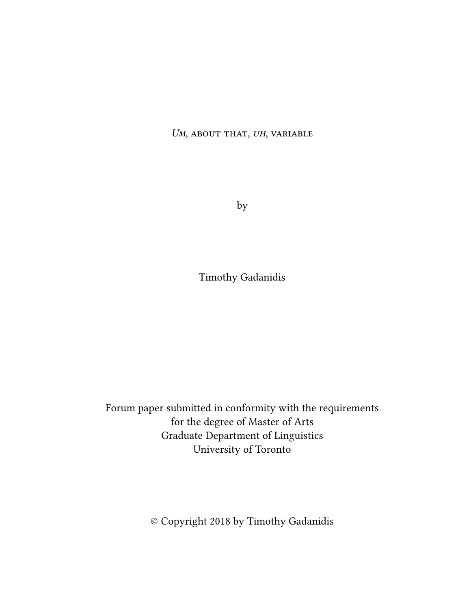*Um*, about that, *uh*, variable

by

Timothy Gadanidis

Forum paper submitted in conformity with the requirements for the degree of Master of Arts Graduate Department of Linguistics University of Toronto

© Copyright 2018 by Timothy Gadanidis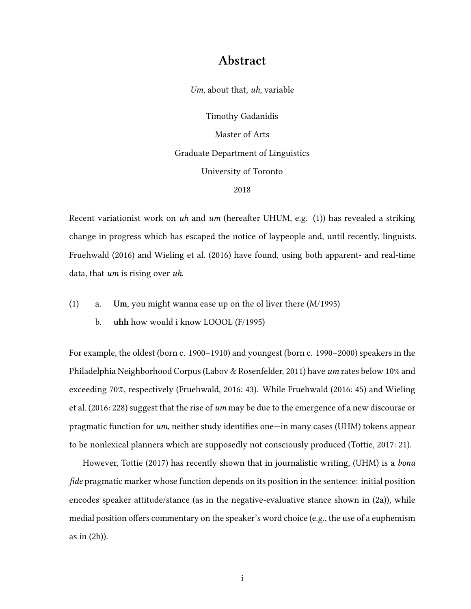### **Abstract**

*Um*, about that, *uh*, variable

Timothy Gadanidis Master of Arts Graduate Department of Linguistics University of Toronto 2018

Recent variationist work on *uh* and *um* (hereafter UHUM, e.g. (1)) has revealed a striking change in progress which has escaped the notice of laypeople and, until recently, linguists. Fruehwald [\(2016\)](#page-84-0) and Wieling et al.([2016](#page-87-0)) have found, using both apparent- and real-time data, that *um* is rising over *uh*.

- (1) a. **Um**, you might wanna ease up on the ol liver there (M/1995)
	- b. **uhh** how would i know LOOOL (F/1995)

For example, the oldest (born c. 1900–1910) and youngest (born c. 1990–2000) speakers in the Philadelphia Neighborhood Corpus (Labov & Rosenfelder, [2011](#page-85-0)) have *um* rates below 10% and exceeding 70%, respectively (Fruehwald, [2016:](#page-84-0) 43). While Fruehwald [\(2016:](#page-84-0) 45) and Wieling et al. [\(2016:](#page-87-0) 228) suggest that the rise of *um* may be due to the emergence of a new discourse or pragmatic function for *um*, neither study identifies one—in many cases (UHM) tokens appear to be nonlexical planners which are supposedly not consciously produced (Tottie, [2017](#page-86-0): 21).

However, Tottie([2017](#page-86-0)) has recently shown that in journalistic writing, (UHM) is a *bona fide* pragmatic marker whose function depends on its position in the sentence: initial position encodes speaker attitude/stance (as in the negative-evaluative stance shown in (2a)), while medial position offers commentary on the speaker's word choice (e.g., the use of a euphemism as in (2b)).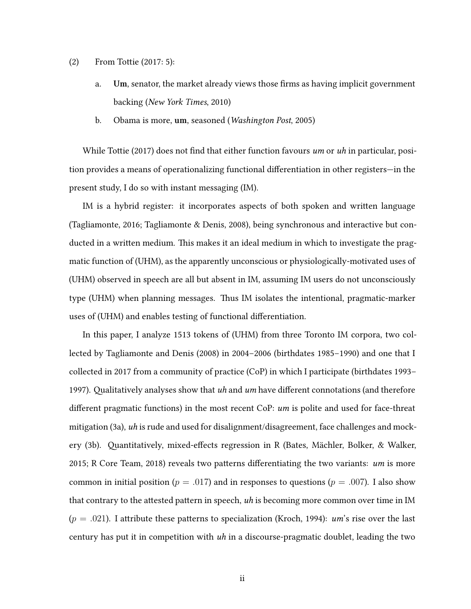- (2) From Tottie [\(2017:](#page-86-0) 5):
	- a. **Um**, senator, the market already views those firms as having implicit government backing (*New York Times*, 2010)
	- b. Obama is more, **um**, seasoned (*Washington Post*, 2005)

While Tottie([2017\)](#page-86-0) does not find that either function favours *um* or *uh* in particular, position provides a means of operationalizing functional differentiation in other registers—in the present study, I do so with instant messaging (IM).

IM is a hybrid register: it incorporates aspects of both spoken and written language (Tagliamonte, [2016](#page-86-1); Tagliamonte & Denis, [2008\)](#page-86-2), being synchronous and interactive but conducted in a written medium. This makes it an ideal medium in which to investigate the pragmatic function of (UHM), as the apparently unconscious or physiologically-motivated uses of (UHM) observed in speech are all but absent in IM, assuming IM users do not unconsciously type (UHM) when planning messages. Thus IM isolates the intentional, pragmatic-marker uses of (UHM) and enables testing of functional differentiation.

In this paper, I analyze 1513 tokens of (UHM) from three Toronto IM corpora, two collected by Tagliamonte and Denis [\(2008](#page-86-2)) in 2004–2006 (birthdates 1985–1990) and one that I collected in 2017 from a community of practice (CoP) in which I participate (birthdates 1993– 1997). Qualitatively analyses show that *uh* and *um* have different connotations (and therefore different pragmatic functions) in the most recent CoP: *um* is polite and used for face-threat mitigation([3a\)](#page-3-0), *uh* is rude and used for disalignment/disagreement, face challenges and mockery [\(3b\)](#page-3-1). Quantitatively, mixed-effects regression in R (Bates, Mächler, Bolker, & Walker, [2015](#page-83-0); R Core Team, [2018\)](#page-86-3) reveals two patterns differentiating the two variants: *um* is more common in initial position ( $p = .017$ ) and in responses to questions ( $p = .007$ ). I also show that contrary to the attested pattern in speech, *uh* is becoming more common over time in IM (*p* = *.*021). I attribute these patterns to specialization (Kroch, [1994](#page-84-1)): *um*'s rise over the last century has put it in competition with *uh* in a discourse-pragmatic doublet, leading the two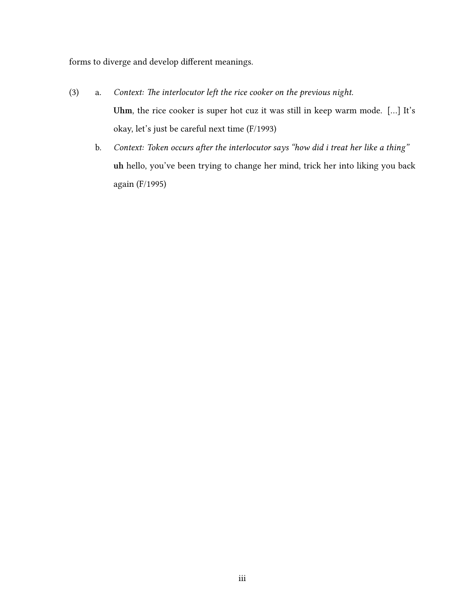forms to diverge and develop different meanings.

- <span id="page-3-1"></span><span id="page-3-0"></span>(3) a. *Context: The interlocutor left the rice cooker on the previous night.* **Uhm**, the rice cooker is super hot cuz it was still in keep warm mode. […] It's okay, let's just be careful next time (F/1993)
	- b. *Context: Token occurs after the interlocutor says "how did i treat her like a thing"* **uh** hello, you've been trying to change her mind, trick her into liking you back again (F/1995)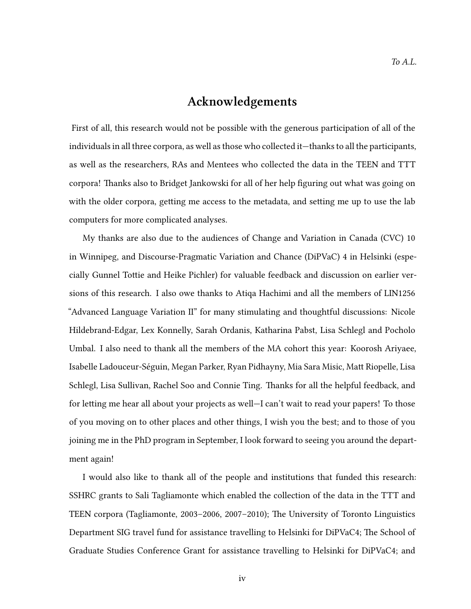### **Acknowledgements**

First of all, this research would not be possible with the generous participation of all of the individuals in all three corpora, as well as those who collected it—thanks to all the participants, as well as the researchers, RAs and Mentees who collected the data in the TEEN and TTT corpora! Thanks also to Bridget Jankowski for all of her help figuring out what was going on with the older corpora, getting me access to the metadata, and setting me up to use the lab computers for more complicated analyses.

My thanks are also due to the audiences of Change and Variation in Canada (CVC) 10 in Winnipeg, and Discourse-Pragmatic Variation and Chance (DiPVaC) 4 in Helsinki (especially Gunnel Tottie and Heike Pichler) for valuable feedback and discussion on earlier versions of this research. I also owe thanks to Atiqa Hachimi and all the members of LIN1256 "Advanced Language Variation II" for many stimulating and thoughtful discussions: Nicole Hildebrand-Edgar, Lex Konnelly, Sarah Ordanis, Katharina Pabst, Lisa Schlegl and Pocholo Umbal. I also need to thank all the members of the MA cohort this year: Koorosh Ariyaee, Isabelle Ladouceur-Séguin, Megan Parker, Ryan Pidhayny, Mia Sara Misic, Matt Riopelle, Lisa Schlegl, Lisa Sullivan, Rachel Soo and Connie Ting. Thanks for all the helpful feedback, and for letting me hear all about your projects as well—I can't wait to read your papers! To those of you moving on to other places and other things, I wish you the best; and to those of you joining me in the PhD program in September, I look forward to seeing you around the department again!

I would also like to thank all of the people and institutions that funded this research: SSHRC grants to Sali Tagliamonte which enabled the collection of the data in the TTT and TEEN corpora (Tagliamonte, [2003–2006,](#page-86-4) [2007–2010](#page-86-5)); The University of Toronto Linguistics Department SIG travel fund for assistance travelling to Helsinki for DiPVaC4; The School of Graduate Studies Conference Grant for assistance travelling to Helsinki for DiPVaC4; and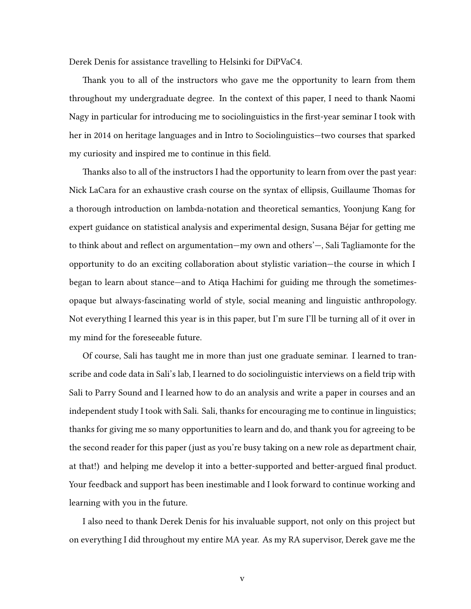Derek Denis for assistance travelling to Helsinki for DiPVaC4.

Thank you to all of the instructors who gave me the opportunity to learn from them throughout my undergraduate degree. In the context of this paper, I need to thank Naomi Nagy in particular for introducing me to sociolinguistics in the first-year seminar I took with her in 2014 on heritage languages and in Intro to Sociolinguistics—two courses that sparked my curiosity and inspired me to continue in this field.

Thanks also to all of the instructors I had the opportunity to learn from over the past year: Nick LaCara for an exhaustive crash course on the syntax of ellipsis, Guillaume Thomas for a thorough introduction on lambda-notation and theoretical semantics, Yoonjung Kang for expert guidance on statistical analysis and experimental design, Susana Béjar for getting me to think about and reflect on argumentation—my own and others'—, Sali Tagliamonte for the opportunity to do an exciting collaboration about stylistic variation—the course in which I began to learn about stance—and to Atiqa Hachimi for guiding me through the sometimesopaque but always-fascinating world of style, social meaning and linguistic anthropology. Not everything I learned this year is in this paper, but I'm sure I'll be turning all of it over in my mind for the foreseeable future.

Of course, Sali has taught me in more than just one graduate seminar. I learned to transcribe and code data in Sali's lab, I learned to do sociolinguistic interviews on a field trip with Sali to Parry Sound and I learned how to do an analysis and write a paper in courses and an independent study I took with Sali. Sali, thanks for encouraging me to continue in linguistics; thanks for giving me so many opportunities to learn and do, and thank you for agreeing to be the second reader for this paper (just as you're busy taking on a new role as department chair, at that!) and helping me develop it into a better-supported and better-argued final product. Your feedback and support has been inestimable and I look forward to continue working and learning with you in the future.

I also need to thank Derek Denis for his invaluable support, not only on this project but on everything I did throughout my entire MA year. As my RA supervisor, Derek gave me the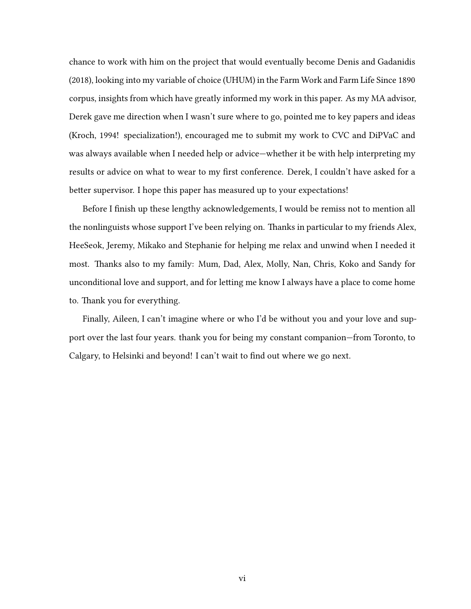chance to work with him on the project that would eventually become Denis and Gadanidis [\(2018](#page-83-1)), looking into my variable of choice (UHUM) in the Farm Work and Farm Life Since 1890 corpus, insights from which have greatly informed my work in this paper. As my MA advisor, Derek gave me direction when I wasn't sure where to go, pointed me to key papers and ideas (Kroch, [1994](#page-84-1)! specialization!), encouraged me to submit my work to CVC and DiPVaC and was always available when I needed help or advice—whether it be with help interpreting my results or advice on what to wear to my first conference. Derek, I couldn't have asked for a better supervisor. I hope this paper has measured up to your expectations!

Before I finish up these lengthy acknowledgements, I would be remiss not to mention all the nonlinguists whose support I've been relying on. Thanks in particular to my friends Alex, HeeSeok, Jeremy, Mikako and Stephanie for helping me relax and unwind when I needed it most. Thanks also to my family: Mum, Dad, Alex, Molly, Nan, Chris, Koko and Sandy for unconditional love and support, and for letting me know I always have a place to come home to. Thank you for everything.

Finally, Aileen, I can't imagine where or who I'd be without you and your love and support over the last four years. thank you for being my constant companion—from Toronto, to Calgary, to Helsinki and beyond! I can't wait to find out where we go next.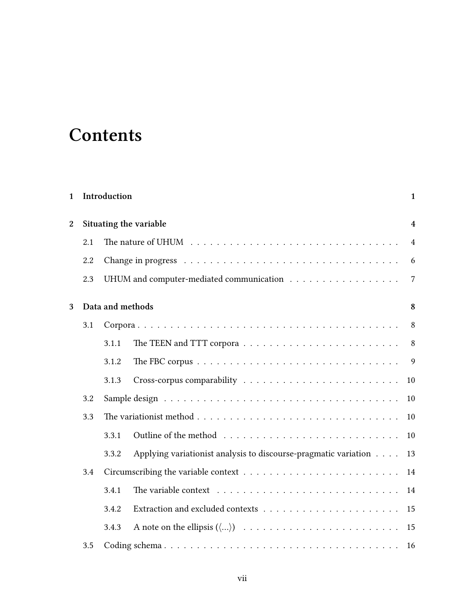## **Contents**

| 1              |     | Introduction     |                                                                                            | $\mathbf{1}$   |
|----------------|-----|------------------|--------------------------------------------------------------------------------------------|----------------|
| $\overline{2}$ |     |                  | Situating the variable                                                                     | $\overline{4}$ |
|                | 2.1 |                  | The nature of UHUM $\ldots \ldots \ldots \ldots \ldots \ldots \ldots \ldots \ldots \ldots$ | $\overline{4}$ |
|                | 2.2 |                  |                                                                                            | 6              |
|                | 2.3 |                  |                                                                                            | $\overline{7}$ |
| 3              |     | Data and methods |                                                                                            | 8              |
|                | 3.1 |                  |                                                                                            | 8              |
|                |     | 3.1.1            |                                                                                            | 8              |
|                |     | 3.1.2            |                                                                                            | 9              |
|                |     | 3.1.3            |                                                                                            | 10             |
|                | 3.2 |                  |                                                                                            | 10             |
|                | 3.3 |                  |                                                                                            | 10             |
|                |     | 3.3.1            |                                                                                            | 10             |
|                |     | 3.3.2            | Applying variationist analysis to discourse-pragmatic variation                            | 13             |
|                | 3.4 |                  |                                                                                            | 14             |
|                |     | 3.4.1            | The variable context $\dots \dots \dots \dots \dots \dots \dots \dots \dots \dots$         | 14             |
|                |     | 3.4.2            |                                                                                            | 15             |
|                |     | 3.4.3            |                                                                                            | 15             |
|                | 3.5 |                  |                                                                                            | 16             |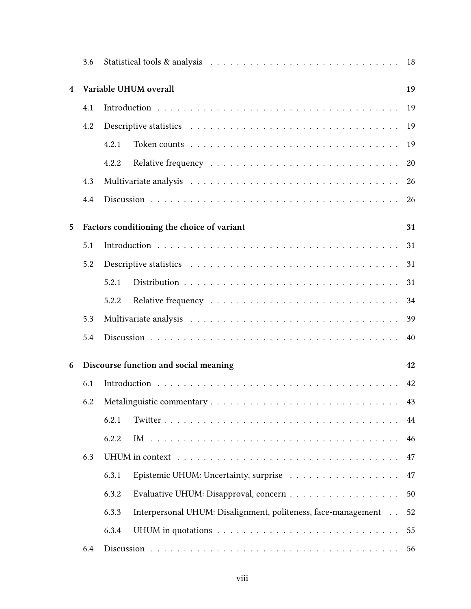|                         | 3.6 |                                                                                                      | 18 |
|-------------------------|-----|------------------------------------------------------------------------------------------------------|----|
| $\overline{\mathbf{4}}$ |     | Variable UHUM overall                                                                                | 19 |
|                         | 4.1 |                                                                                                      | 19 |
|                         | 4.2 |                                                                                                      | 19 |
|                         |     | 4.2.1                                                                                                | 19 |
|                         |     | 4.2.2                                                                                                | 20 |
|                         | 4.3 |                                                                                                      | 26 |
|                         | 4.4 |                                                                                                      | 26 |
| 5                       |     | Factors conditioning the choice of variant                                                           | 31 |
|                         | 5.1 |                                                                                                      | 31 |
|                         | 5.2 |                                                                                                      | 31 |
|                         |     | 5.2.1                                                                                                | 31 |
|                         |     | 5.2.2                                                                                                | 34 |
|                         | 5.3 | Multivariate analysis $\ldots \ldots \ldots \ldots \ldots \ldots \ldots \ldots \ldots \ldots \ldots$ | 39 |
|                         | 5.4 |                                                                                                      | 40 |
| 6                       |     | Discourse function and social meaning                                                                | 42 |
|                         | 6.1 |                                                                                                      | 42 |
|                         |     |                                                                                                      | 43 |
|                         |     | 6.2.1                                                                                                | 44 |
|                         |     | 6.2.2                                                                                                | 46 |
|                         | 6.3 |                                                                                                      | 47 |
|                         |     | 6.3.1                                                                                                | 47 |
|                         |     | 6.3.2                                                                                                | 50 |
|                         |     | Interpersonal UHUM: Disalignment, politeness, face-management<br>6.3.3                               | 52 |
|                         |     | 6.3.4                                                                                                | 55 |
|                         | 6.4 |                                                                                                      | 56 |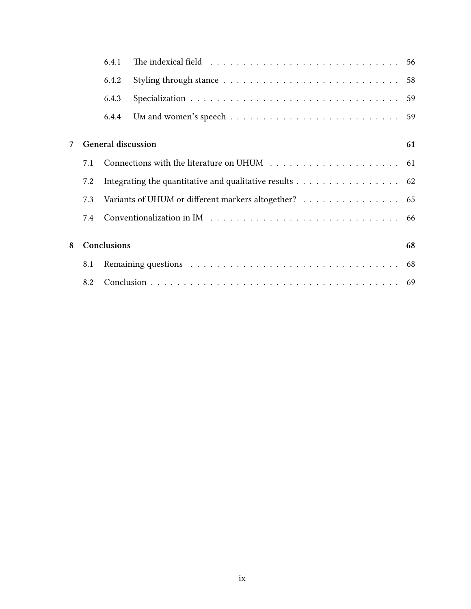|   |     | 6.4.1                    | The indexical field $\ldots \ldots \ldots \ldots \ldots \ldots \ldots \ldots \ldots \ldots$ |    |  |  |  |  |  |  |
|---|-----|--------------------------|---------------------------------------------------------------------------------------------|----|--|--|--|--|--|--|
|   |     | 6.4.2                    |                                                                                             |    |  |  |  |  |  |  |
|   |     | 6.4.3                    |                                                                                             | 59 |  |  |  |  |  |  |
|   |     | 6.4.4                    |                                                                                             |    |  |  |  |  |  |  |
|   |     |                          |                                                                                             |    |  |  |  |  |  |  |
| 7 |     | General discussion<br>61 |                                                                                             |    |  |  |  |  |  |  |
|   | 7.1 |                          |                                                                                             |    |  |  |  |  |  |  |
|   | 7.2 |                          | Integrating the quantitative and qualitative results $\ldots \ldots \ldots \ldots \ldots$ . |    |  |  |  |  |  |  |
|   | 7.3 |                          | Variants of UHUM or different markers altogether? 65                                        |    |  |  |  |  |  |  |
|   | 7.4 |                          |                                                                                             |    |  |  |  |  |  |  |
|   |     |                          |                                                                                             |    |  |  |  |  |  |  |
| 8 |     | Conclusions              |                                                                                             | 68 |  |  |  |  |  |  |
|   | 8.1 |                          |                                                                                             |    |  |  |  |  |  |  |
|   | 8.2 |                          |                                                                                             |    |  |  |  |  |  |  |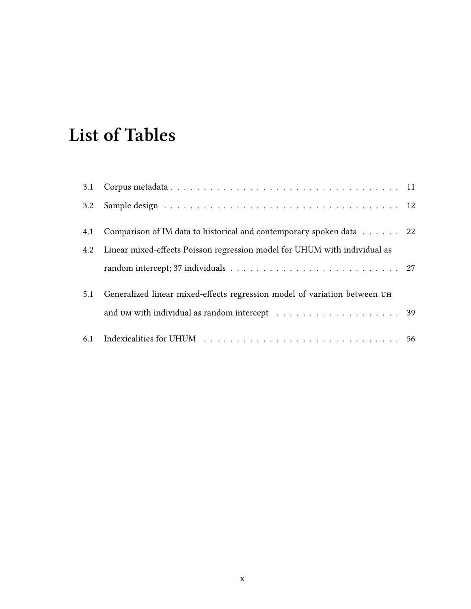# **List of Tables**

| 4.1 | Comparison of IM data to historical and contemporary spoken data 22                                        |  |
|-----|------------------------------------------------------------------------------------------------------------|--|
|     | 4.2 Linear mixed-effects Poisson regression model for UHUM with individual as                              |  |
|     |                                                                                                            |  |
| 5.1 | Generalized linear mixed-effects regression model of variation between UH                                  |  |
|     | and $\text{U}$ M with individual as random intercept $\ldots \ldots \ldots \ldots \ldots \ldots \ldots$ 39 |  |
|     |                                                                                                            |  |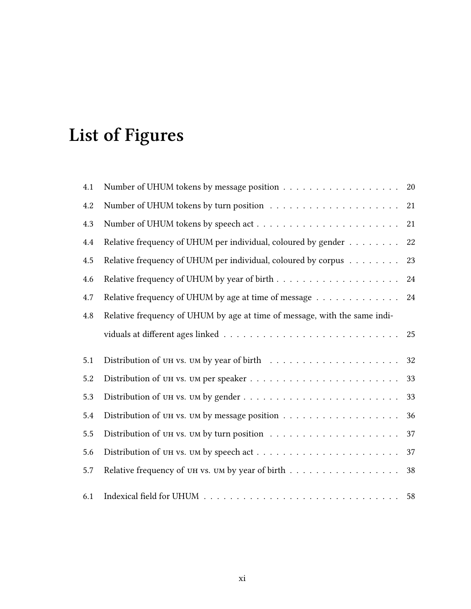# **List of Figures**

| 4.1 | Number of UHUM tokens by message position 20                                           |        |
|-----|----------------------------------------------------------------------------------------|--------|
| 4.2 |                                                                                        | 21     |
| 4.3 |                                                                                        | 21     |
| 4.4 | Relative frequency of UHUM per individual, coloured by gender                          | $22\,$ |
| 4.5 | Relative frequency of UHUM per individual, coloured by corpus                          | 23     |
| 4.6 |                                                                                        | 24     |
| 4.7 | Relative frequency of UHUM by age at time of message $\dots\dots\dots\dots\dots$       | 24     |
| 4.8 | Relative frequency of UHUM by age at time of message, with the same indi-              |        |
|     |                                                                                        | 25     |
| 5.1 | Distribution of UH vs. UM by year of birth $\ldots \ldots \ldots \ldots \ldots \ldots$ | 32     |
| 5.2 |                                                                                        | 33     |
| 5.3 |                                                                                        | 33     |
| 5.4 |                                                                                        | 36     |
| 5.5 |                                                                                        | 37     |
| 5.6 |                                                                                        | 37     |
| 5.7 | Relative frequency of UH vs. UM by year of birth $\dots \dots \dots \dots \dots \dots$ | 38     |
| 6.1 |                                                                                        |        |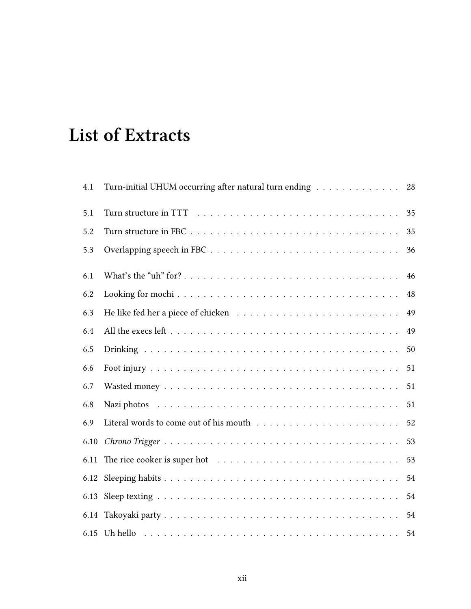## **List of Extracts**

| 4.1  | Turn-initial UHUM occurring after natural turn ending | 28 |
|------|-------------------------------------------------------|----|
| 5.1  |                                                       | 35 |
| 5.2  |                                                       | 35 |
| 5.3  |                                                       | 36 |
| 6.1  |                                                       | 46 |
| 6.2  |                                                       | 48 |
| 6.3  |                                                       | 49 |
| 6.4  |                                                       | 49 |
| 6.5  |                                                       | 50 |
| 6.6  |                                                       | 51 |
| 6.7  |                                                       | 51 |
| 6.8  |                                                       | 51 |
| 6.9  |                                                       | 52 |
| 6.10 |                                                       | 53 |
| 6.11 |                                                       | 53 |
| 6.12 |                                                       | 54 |
|      |                                                       | 54 |
| 6.14 |                                                       | 54 |
|      |                                                       | 54 |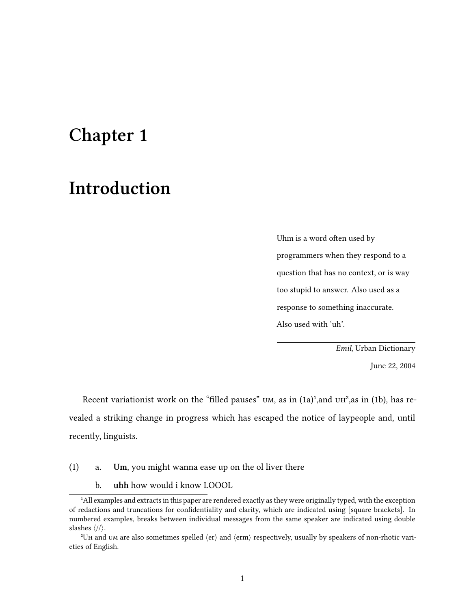## <span id="page-13-0"></span>**Chapter 1**

## **Introduction**

Uhm is a word often used by programmers when they respond to a question that has no context, or is way too stupid to answer. Also used as a response to something inaccurate. Also used with 'uh'.

*Emil*, Urban Dictionary

June 22, 2004

Recent variationist work on the "filled pauses" UM, as in  $(1a)^1$ , and UH<sup>2</sup>, as in  $(1b)$ , has revealed a striking change in progress which has escaped the notice of laypeople and, until recently, linguists.

- (1) a. **Um**, you might wanna ease up on the ol liver there
	- b. **uhh** how would i know LOOOL

<sup>&</sup>lt;sup>4</sup>All examples and extracts in this paper are rendered exactly as they were originally typed, with the exception of redactions and truncations for confidentiality and clarity, which are indicated using [square brackets]. In numbered examples, breaks between individual messages from the same speaker are indicated using double slashes *⟨*//*⟩*.

²Uh and um are also sometimes spelled *⟨*er*⟩* and *⟨*erm*⟩* respectively, usually by speakers of non-rhotic varieties of English.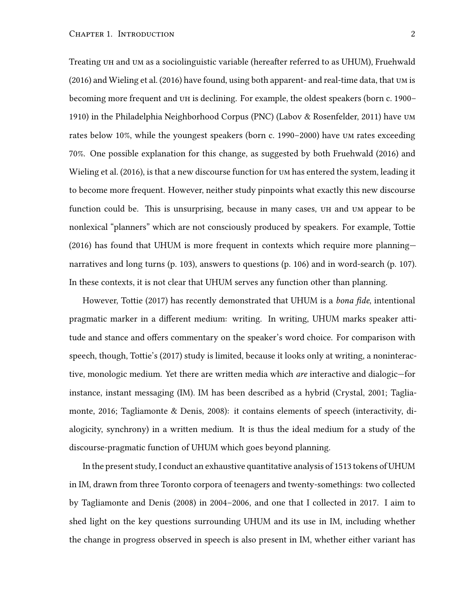Treating uh and um as a sociolinguistic variable (hereafter referred to as UHUM), Fruehwald [\(2016](#page-84-0)) and Wieling et al.([2016](#page-87-0)) have found, using both apparent- and real-time data, that um is becoming more frequent and uh is declining. For example, the oldest speakers (born c. 1900– 1910) in the Philadelphia Neighborhood Corpus (PNC) (Labov & Rosenfelder, [2011](#page-85-0)) have um rates below 10%, while the youngest speakers (born c. 1990–2000) have um rates exceeding 70%. One possible explanation for this change, as suggested by both Fruehwald([2016\)](#page-84-0) and Wieling et al.([2016](#page-87-0)), is that a new discourse function for um has entered the system, leading it to become more frequent. However, neither study pinpoints what exactly this new discourse function could be. This is unsurprising, because in many cases, uh and um appear to be nonlexical "planners" which are not consciously produced by speakers. For example, Tottie [\(2016](#page-86-6)) has found that UHUM is more frequent in contexts which require more planning narratives and long turns (p. 103), answers to questions (p. 106) and in word-search (p. 107). In these contexts, it is not clear that UHUM serves any function other than planning.

However, Tottie([2017\)](#page-86-0) has recently demonstrated that UHUM is a *bona fide*, intentional pragmatic marker in a different medium: writing. In writing, UHUM marks speaker attitude and stance and offers commentary on the speaker's word choice. For comparison with speech, though, Tottie's [\(2017](#page-86-0)) study is limited, because it looks only at writing, a noninteractive, monologic medium. Yet there are written media which *are* interactive and dialogic—for instance, instant messaging (IM). IM has been described as a hybrid (Crystal, [2001;](#page-83-2) Tagliamonte, [2016](#page-86-1); Tagliamonte & Denis, [2008\)](#page-86-2): it contains elements of speech (interactivity, dialogicity, synchrony) in a written medium. It is thus the ideal medium for a study of the discourse-pragmatic function of UHUM which goes beyond planning.

In the present study, I conduct an exhaustive quantitative analysis of 1513 tokens of UHUM in IM, drawn from three Toronto corpora of teenagers and twenty-somethings: two collected by Tagliamonte and Denis [\(2008](#page-86-2)) in 2004–2006, and one that I collected in 2017. I aim to shed light on the key questions surrounding UHUM and its use in IM, including whether the change in progress observed in speech is also present in IM, whether either variant has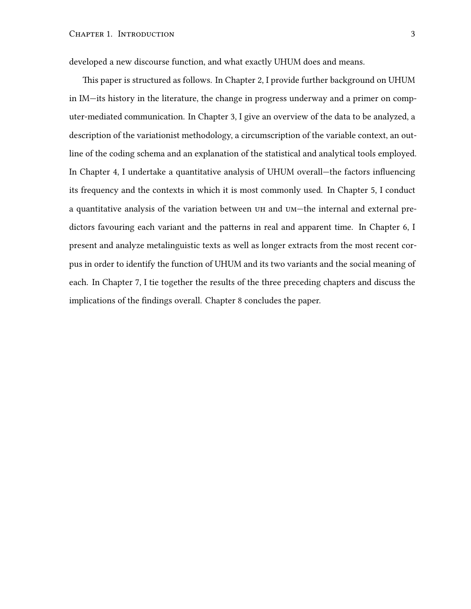developed a new discourse function, and what exactly UHUM does and means.

This paper is structured as follows. In Chapter [2](#page-16-0), I provide further background on UHUM in IM—its history in the literature, the change in progress underway and a primer on computer-mediated communication. In Chapter [3](#page-20-0), I give an overview of the data to be analyzed, a description of the variationist methodology, a circumscription of the variable context, an outline of the coding schema and an explanation of the statistical and analytical tools employed. In Chapter [4](#page-31-0), I undertake a quantitative analysis of UHUM overall—the factors influencing its frequency and the contexts in which it is most commonly used. In Chapter [5,](#page-43-0) I conduct a quantitative analysis of the variation between uh and um—the internal and external predictors favouring each variant and the patterns in real and apparent time. In Chapter [6,](#page-54-0) I present and analyze metalinguistic texts as well as longer extracts from the most recent corpus in order to identify the function of UHUM and its two variants and the social meaning of each. In Chapter [7](#page-73-0), I tie together the results of the three preceding chapters and discuss the implications of the findings overall. Chapter [8](#page-80-0) concludes the paper.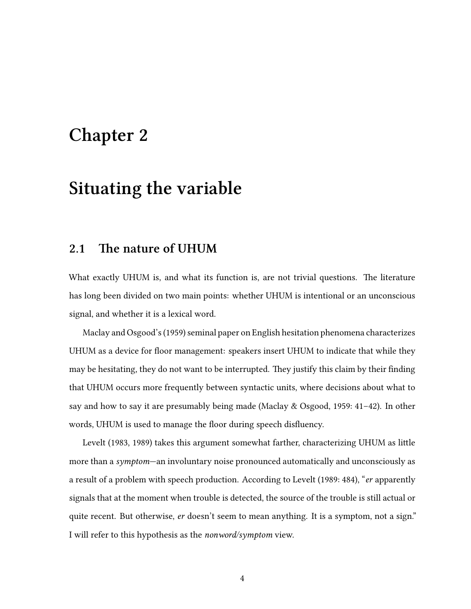## <span id="page-16-0"></span>**Chapter 2**

## **Situating the variable**

### <span id="page-16-1"></span>**2.1 The nature of UHUM**

What exactly UHUM is, and what its function is, are not trivial questions. The literature has long been divided on two main points: whether UHUM is intentional or an unconscious signal, and whether it is a lexical word.

Maclay and Osgood's([1959\)](#page-85-1) seminal paper on English hesitation phenomena characterizes UHUM as a device for floor management: speakers insert UHUM to indicate that while they may be hesitating, they do not want to be interrupted. They justify this claim by their finding that UHUM occurs more frequently between syntactic units, where decisions about what to say and how to say it are presumably being made (Maclay & Osgood, [1959](#page-85-1): 41–42). In other words, UHUM is used to manage the floor during speech disfluency.

Levelt [\(1983](#page-85-2), [1989](#page-85-3)) takes this argument somewhat farther, characterizing UHUM as little more than a *symptom*—an involuntary noise pronounced automatically and unconsciously as a result of a problem with speech production. According to Levelt([1989](#page-85-3): 484), "*er* apparently signals that at the moment when trouble is detected, the source of the trouble is still actual or quite recent. But otherwise, *er* doesn't seem to mean anything. It is a symptom, not a sign." I will refer to this hypothesis as the *nonword/symptom* view.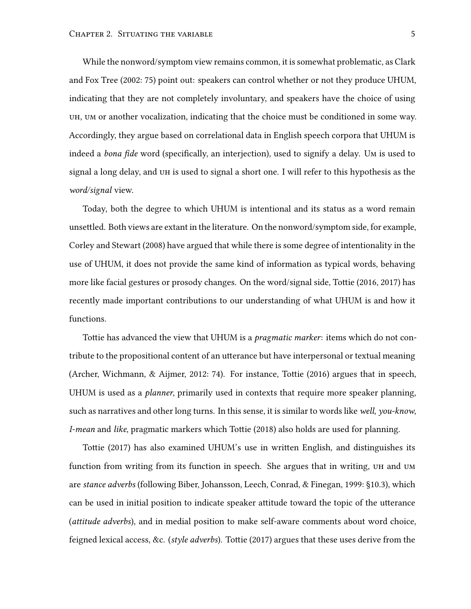While the nonword/symptom view remains common, it is somewhat problematic, as Clark and Fox Tree [\(2002](#page-83-3): 75) point out: speakers can control whether or not they produce UHUM, indicating that they are not completely involuntary, and speakers have the choice of using uh, um or another vocalization, indicating that the choice must be conditioned in some way. Accordingly, they argue based on correlational data in English speech corpora that UHUM is indeed a *bona fide* word (specifically, an interjection), used to signify a delay. Um is used to signal a long delay, and uh is used to signal a short one. I will refer to this hypothesis as the *word/signal* view.

Today, both the degree to which UHUM is intentional and its status as a word remain unsettled. Both views are extant in the literature. On the nonword/symptom side, for example, Corley and Stewart [\(2008](#page-83-4)) have argued that while there is some degree of intentionality in the use of UHUM, it does not provide the same kind of information as typical words, behaving more like facial gestures or prosody changes. On the word/signal side, Tottie [\(2016,](#page-86-6) [2017](#page-86-0)) has recently made important contributions to our understanding of what UHUM is and how it functions.

Tottie has advanced the view that UHUM is a *pragmatic marker*: items which do not contribute to the propositional content of an utterance but have interpersonal or textual meaning (Archer, Wichmann, & Aijmer, [2012:](#page-83-5) 74). For instance, Tottie([2016\)](#page-86-6) argues that in speech, UHUM is used as a *planner*, primarily used in contexts that require more speaker planning, such as narratives and other long turns. In this sense, it is similar to words like *well*, *you-know*, *I-mean* and *like*, pragmatic markers which Tottie [\(2018](#page-87-1)) also holds are used for planning.

Tottie([2017](#page-86-0)) has also examined UHUM's use in written English, and distinguishes its function from writing from its function in speech. She argues that in writing, uh and um are *stance adverbs* (following Biber, Johansson, Leech, Conrad, & Finegan, [1999:](#page-83-6) §10.3), which can be used in initial position to indicate speaker attitude toward the topic of the utterance (*attitude adverbs*), and in medial position to make self-aware comments about word choice, feigned lexical access, &c. (*style adverbs*). Tottie([2017](#page-86-0)) argues that these uses derive from the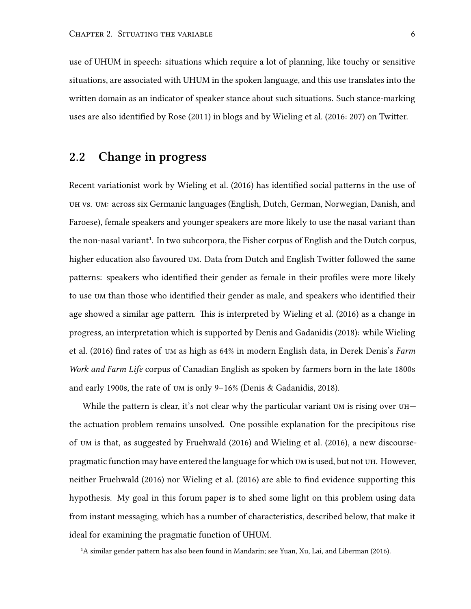use of UHUM in speech: situations which require a lot of planning, like touchy or sensitive situations, are associated with UHUM in the spoken language, and this use translates into the written domain as an indicator of speaker stance about such situations. Such stance-marking uses are also identified by Rose [\(2011\)](#page-86-7) in blogs and by Wieling et al. [\(2016:](#page-87-0) 207) on Twitter.

#### <span id="page-18-0"></span>**2.2 Change in progress**

Recent variationist work by Wieling et al.([2016](#page-87-0)) has identified social patterns in the use of uh vs. um: across six Germanic languages (English, Dutch, German, Norwegian, Danish, and Faroese), female speakers and younger speakers are more likely to use the nasal variant than the non-nasal variant<sup>1</sup>. In two subcorpora, the Fisher corpus of English and the Dutch corpus, higher education also favoured um. Data from Dutch and English Twitter followed the same patterns: speakers who identified their gender as female in their profiles were more likely to use um than those who identified their gender as male, and speakers who identified their age showed a similar age pattern. This is interpreted by Wieling et al.([2016\)](#page-87-0) as a change in progress, an interpretation which is supported by Denis and Gadanidis([2018](#page-83-1)): while Wieling et al.([2016](#page-87-0)) find rates of um as high as 64% in modern English data, in Derek Denis's *Farm Work and Farm Life* corpus of Canadian English as spoken by farmers born in the late 1800s and early 1900s, the rate of um is only 9–16% (Denis & Gadanidis, [2018\)](#page-83-1).

While the pattern is clear, it's not clear why the particular variant  $um$  is rising over  $u$ H $$ the actuation problem remains unsolved. One possible explanation for the precipitous rise of um is that, as suggested by Fruehwald [\(2016](#page-84-0)) and Wieling et al. [\(2016](#page-87-0)), a new discoursepragmatic function may have entered the language for which um is used, but not uh. However, neither Fruehwald([2016\)](#page-84-0) nor Wieling et al.([2016](#page-87-0)) are able to find evidence supporting this hypothesis. My goal in this forum paper is to shed some light on this problem using data from instant messaging, which has a number of characteristics, described below, that make it ideal for examining the pragmatic function of UHUM.

<sup>&</sup>lt;sup>1</sup>Asimilar gender pattern has also been found in Mandarin; see Yuan, Xu, Lai, and Liberman ([2016](#page-87-2)).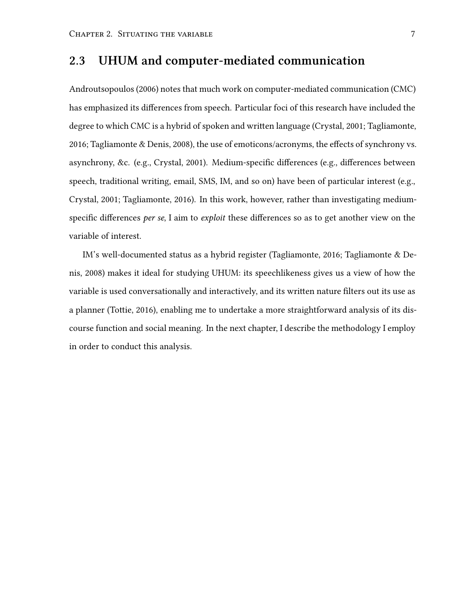### <span id="page-19-0"></span>**2.3 UHUM and computer-mediated communication**

Androutsopoulos [\(2006\)](#page-83-7) notes that much work on computer-mediated communication (CMC) has emphasized its differences from speech. Particular foci of this research have included the degree to which CMC is a hybrid of spoken and written language (Crystal, [2001](#page-83-2); Tagliamonte, [2016](#page-86-1); Tagliamonte & Denis, [2008\)](#page-86-2), the use of emoticons/acronyms, the effects of synchrony vs. asynchrony, &c. (e.g., Crystal, [2001](#page-83-2)). Medium-specific differences (e.g., differences between speech, traditional writing, email, SMS, IM, and so on) have been of particular interest (e.g., Crystal, [2001;](#page-83-2) Tagliamonte, [2016\)](#page-86-1). In this work, however, rather than investigating mediumspecific differences *per se*, I aim to *exploit* these differences so as to get another view on the variable of interest.

IM's well-documented status as a hybrid register (Tagliamonte, [2016](#page-86-1); Tagliamonte & Denis, [2008\)](#page-86-2) makes it ideal for studying UHUM: its speechlikeness gives us a view of how the variable is used conversationally and interactively, and its written nature filters out its use as a planner (Tottie, [2016](#page-86-6)), enabling me to undertake a more straightforward analysis of its discourse function and social meaning. In the next chapter, I describe the methodology I employ in order to conduct this analysis.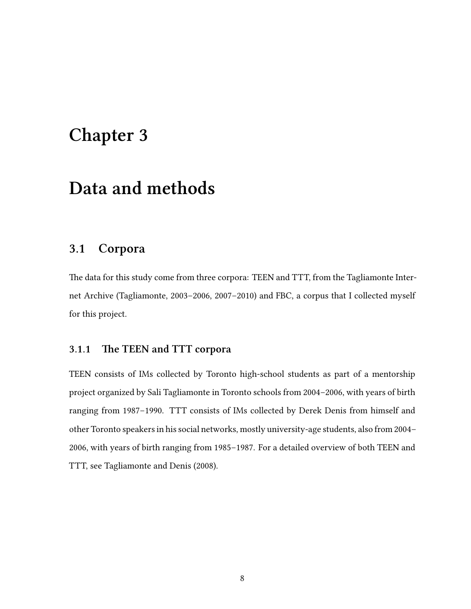## <span id="page-20-0"></span>**Chapter 3**

## **Data and methods**

#### <span id="page-20-1"></span>**3.1 Corpora**

The data for this study come from three corpora: TEEN and TTT, from the Tagliamonte Internet Archive (Tagliamonte, [2003–2006,](#page-86-4) [2007–2010](#page-86-5)) and FBC, a corpus that I collected myself for this project.

#### <span id="page-20-2"></span>**3.1.1 The TEEN and TTT corpora**

TEEN consists of IMs collected by Toronto high-school students as part of a mentorship project organized by Sali Tagliamonte in Toronto schools from 2004–2006, with years of birth ranging from 1987–1990. TTT consists of IMs collected by Derek Denis from himself and other Toronto speakers in his social networks, mostly university-age students, also from 2004– 2006, with years of birth ranging from 1985–1987. For a detailed overview of both TEEN and TTT, see Tagliamonte and Denis [\(2008](#page-86-2)).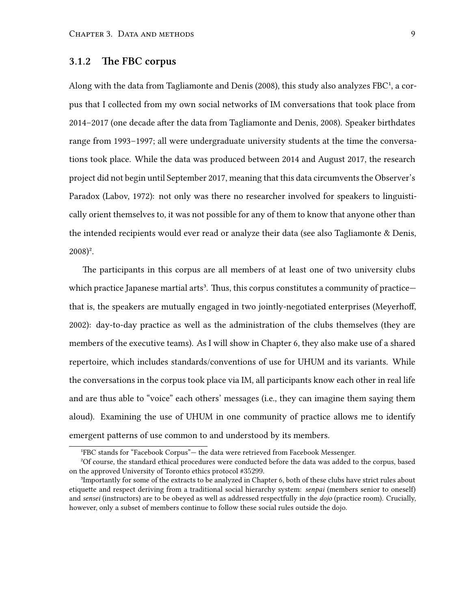#### <span id="page-21-0"></span>**3.1.2 The FBC corpus**

Along with the data from Tagliamonte and Denis [\(2008\)](#page-86-2), this study also analyzes FBC<sup>1</sup>, a corpus that I collected from my own social networks of IM conversations that took place from 2014–2017 (one decade after the data from Tagliamonte and Denis, [2008](#page-86-2)). Speaker birthdates range from 1993–1997; all were undergraduate university students at the time the conversations took place. While the data was produced between 2014 and August 2017, the research project did not begin until September 2017, meaning that this data circumvents the Observer's Paradox (Labov, [1972\)](#page-85-4): not only was there no researcher involved for speakers to linguistically orient themselves to, it was not possible for any of them to know that anyone other than the intended recipients would ever read or analyze their data (see also Tagliamonte & Denis,  $2008)^2$  $2008)^2$ .

The participants in this corpus are all members of at least one of two university clubs which practice Japanese martial arts<sup>3</sup>. Thus, this corpus constitutes a community of practicethat is, the speakers are mutually engaged in two jointly-negotiated enterprises (Meyerhoff, [2002](#page-85-5)): day-to-day practice as well as the administration of the clubs themselves (they are members of the executive teams). As I will show in Chapter [6](#page-54-0), they also make use of a shared repertoire, which includes standards/conventions of use for UHUM and its variants. While the conversations in the corpus took place via IM, all participants know each other in real life and are thus able to "voice" each others' messages (i.e., they can imagine them saying them aloud). Examining the use of UHUM in one community of practice allows me to identify emergent patterns of use common to and understood by its members.

<sup>&</sup>lt;sup>1</sup>FBC stands for "Facebook Corpus"— the data were retrieved from Facebook Messenger.

²Of course, the standard ethical procedures were conducted before the data was added to the corpus, based on the approved University of Toronto ethics protocol #35299.

³Importantly for some of the extracts to be analyzed in Chapter [6](#page-54-0), both of these clubs have strict rules about etiquette and respect deriving from a traditional social hierarchy system: *senpai* (members senior to oneself) and *sensei* (instructors) are to be obeyed as well as addressed respectfully in the *dojo* (practice room). Crucially, however, only a subset of members continue to follow these social rules outside the dojo.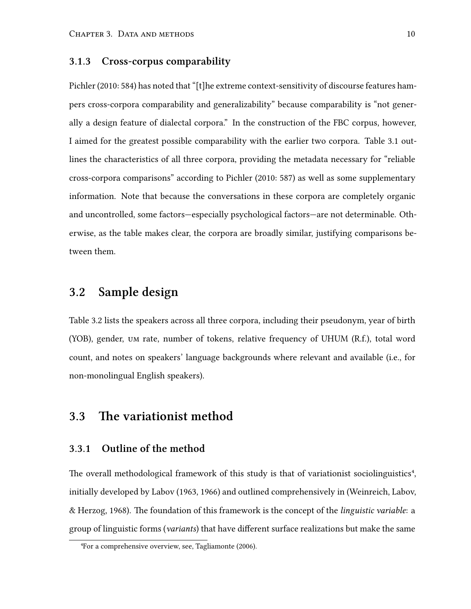#### <span id="page-22-0"></span>**3.1.3 Cross-corpus comparability**

Pichler([2010](#page-85-6): 584) has noted that "[t]he extreme context-sensitivity of discourse features hampers cross-corpora comparability and generalizability" because comparability is "not generally a design feature of dialectal corpora." In the construction of the FBC corpus, however, I aimed for the greatest possible comparability with the earlier two corpora. Table [3.1](#page-23-0) outlines the characteristics of all three corpora, providing the metadata necessary for "reliable cross-corpora comparisons" according to Pichler [\(2010](#page-85-6): 587) as well as some supplementary information. Note that because the conversations in these corpora are completely organic and uncontrolled, some factors—especially psychological factors—are not determinable. Otherwise, as the table makes clear, the corpora are broadly similar, justifying comparisons between them.

### <span id="page-22-1"></span>**3.2 Sample design**

Table [3.2](#page-24-0) lists the speakers across all three corpora, including their pseudonym, year of birth (YOB), gender, um rate, number of tokens, relative frequency of UHUM (R.f.), total word count, and notes on speakers' language backgrounds where relevant and available (i.e., for non-monolingual English speakers).

### <span id="page-22-2"></span>**3.3 The variationist method**

#### <span id="page-22-3"></span>**3.3.1 Outline of the method**

The overall methodological framework of this study is that of variationist sociolinguistics<sup>4</sup>, initially developed by Labov [\(1963](#page-84-2), [1966\)](#page-85-7) and outlined comprehensively in (Weinreich, Labov, & Herzog, [1968\)](#page-87-3). The foundation of this framework is the concept of the *linguistic variable*: a group of linguistic forms (*variants*) that have different surface realizations but make the same

⁴For a comprehensive overview, see, Tagliamonte([2006](#page-86-8)).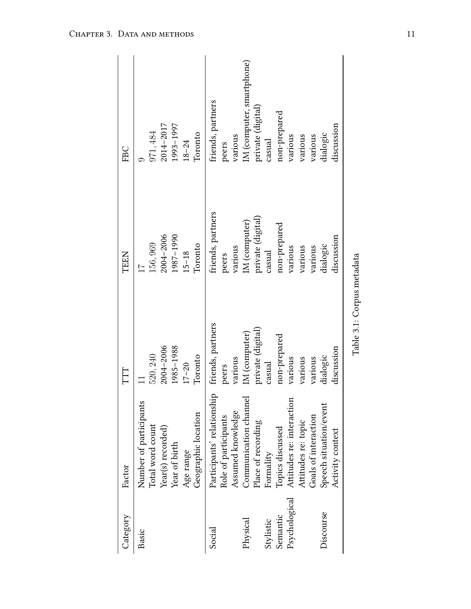<span id="page-23-0"></span>

| Category                  | Factor                                                                                                               | TTT                                                            | <b>TEEN</b>                                                                      | FBC                                                        |
|---------------------------|----------------------------------------------------------------------------------------------------------------------|----------------------------------------------------------------|----------------------------------------------------------------------------------|------------------------------------------------------------|
| Basic                     | Number of participants<br>Geographic location<br>Total word count<br>Year(s) recorded)<br>Year of birth<br>Age range | 1985-1988<br>$2004 - 2006$<br>520, 240<br>Toronto<br>$17 - 20$ | 1987-1990<br>$2004 - 2006$<br>156,969<br>Toronto<br>$15 - 18$<br>$\overline{11}$ | 1993-1997<br>2014-2017<br>971, 484<br>Toronto<br>$18 - 24$ |
| Social                    | Participants' relationship<br>Assumed knowledge<br>Role of participants                                              | friends, partners<br>various<br>peers                          | friends, partners<br>various<br>peers                                            | friends, partners<br>various<br>peers                      |
| Physical<br>Stylistic     | ್ರ<br>Communication chann<br>Place of recording<br>Formality                                                         | private (digital)<br>IM (computer)<br>casual                   | private (digital)<br>IM (computer)<br>casual                                     | IM (computer, smartphone)<br>private (digital)<br>casual   |
| Psychological<br>Semantic | Attitudes re: interaction<br>Goals of interaction<br>Attitudes re: topic<br>Topics discussed                         | non-prepared<br>various<br>various<br>various                  | non-prepared<br>various<br>various<br>various                                    | non-prepared<br>various<br>various<br>various              |
| Discourse                 | Speech situation/event<br>Activity context                                                                           | discussion<br>dialogic                                         | discussion<br>dialogic                                                           | discussion<br>dialogic                                     |
|                           |                                                                                                                      | Table 3.1: Corpus metadata                                     |                                                                                  |                                                            |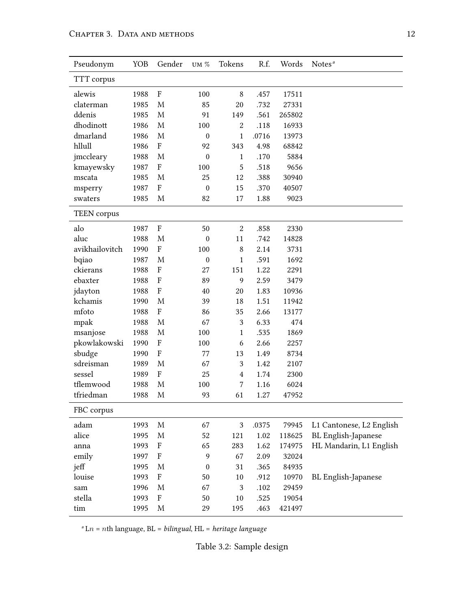<span id="page-24-0"></span>

| Pseudonym          | YOB  | Gender                    | UM $\%$          | Tokens           | R.f.  | Words  | Notes <sup>a</sup>       |
|--------------------|------|---------------------------|------------------|------------------|-------|--------|--------------------------|
| TTT corpus         |      |                           |                  |                  |       |        |                          |
| alewis             | 1988 | $\boldsymbol{\mathrm{F}}$ | 100              | $\,8\,$          | .457  | 17511  |                          |
| claterman          | 1985 | M                         | 85               | 20               | .732  | 27331  |                          |
| ddenis             | 1985 | M                         | 91               | 149              | .561  | 265802 |                          |
| dhodinott          | 1986 | $\mathbf{M}$              | 100              | $\boldsymbol{2}$ | .118  | 16933  |                          |
| dmarland           | 1986 | $\mathbf M$               | $\boldsymbol{0}$ | $\mathbf{1}$     | .0716 | 13973  |                          |
| hllull             | 1986 | $\boldsymbol{\mathrm{F}}$ | 92               | 343              | 4.98  | 68842  |                          |
| jmccleary          | 1988 | M                         | $\boldsymbol{0}$ | $\mathbf{1}$     | .170  | 5884   |                          |
| kmayewsky          | 1987 | $\boldsymbol{\mathrm{F}}$ | 100              | 5                | .518  | 9656   |                          |
| mscata             | 1985 | M                         | 25               | 12               | .388  | 30940  |                          |
| msperry            | 1987 | $\boldsymbol{\mathrm{F}}$ | $\boldsymbol{0}$ | 15               | .370  | 40507  |                          |
| swaters            | 1985 | M                         | 82               | 17               | 1.88  | 9023   |                          |
| <b>TEEN</b> corpus |      |                           |                  |                  |       |        |                          |
| alo                | 1987 | $\boldsymbol{\mathrm{F}}$ | 50               | $\boldsymbol{2}$ | .858  | 2330   |                          |
| aluc               | 1988 | M                         | $\boldsymbol{0}$ | 11               | .742  | 14828  |                          |
| avikhailovitch     | 1990 | $\boldsymbol{\mathrm{F}}$ | 100              | $\,8\,$          | 2.14  | 3731   |                          |
| bqiao              | 1987 | $\mathbf{M}$              | $\boldsymbol{0}$ | $\mathbf{1}$     | .591  | 1692   |                          |
| ckierans           | 1988 | $\boldsymbol{\mathrm{F}}$ | 27               | 151              | 1.22  | 2291   |                          |
| ebaxter            | 1988 | $\boldsymbol{\mathrm{F}}$ | 89               | $\mathbf{9}$     | 2.59  | 3479   |                          |
| jdayton            | 1988 | $\boldsymbol{\mathrm{F}}$ | 40               | 20               | 1.83  | 10936  |                          |
| kchamis            | 1990 | $\mathbf{M}$              | 39               | 18               | 1.51  | 11942  |                          |
| mfoto              | 1988 | $\boldsymbol{\mathrm{F}}$ | 86               | 35               | 2.66  | 13177  |                          |
| mpak               | 1988 | M                         | 67               | $\sqrt{3}$       | 6.33  | 474    |                          |
| msanjose           | 1988 | $\mathbf M$               | 100              | $\mathbf{1}$     | .535  | 1869   |                          |
| pkowlakowski       | 1990 | $\boldsymbol{\mathrm{F}}$ | 100              | 6                | 2.66  | 2257   |                          |
| sbudge             | 1990 | $\boldsymbol{\mathrm{F}}$ | 77               | 13               | 1.49  | 8734   |                          |
| sdreisman          | 1989 | M                         | 67               | $\sqrt{3}$       | 1.42  | 2107   |                          |
| sessel             | 1989 | $\boldsymbol{\mathrm{F}}$ | 25               | $\overline{4}$   | 1.74  | 2300   |                          |
| tflemwood          | 1988 | $\mathbf{M}$              | 100              | $\overline{7}$   | 1.16  | 6024   |                          |
| tfriedman          | 1988 | M                         | 93               | 61               | 1.27  | 47952  |                          |
| FBC corpus         |      |                           |                  |                  |       |        |                          |
| adam               | 1993 | M                         | 67               | 3                | .0375 | 79945  | L1 Cantonese, L2 English |
| alice              | 1995 | M                         | 52               | 121              | 1.02  | 118625 | BL English-Japanese      |
| anna               | 1993 | F                         | 65               | 283              | 1.62  | 174975 | HL Mandarin, L1 English  |
| emily              | 1997 | $\boldsymbol{\mathrm{F}}$ | 9                | 67               | 2.09  | 32024  |                          |
| jeff               | 1995 | ${\bf M}$                 | $\boldsymbol{0}$ | 31               | .365  | 84935  |                          |
| louise             | 1993 | $\boldsymbol{\mathrm{F}}$ | 50               | 10               | .912  | 10970  | BL English-Japanese      |
| sam                | 1996 | M                         | 67               | $\mathfrak{Z}$   | .102  | 29459  |                          |
| stella             | 1993 | F                         | 50               | 10               | .525  | 19054  |                          |
| tim                | 1995 | M                         | 29               | 195              | .463  | 421497 |                          |

*a* L*n* = *n*th language, BL = *bilingual*, HL = *heritage language*

Table 3.2: Sample design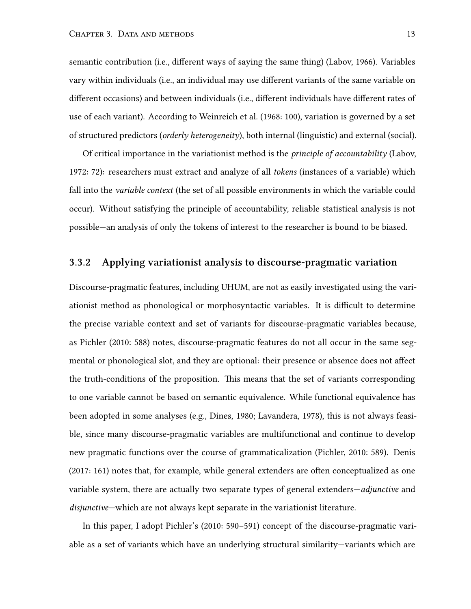semantic contribution (i.e., different ways of saying the same thing) (Labov, [1966\)](#page-85-7). Variables vary within individuals (i.e., an individual may use different variants of the same variable on different occasions) and between individuals (i.e., different individuals have different rates of use of each variant). According to Weinreich et al. [\(1968](#page-87-3): 100), variation is governed by a set of structured predictors (*orderly heterogeneity*), both internal (linguistic) and external (social).

Of critical importance in the variationist method is the *principle of accountability* (Labov, [1972](#page-85-4): 72): researchers must extract and analyze of all *tokens* (instances of a variable) which fall into the *variable context* (the set of all possible environments in which the variable could occur). Without satisfying the principle of accountability, reliable statistical analysis is not possible—an analysis of only the tokens of interest to the researcher is bound to be biased.

#### <span id="page-25-0"></span>**3.3.2 Applying variationist analysis to discourse-pragmatic variation**

Discourse-pragmatic features, including UHUM, are not as easily investigated using the variationist method as phonological or morphosyntactic variables. It is difficult to determine the precise variable context and set of variants for discourse-pragmatic variables because, as Pichler([2010:](#page-85-6) 588) notes, discourse-pragmatic features do not all occur in the same segmental or phonological slot, and they are optional: their presence or absence does not affect the truth-conditions of the proposition. This means that the set of variants corresponding to one variable cannot be based on semantic equivalence. While functional equivalence has been adopted in some analyses (e.g., Dines, [1980](#page-84-3); Lavandera, [1978](#page-85-8)), this is not always feasible, since many discourse-pragmatic variables are multifunctional and continue to develop new pragmatic functions over the course of grammaticalization (Pichler, [2010:](#page-85-6) 589). Denis [\(2017](#page-83-8): 161) notes that, for example, while general extenders are often conceptualized as one variable system, there are actually two separate types of general extenders—*adjunctive* and *disjunctive*—which are not always kept separate in the variationist literature.

In this paper, I adopt Pichler's [\(2010](#page-85-6): 590–591) concept of the discourse-pragmatic variable as a set of variants which have an underlying structural similarity—variants which are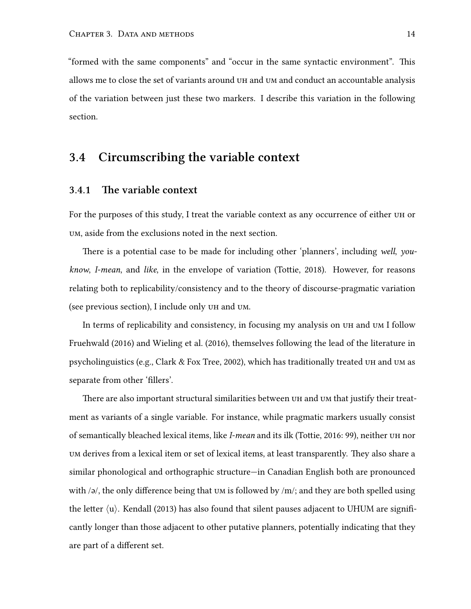"formed with the same components" and "occur in the same syntactic environment". This allows me to close the set of variants around uh and um and conduct an accountable analysis of the variation between just these two markers. I describe this variation in the following section.

### <span id="page-26-0"></span>**3.4 Circumscribing the variable context**

#### <span id="page-26-1"></span>**3.4.1 The variable context**

For the purposes of this study, I treat the variable context as any occurrence of either uh or um, aside from the exclusions noted in the next section.

There is a potential case to be made for including other 'planners', including *well*, *youknow*, *I-mean*, and *like*, in the envelope of variation (Tottie, [2018](#page-87-1)). However, for reasons relating both to replicability/consistency and to the theory of discourse-pragmatic variation (see previous section), I include only uh and um.

In terms of replicability and consistency, in focusing my analysis on uh and um I follow Fruehwald([2016\)](#page-84-0) and Wieling et al.([2016\)](#page-87-0), themselves following the lead of the literature in psycholinguistics (e.g., Clark  $&$  Fox Tree, [2002](#page-83-3)), which has traditionally treated UH and UM as separate from other 'fillers'.

There are also important structural similarities between uh and um that justify their treatment as variants of a single variable. For instance, while pragmatic markers usually consist of semantically bleached lexical items, like *I-mean* and its ilk (Tottie, [2016](#page-86-6): 99), neither uh nor um derives from a lexical item or set of lexical items, at least transparently. They also share a similar phonological and orthographic structure—in Canadian English both are pronounced with /ə/, the only difference being that um is followed by /m/; and they are both spelled using the letter *⟨*u*⟩*. Kendall([2013\)](#page-84-4) has also found that silent pauses adjacent to UHUM are significantly longer than those adjacent to other putative planners, potentially indicating that they are part of a different set.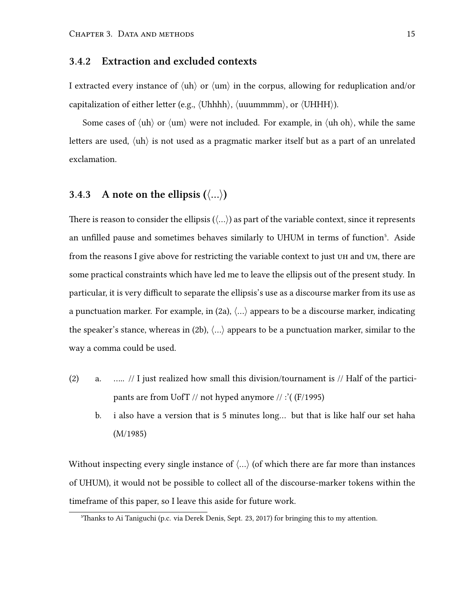#### <span id="page-27-0"></span>**3.4.2 Extraction and excluded contexts**

I extracted every instance of *⟨*uh*⟩* or *⟨*um*⟩* in the corpus, allowing for reduplication and/or capitalization of either letter (e.g., *⟨*Uhhhh*⟩*, *⟨*uuummmm*⟩*, or *⟨*UHHH*⟩*).

Some cases of *⟨*uh*⟩* or *⟨*um*⟩* were not included. For example, in *⟨*uh oh*⟩*, while the same letters are used, *⟨*uh*⟩* is not used as a pragmatic marker itself but as a part of an unrelated exclamation.

#### <span id="page-27-1"></span>**3.4.3** A note on the ellipsis  $(\langle \ldots \rangle)$

There is reason to consider the ellipsis (*⟨*…*⟩*) as part of the variable context, since it represents an unfilled pause and sometimes behaves similarly to UHUM in terms of function<sup>5</sup>. Aside from the reasons I give above for restricting the variable context to just uh and um, there are some practical constraints which have led me to leave the ellipsis out of the present study. In particular, it is very difficult to separate the ellipsis's use as a discourse marker from its use as a punctuation marker. For example, in (2a), *⟨*…*⟩* appears to be a discourse marker, indicating the speaker's stance, whereas in (2b), *⟨*…*⟩* appears to be a punctuation marker, similar to the way a comma could be used.

- (2) a. ….. // I just realized how small this division/tournament is // Half of the participants are from UofT // not hyped anymore // :'( (F/1995)
	- b. i also have a version that is 5 minutes long… but that is like half our set haha (M/1985)

Without inspecting every single instance of *⟨*…*⟩* (of which there are far more than instances of UHUM), it would not be possible to collect all of the discourse-marker tokens within the timeframe of this paper, so I leave this aside for future work.

⁵Thanks to Ai Taniguchi (p.c. via Derek Denis, Sept. 23, 2017) for bringing this to my attention.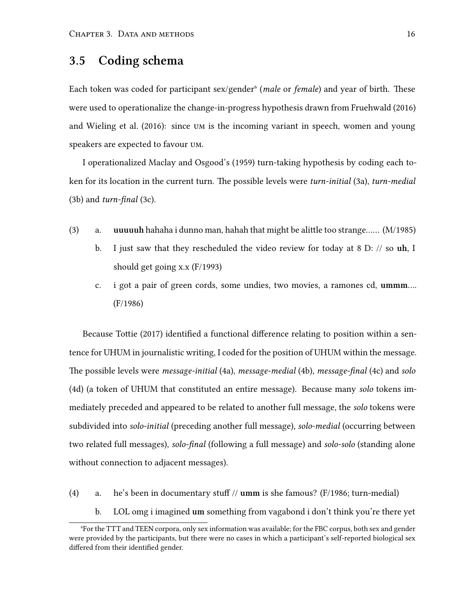### <span id="page-28-0"></span>**3.5 Coding schema**

Each token was coded for participant sex/gender<sup>6</sup> (*male* or *female*) and year of birth. These were used to operationalize the change-in-progress hypothesis drawn from Fruehwald([2016](#page-84-0)) and Wieling et al.([2016\)](#page-87-0): since um is the incoming variant in speech, women and young speakers are expected to favour um.

I operationalized Maclay and Osgood's([1959\)](#page-85-1) turn-taking hypothesis by coding each token for its location in the current turn. The possible levels were *turn-initial* (3a), *turn-medial* (3b) and *turn-final* (3c).

- (3) a. **uuuuuh** hahaha i dunno man, hahah that might be alittle too strange…… (M/1985)
	- b. I just saw that they rescheduled the video review for today at 8 D: // so **uh**, I should get going x.x (F/1993)
	- c. i got a pair of green cords, some undies, two movies, a ramones cd, **ummm**…. (F/1986)

Because Tottie([2017](#page-86-0)) identified a functional difference relating to position within a sentence for UHUM in journalistic writing, I coded for the position of UHUM within the message. The possible levels were *message-initial* (4a), *message-medial* (4b), *message-final* (4c) and *solo* (4d) (a token of UHUM that constituted an entire message). Because many *solo* tokens immediately preceded and appeared to be related to another full message, the *solo* tokens were subdivided into *solo-initial* (preceding another full message), *solo-medial* (occurring between two related full messages), *solo-final* (following a full message) and *solo-solo* (standing alone without connection to adjacent messages).

- (4) a. he's been in documentary stuff // **umm** is she famous? (F/1986; turn-medial)
	- b. LOL omg i imagined **um** something from vagabond i don't think you're there yet

⁶For the TTT and TEEN corpora, only sex information was available; for the FBC corpus, both sex and gender were provided by the participants, but there were no cases in which a participant's self-reported biological sex differed from their identified gender.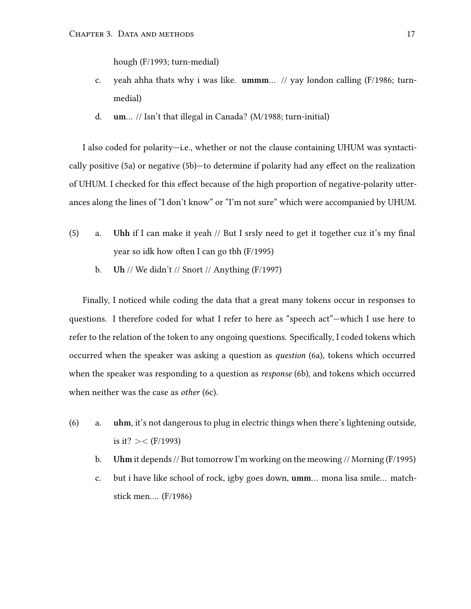hough (F/1993; turn-medial)

- c. yeah ahha thats why i was like. **ummm**… // yay london calling (F/1986; turnmedial)
- d. **um**… // Isn't that illegal in Canada? (M/1988; turn-initial)

I also coded for polarity—i.e., whether or not the clause containing UHUM was syntactically positive (5a) or negative (5b)—to determine if polarity had any effect on the realization of UHUM. I checked for this effect because of the high proportion of negative-polarity utterances along the lines of "I don't know" or "I'm not sure" which were accompanied by UHUM.

- (5) a. **Uhh** if I can make it yeah // But I srsly need to get it together cuz it's my final year so idk how often I can go tbh (F/1995)
	- b. **Uh** // We didn't // Snort // Anything (F/1997)

Finally, I noticed while coding the data that a great many tokens occur in responses to questions. I therefore coded for what I refer to here as "speech act"—which I use here to refer to the relation of the token to any ongoing questions. Specifically, I coded tokens which occurred when the speaker was asking a question as *question* (6a), tokens which occurred when the speaker was responding to a question as *response* (6b), and tokens which occurred when neither was the case as *other* (6c).

- (6) a. **uhm**, it's not dangerous to plug in electric things when there's lightening outside, is it? *><* (F/1993)
	- b. **Uhm** it depends // But tomorrow I'm working on the meowing // Morning (F/1995)
	- c. but i have like school of rock, igby goes down, **umm**… mona lisa smile… matchstick men…. (F/1986)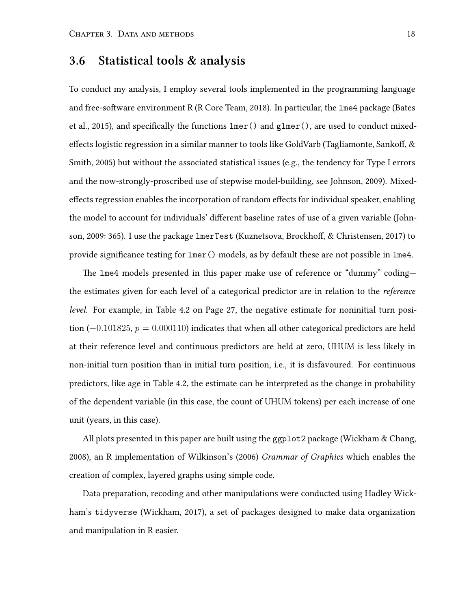### <span id="page-30-0"></span>**3.6 Statistical tools & analysis**

To conduct my analysis, I employ several tools implemented in the programming language and free-software environment R (R Core Team, [2018](#page-86-3)). In particular, the lme4 package (Bates et al., [2015\)](#page-83-0), and specifically the functions lmer() and glmer(), are used to conduct mixedeffects logistic regression in a similar manner to tools like GoldVarb (Tagliamonte, Sankoff, & Smith, [2005\)](#page-86-9) but without the associated statistical issues (e.g., the tendency for Type I errors and the now-strongly-proscribed use of stepwise model-building, see Johnson, [2009](#page-84-5)). Mixedeffects regression enables the incorporation of random effects for individual speaker, enabling the model to account for individuals' different baseline rates of use of a given variable (Johnson, [2009:](#page-84-5) 365). I use the package lmerTest (Kuznetsova, Brockhoff, & Christensen, [2017\)](#page-84-6) to provide significance testing for lmer() models, as by default these are not possible in lme4.

The lme4 models presented in this paper make use of reference or "dummy" coding the estimates given for each level of a categorical predictor are in relation to the *reference level*. For example, in Table [4.2](#page-39-0) on Page [27,](#page-39-0) the negative estimate for noninitial turn position (*−*0*.*101825, *p* = 0*.*000110) indicates that when all other categorical predictors are held at their reference level and continuous predictors are held at zero, UHUM is less likely in non-initial turn position than in initial turn position, i.e., it is disfavoured. For continuous predictors, like age in Table [4.2,](#page-39-0) the estimate can be interpreted as the change in probability of the dependent variable (in this case, the count of UHUM tokens) per each increase of one unit (years, in this case).

All plots presented in this paper are built using the ggplot 2 package (Wickham & Chang, [2008](#page-87-4)), an R implementation of Wilkinson's [\(2006\)](#page-87-5) *Grammar of Graphics* which enables the creation of complex, layered graphs using simple code.

Data preparation, recoding and other manipulations were conducted using Hadley Wickham's tidyverse (Wickham, [2017](#page-87-6)), a set of packages designed to make data organization and manipulation in R easier.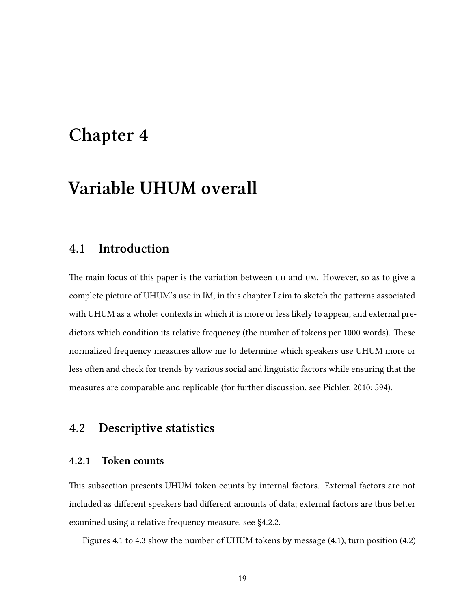## <span id="page-31-0"></span>**Chapter 4**

## **Variable UHUM overall**

### <span id="page-31-1"></span>**4.1 Introduction**

The main focus of this paper is the variation between uh and um. However, so as to give a complete picture of UHUM's use in IM, in this chapter I aim to sketch the patterns associated with UHUM as a whole: contexts in which it is more or less likely to appear, and external predictors which condition its relative frequency (the number of tokens per 1000 words). These normalized frequency measures allow me to determine which speakers use UHUM more or less often and check for trends by various social and linguistic factors while ensuring that the measures are comparable and replicable (for further discussion, see Pichler, [2010:](#page-85-6) 594).

### <span id="page-31-2"></span>**4.2 Descriptive statistics**

#### <span id="page-31-3"></span>**4.2.1 Token counts**

This subsection presents UHUM token counts by internal factors. External factors are not included as different speakers had different amounts of data; external factors are thus better examined using a relative frequency measure, see [§4.2.2](#page-32-0).

Figures [4.1](#page-32-1) to [4.3](#page-33-1) show the number of UHUM tokens by message [\(4.1\)](#page-32-1), turn position [\(4.2](#page-33-0))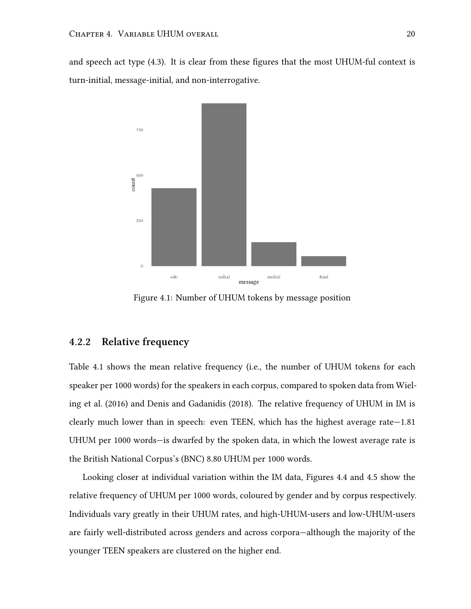<span id="page-32-1"></span>and speech act type([4.3\)](#page-33-1). It is clear from these figures that the most UHUM-ful context is turn-initial, message-initial, and non-interrogative.



Figure 4.1: Number of UHUM tokens by message position

#### <span id="page-32-0"></span>**4.2.2 Relative frequency**

Table [4.1](#page-34-0) shows the mean relative frequency (i.e., the number of UHUM tokens for each speaker per 1000 words) for the speakers in each corpus, compared to spoken data from Wieling et al.([2016\)](#page-87-0) and Denis and Gadanidis [\(2018](#page-83-1)). The relative frequency of UHUM in IM is clearly much lower than in speech: even TEEN, which has the highest average rate—1.81 UHUM per 1000 words—is dwarfed by the spoken data, in which the lowest average rate is the British National Corpus's (BNC) 8.80 UHUM per 1000 words.

Looking closer at individual variation within the IM data, Figures [4.4](#page-34-1) and [4.5](#page-35-0) show the relative frequency of UHUM per 1000 words, coloured by gender and by corpus respectively. Individuals vary greatly in their UHUM rates, and high-UHUM-users and low-UHUM-users are fairly well-distributed across genders and across corpora—although the majority of the younger TEEN speakers are clustered on the higher end.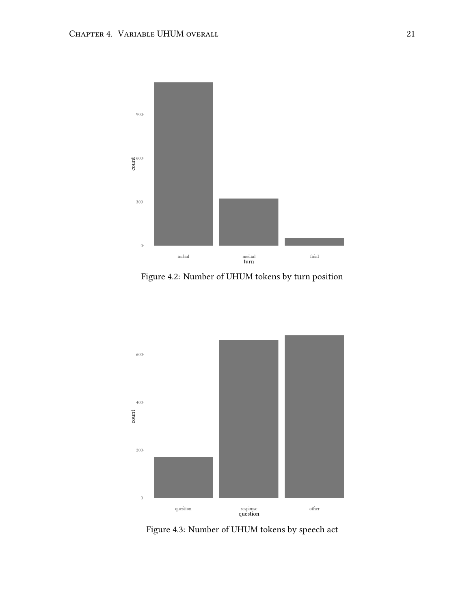<span id="page-33-0"></span>

Figure 4.2: Number of UHUM tokens by turn position

<span id="page-33-1"></span>

Figure 4.3: Number of UHUM tokens by speech act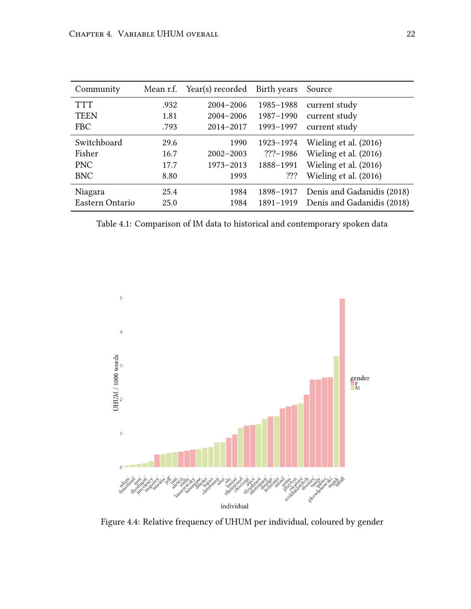<span id="page-34-0"></span>

| Community       | Mean r.f. | Year(s) recorded | Birth years  | Source                     |
|-----------------|-----------|------------------|--------------|----------------------------|
| <b>TTT</b>      | .932      | $2004 - 2006$    | 1985-1988    | current study              |
| <b>TEEN</b>     | 1.81      | $2004 - 2006$    | 1987-1990    | current study              |
| <b>FBC</b>      | .793      | $2014 - 2017$    | 1993-1997    | current study              |
| Switchboard     | 29.6      | 1990             | 1923-1974    | Wieling et al. (2016)      |
| Fisher          | 16.7      | $2002 - 2003$    | $??? - 1986$ | Wieling et al. (2016)      |
| <b>PNC</b>      | 17.7      | 1973-2013        | 1888-1991    | Wieling et al. (2016)      |
| <b>BNC</b>      | 8.80      | 1993             | ???          | Wieling et al. (2016)      |
| Niagara         | 25.4      | 1984             | 1898-1917    | Denis and Gadanidis (2018) |
| Eastern Ontario | 25.0      | 1984             | 1891-1919    | Denis and Gadanidis (2018) |

Table 4.1: Comparison of IM data to historical and contemporary spoken data

<span id="page-34-1"></span>

Figure 4.4: Relative frequency of UHUM per individual, coloured by gender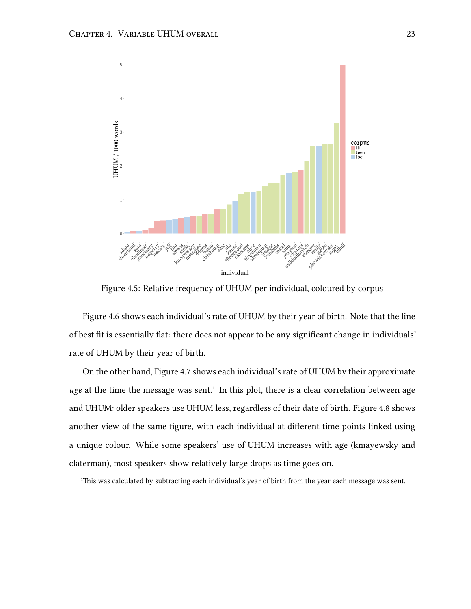<span id="page-35-0"></span>

Figure 4.5: Relative frequency of UHUM per individual, coloured by corpus

Figure [4.6](#page-36-0) shows each individual's rate of UHUM by their year of birth. Note that the line of best fit is essentially flat: there does not appear to be any significant change in individuals' rate of UHUM by their year of birth.

On the other hand, Figure [4.7](#page-36-1) shows each individual's rate of UHUM by their approximate *age* at the time the message was sent.<sup>1</sup> In this plot, there is a clear correlation between age and UHUM: older speakers use UHUM less, regardless of their date of birth. Figure [4.8](#page-37-0) shows another view of the same figure, with each individual at different time points linked using a unique colour. While some speakers' use of UHUM increases with age (kmayewsky and claterman), most speakers show relatively large drops as time goes on.

<sup>&</sup>lt;sup>1</sup>This was calculated by subtracting each individual's year of birth from the year each message was sent.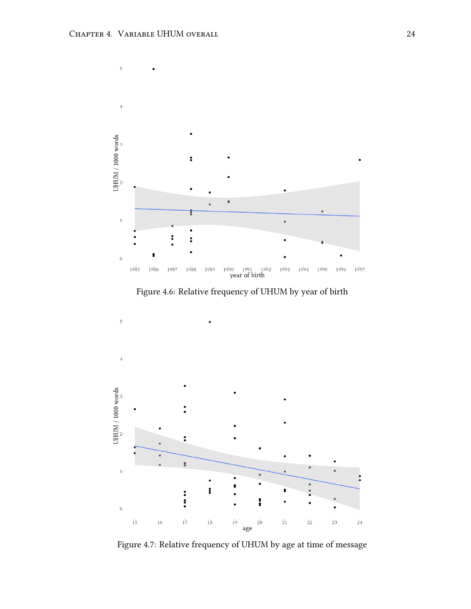

Figure 4.6: Relative frequency of UHUM by year of birth



Figure 4.7: Relative frequency of UHUM by age at time of message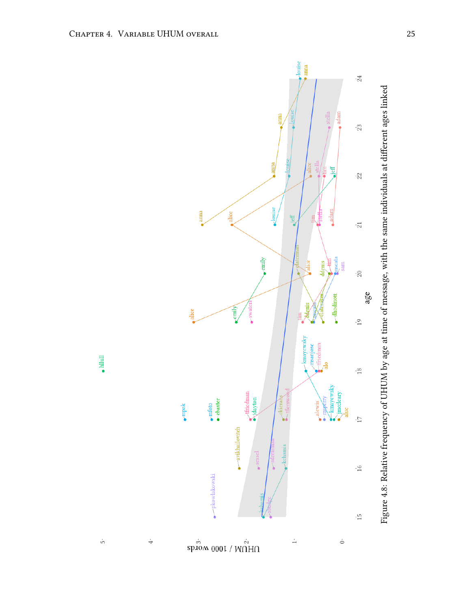



 $\dot{\rm b}$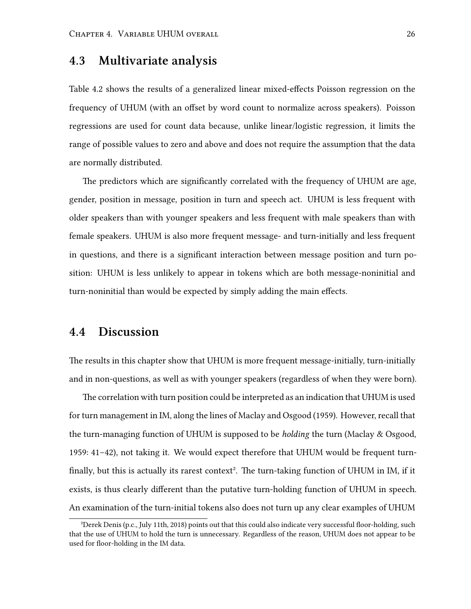## **4.3 Multivariate analysis**

Table [4.2](#page-39-0) shows the results of a generalized linear mixed-effects Poisson regression on the frequency of UHUM (with an offset by word count to normalize across speakers). Poisson regressions are used for count data because, unlike linear/logistic regression, it limits the range of possible values to zero and above and does not require the assumption that the data are normally distributed.

The predictors which are significantly correlated with the frequency of UHUM are age, gender, position in message, position in turn and speech act. UHUM is less frequent with older speakers than with younger speakers and less frequent with male speakers than with female speakers. UHUM is also more frequent message- and turn-initially and less frequent in questions, and there is a significant interaction between message position and turn position: UHUM is less unlikely to appear in tokens which are both message-noninitial and turn-noninitial than would be expected by simply adding the main effects.

## **4.4 Discussion**

The results in this chapter show that UHUM is more frequent message-initially, turn-initially and in non-questions, as well as with younger speakers (regardless of when they were born).

The correlation with turn position could be interpreted as an indication that UHUM is used for turn management in IM, along the lines of Maclay and Osgood([1959](#page-85-0)). However, recall that the turn-managing function of UHUM is supposed to be *holding* the turn (Maclay & Osgood, [1959](#page-85-0): 41–42), not taking it. We would expect therefore that UHUM would be frequent turnfinally, but this is actually its rarest context<sup>2</sup>. The turn-taking function of UHUM in IM, if it exists, is thus clearly different than the putative turn-holding function of UHUM in speech. An examination of the turn-initial tokens also does not turn up any clear examples of UHUM

²Derek Denis (p.c., July 11th, 2018) points out that this could also indicate very successful floor-holding, such that the use of UHUM to hold the turn is unnecessary. Regardless of the reason, UHUM does not appear to be used for floor-holding in the IM data.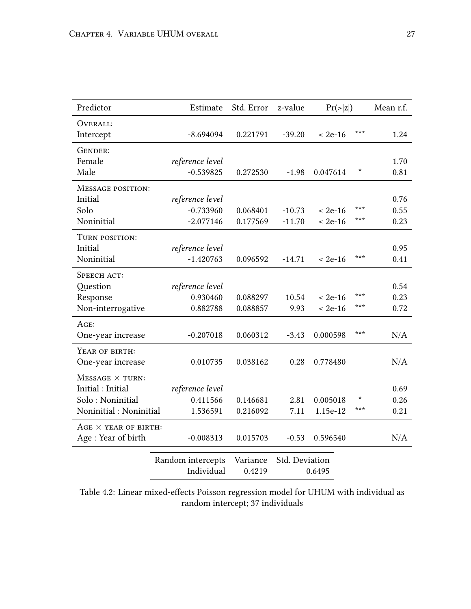<span id="page-39-0"></span>

| Predictor                   | Estimate          | Std. Error | z-value        | $Pr(\ge  z )$ |     | Mean r.f. |
|-----------------------------|-------------------|------------|----------------|---------------|-----|-----------|
| OVERALL:                    |                   |            |                |               |     |           |
| Intercept                   | $-8.694094$       | 0.221791   | $-39.20$       | $< 2e-16$     | *** | 1.24      |
| GENDER:                     |                   |            |                |               |     |           |
| Female                      | reference level   |            |                |               |     | 1.70      |
| Male                        | $-0.539825$       | 0.272530   | $-1.98$        | 0.047614      | *   | 0.81      |
| MESSAGE POSITION:           |                   |            |                |               |     |           |
| Initial                     | reference level   |            |                |               |     | 0.76      |
| Solo                        | $-0.733960$       | 0.068401   | $-10.73$       | $< 2e-16$     | *** | 0.55      |
| Noninitial                  | $-2.077146$       | 0.177569   | $-11.70$       | $< 2e-16$     | *** | 0.23      |
| TURN POSITION:              |                   |            |                |               |     |           |
| Initial                     | reference level   |            |                |               |     | 0.95      |
| Noninitial                  | $-1.420763$       | 0.096592   | $-14.71$       | $< 2e-16$     | *** | 0.41      |
| SPEECH ACT:                 |                   |            |                |               |     |           |
| Question                    | reference level   |            |                |               |     | 0.54      |
| Response                    | 0.930460          | 0.088297   | 10.54          | $< 2e-16$     | *** | 0.23      |
| Non-interrogative           | 0.882788          | 0.088857   | 9.93           | $< 2e-16$     | *** | 0.72      |
| AGE:                        |                   |            |                |               |     |           |
| One-year increase           | $-0.207018$       | 0.060312   | $-3.43$        | 0.000598      | *** | N/A       |
| YEAR OF BIRTH:              |                   |            |                |               |     |           |
| One-year increase           | 0.010735          | 0.038162   | 0.28           | 0.778480      |     | N/A       |
| $MESSAGE \times TURN$       |                   |            |                |               |     |           |
| Initial: Initial            | reference level   |            |                |               |     | 0.69      |
| Solo: Noninitial            | 0.411566          | 0.146681   | 2.81           | 0.005018      |     | 0.26      |
| Noninitial: Noninitial      | 1.536591          | 0.216092   | 7.11           | 1.15e-12      | *** | 0.21      |
| $AGE \times YEAR$ of BIRTH: |                   |            |                |               |     |           |
| Age: Year of birth          | $-0.008313$       | 0.015703   | $-0.53$        | 0.596540      |     | N/A       |
|                             | Random intercepts | Variance   | Std. Deviation |               |     |           |
|                             | Individual        | 0.4219     |                | 0.6495        |     |           |

Table 4.2: Linear mixed-effects Poisson regression model for UHUM with individual as random intercept; 37 individuals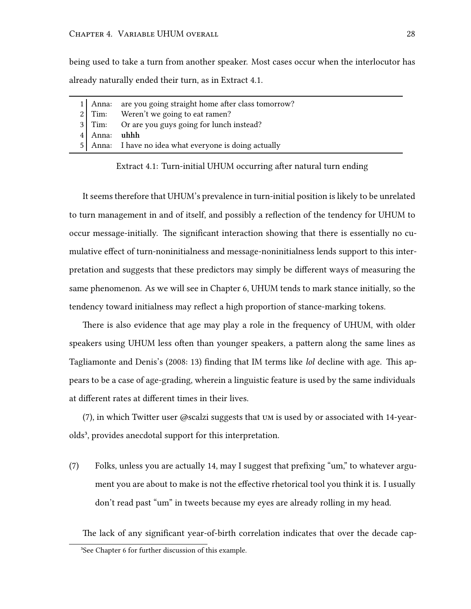being used to take a turn from another speaker. Most cases occur when the interlocutor has already naturally ended their turn, as in Extract [4.1](#page-40-0).

<span id="page-40-0"></span>

|              | 1 Anna: are you going straight home after class tomorrow? |
|--------------|-----------------------------------------------------------|
|              | 2 Tim: Weren't we going to eat ramen?                     |
|              | 3 Tim: Or are you guys going for lunch instead?           |
| 4 Anna: uhhh |                                                           |
|              | 5 Anna: I have no idea what everyone is doing actually    |

Extract 4.1: Turn-initial UHUM occurring after natural turn ending

It seems therefore that UHUM's prevalence in turn-initial position is likely to be unrelated to turn management in and of itself, and possibly a reflection of the tendency for UHUM to occur message-initially. The significant interaction showing that there is essentially no cumulative effect of turn-noninitialness and message-noninitialness lends support to this interpretation and suggests that these predictors may simply be different ways of measuring the same phenomenon. As we will see in Chapter [6](#page-54-0), UHUM tends to mark stance initially, so the tendency toward initialness may reflect a high proportion of stance-marking tokens.

There is also evidence that age may play a role in the frequency of UHUM, with older speakers using UHUM less often than younger speakers, a pattern along the same lines as Tagliamonte and Denis's [\(2008](#page-86-0): 13) finding that IM terms like *lol* decline with age. This appears to be a case of age-grading, wherein a linguistic feature is used by the same individuals at different rates at different times in their lives.

(7), in which Twitter user @scalzi suggests that um is used by or associated with 14-yearolds<sup>3</sup>, provides anecdotal support for this interpretation.

(7) Folks, unless you are actually 14, may I suggest that prefixing "um," to whatever argument you are about to make is not the effective rhetorical tool you think it is. I usually don't read past "um" in tweets because my eyes are already rolling in my head.

The lack of any significant year-of-birth correlation indicates that over the decade cap-

<sup>&</sup>lt;sup>3</sup>See Chapter [6](#page-54-0) for further discussion of this example.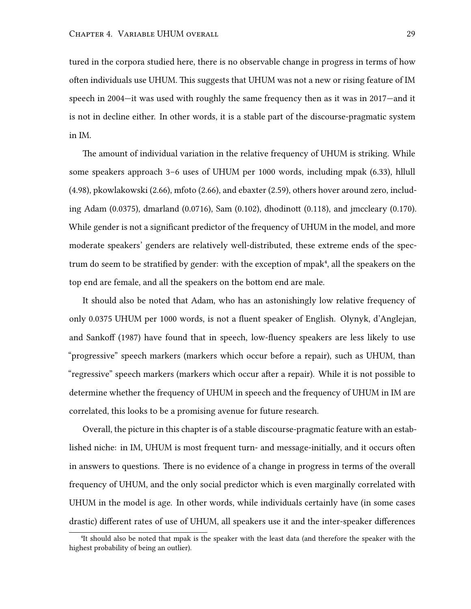tured in the corpora studied here, there is no observable change in progress in terms of how often individuals use UHUM. This suggests that UHUM was not a new or rising feature of IM speech in 2004—it was used with roughly the same frequency then as it was in 2017—and it is not in decline either. In other words, it is a stable part of the discourse-pragmatic system in IM.

The amount of individual variation in the relative frequency of UHUM is striking. While some speakers approach 3–6 uses of UHUM per 1000 words, including mpak (6.33), hllull (4.98), pkowlakowski (2.66), mfoto (2.66), and ebaxter (2.59), others hover around zero, including Adam (0.0375), dmarland (0.0716), Sam (0.102), dhodinott (0.118), and jmccleary (0.170). While gender is not a significant predictor of the frequency of UHUM in the model, and more moderate speakers' genders are relatively well-distributed, these extreme ends of the spectrum do seem to be stratified by gender: with the exception of mpak<sup>4</sup>, all the speakers on the top end are female, and all the speakers on the bottom end are male.

It should also be noted that Adam, who has an astonishingly low relative frequency of only 0.0375 UHUM per 1000 words, is not a fluent speaker of English. Olynyk, d'Anglejan, and Sankoff [\(1987](#page-85-1)) have found that in speech, low-fluency speakers are less likely to use "progressive" speech markers (markers which occur before a repair), such as UHUM, than "regressive" speech markers (markers which occur after a repair). While it is not possible to determine whether the frequency of UHUM in speech and the frequency of UHUM in IM are correlated, this looks to be a promising avenue for future research.

Overall, the picture in this chapter is of a stable discourse-pragmatic feature with an established niche: in IM, UHUM is most frequent turn- and message-initially, and it occurs often in answers to questions. There is no evidence of a change in progress in terms of the overall frequency of UHUM, and the only social predictor which is even marginally correlated with UHUM in the model is age. In other words, while individuals certainly have (in some cases drastic) different rates of use of UHUM, all speakers use it and the inter-speaker differences

⁴It should also be noted that mpak is the speaker with the least data (and therefore the speaker with the highest probability of being an outlier).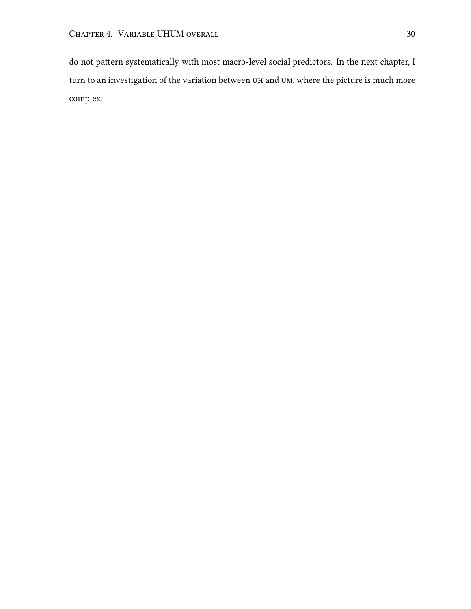do not pattern systematically with most macro-level social predictors. In the next chapter, I turn to an investigation of the variation between uh and um, where the picture is much more complex.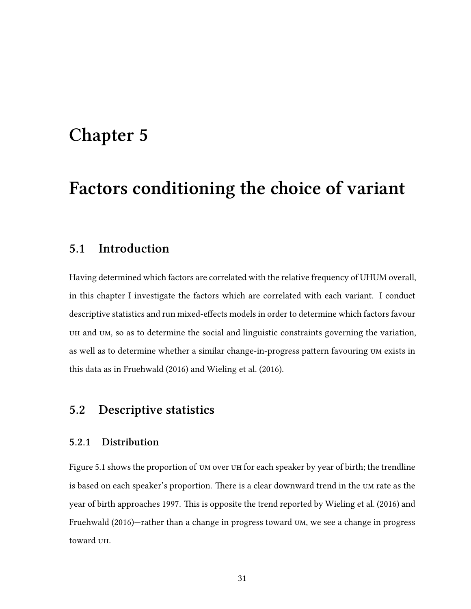# **Chapter 5**

# **Factors conditioning the choice of variant**

# **5.1 Introduction**

Having determined which factors are correlated with the relative frequency of UHUM overall, in this chapter I investigate the factors which are correlated with each variant. I conduct descriptive statistics and run mixed-effects models in order to determine which factors favour uh and um, so as to determine the social and linguistic constraints governing the variation, as well as to determine whether a similar change-in-progress pattern favouring um exists in this data as in Fruehwald [\(2016](#page-84-0)) and Wieling et al.([2016\)](#page-87-0).

## **5.2 Descriptive statistics**

### **5.2.1 Distribution**

Figure [5.1](#page-44-0) shows the proportion of um over uh for each speaker by year of birth; the trendline is based on each speaker's proportion. There is a clear downward trend in the um rate as the year of birth approaches 1997. This is opposite the trend reported by Wieling et al.([2016\)](#page-87-0) and Fruehwald([2016\)](#page-84-0)—rather than a change in progress toward um, we see a change in progress toward uh.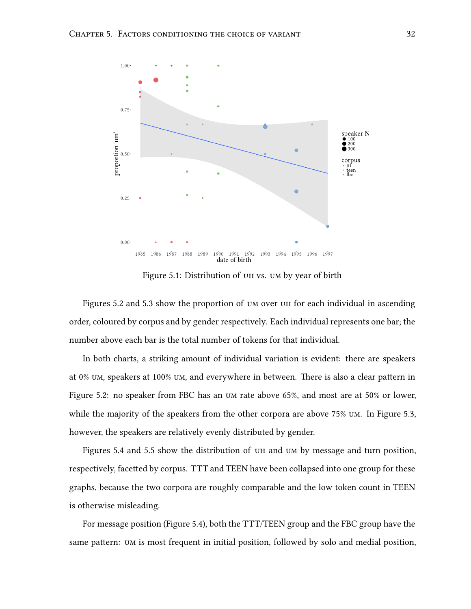<span id="page-44-0"></span>

Figure 5.1: Distribution of uh vs. um by year of birth

Figures [5.2](#page-45-0) and [5.3](#page-45-1) show the proportion of um over uh for each individual in ascending order, coloured by corpus and by gender respectively. Each individual represents one bar; the number above each bar is the total number of tokens for that individual.

In both charts, a striking amount of individual variation is evident: there are speakers at 0% um, speakers at 100% um, and everywhere in between. There is also a clear pattern in Figure [5.2:](#page-45-0) no speaker from FBC has an um rate above 65%, and most are at 50% or lower, while the majority of the speakers from the other corpora are above 75% um. In Figure [5.3,](#page-45-1) however, the speakers are relatively evenly distributed by gender.

Figures [5.4](#page-48-0) and [5.5](#page-49-0) show the distribution of uh and um by message and turn position, respectively, facetted by corpus. TTT and TEEN have been collapsed into one group for these graphs, because the two corpora are roughly comparable and the low token count in TEEN is otherwise misleading.

For message position (Figure [5.4](#page-48-0)), both the TTT/TEEN group and the FBC group have the same pattern: um is most frequent in initial position, followed by solo and medial position,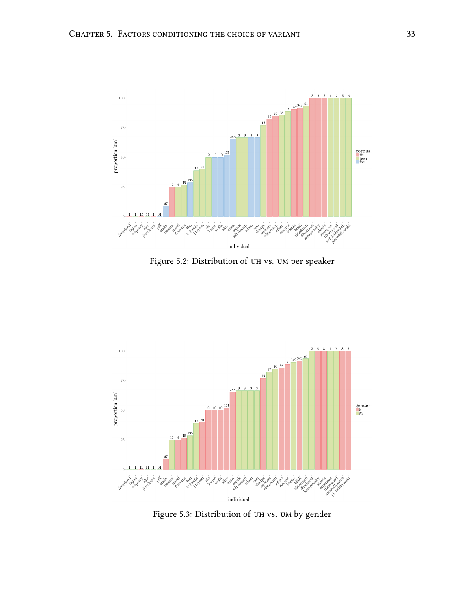<span id="page-45-0"></span>

Figure 5.2: Distribution of uh vs. um per speaker

<span id="page-45-1"></span>

Figure 5.3: Distribution of uh vs. um by gender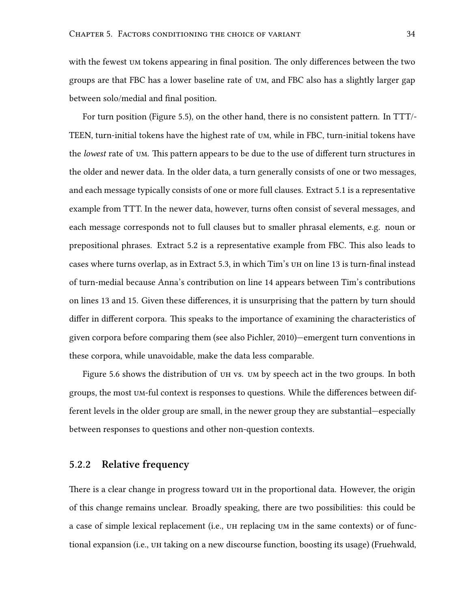with the fewest um tokens appearing in final position. The only differences between the two groups are that FBC has a lower baseline rate of um, and FBC also has a slightly larger gap between solo/medial and final position.

For turn position (Figure [5.5](#page-49-0)), on the other hand, there is no consistent pattern. In TTT/- TEEN, turn-initial tokens have the highest rate of um, while in FBC, turn-initial tokens have the *lowest* rate of um. This pattern appears to be due to the use of different turn structures in the older and newer data. In the older data, a turn generally consists of one or two messages, and each message typically consists of one or more full clauses. Extract [5.1](#page-47-0) is a representative example from TTT. In the newer data, however, turns often consist of several messages, and each message corresponds not to full clauses but to smaller phrasal elements, e.g. noun or prepositional phrases. Extract [5.2](#page-47-1) is a representative example from FBC. This also leads to cases where turns overlap, as in Extract [5.3,](#page-48-1) in which Tim's uh on line 13 is turn-final instead of turn-medial because Anna's contribution on line 14 appears between Tim's contributions on lines 13 and 15. Given these differences, it is unsurprising that the pattern by turn should differ in different corpora. This speaks to the importance of examining the characteristics of given corpora before comparing them (see also Pichler, [2010\)](#page-85-2)—emergent turn conventions in these corpora, while unavoidable, make the data less comparable.

Figure [5.6](#page-49-1) shows the distribution of uh vs. um by speech act in the two groups. In both groups, the most um-ful context is responses to questions. While the differences between different levels in the older group are small, in the newer group they are substantial—especially between responses to questions and other non-question contexts.

### **5.2.2 Relative frequency**

There is a clear change in progress toward uh in the proportional data. However, the origin of this change remains unclear. Broadly speaking, there are two possibilities: this could be a case of simple lexical replacement (i.e., uh replacing um in the same contexts) or of functional expansion (i.e., uh taking on a new discourse function, boosting its usage) (Fruehwald,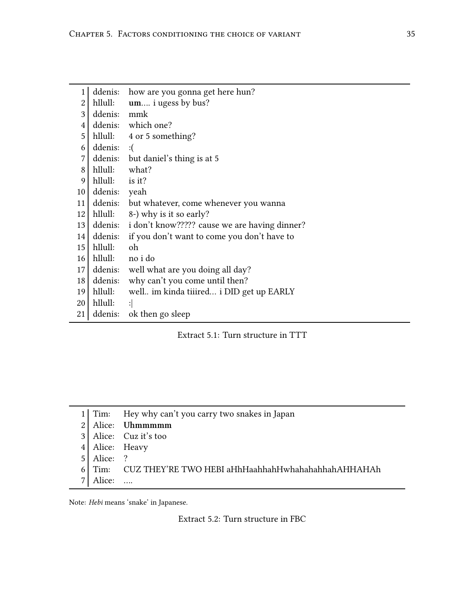<span id="page-47-0"></span>

| $\mathbf{1}$            | ddenis:      | how are you gonna get here hun?               |
|-------------------------|--------------|-----------------------------------------------|
| $\overline{c}$          | hllull:      | um i ugess by bus?                            |
| 3                       | ddenis:      | mmk                                           |
| $\overline{\mathbf{4}}$ |              | ddenis: which one?                            |
| 5                       | hllull:      | 4 or 5 something?                             |
| 6                       | ddenis:      | : (                                           |
| 7                       |              | ddenis: but daniel's thing is at 5            |
| 8                       | hllull:      | what?                                         |
| 9                       | hllull:      | is it?                                        |
| 10                      | ddenis: yeah |                                               |
| 11                      | ddenis:      | but whatever, come whenever you wanna         |
| 12                      |              | hllull: 8-) why is it so early?               |
| 13                      | ddenis:      | i don't know????? cause we are having dinner? |
| 14                      | ddenis:      | if you don't want to come you don't have to   |
| 15                      | hllull:      | oh                                            |
| 16                      | hllull:      | no i do                                       |
| 17                      | ddenis:      | well what are you doing all day?              |
| 18                      | ddenis:      | why can't you come until then?                |
| 19                      | hllull:      | well im kinda tiiired i DID get up EARLY      |
| 20                      | hllull:      | :                                             |
| 21                      |              | ddenis: ok then go sleep                      |

Extract 5.1: Turn structure in TTT

<span id="page-47-1"></span>

|  |  | 1 Tim: Hey why can't you carry two snakes in Japan |  |  |  |  |
|--|--|----------------------------------------------------|--|--|--|--|
|--|--|----------------------------------------------------|--|--|--|--|

- Alice: **Uhmmmmm**
- Alice: Cuz it's too
- 4 Alice: Heavy
- Alice: ?
- Tim: CUZ THEY'RE TWO HEBI aHhHaahhahHwhahahahhahAHHAHAh
- Alice: ….

Note: *Hebi* means 'snake' in Japanese.

Extract 5.2: Turn structure in FBC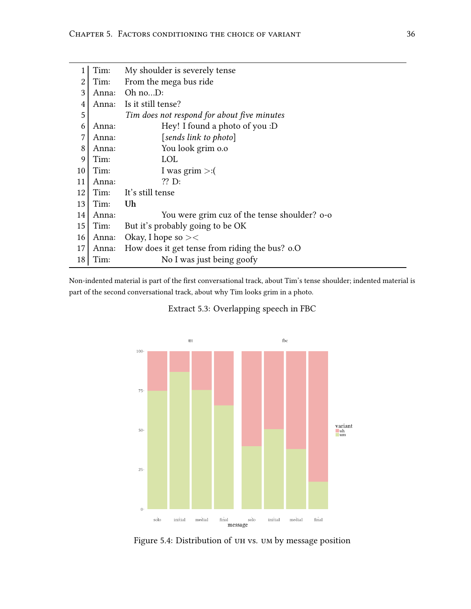<span id="page-48-1"></span>

|                | Tim:  | My shoulder is severely tense                  |
|----------------|-------|------------------------------------------------|
| $\overline{2}$ | Tim:  | From the mega bus ride                         |
| 3              | Anna: | Oh noD:                                        |
| $\overline{4}$ | Anna: | Is it still tense?                             |
| 5              |       | Tim does not respond for about five minutes    |
| 6              | Anna: | Hey! I found a photo of you :D                 |
| $\overline{7}$ | Anna: | [sends link to photo]                          |
| 8              | Anna: | You look grim o.o                              |
| 9              | Tim:  | <b>LOL</b>                                     |
| 10             | Tim:  | I was grim $>:($                               |
| 11             | Anna: | $??$ D:                                        |
| 12             | Tim:  | It's still tense                               |
| 13             | Tim:  | Uh                                             |
| 14             | Anna: | You were grim cuz of the tense shoulder? o-o   |
| 15             | Tim:  | But it's probably going to be OK               |
| 16             | Anna: | Okay, I hope so $><$                           |
| 17             | Anna: | How does it get tense from riding the bus? o.O |
| 18             | Tim:  | No I was just being goofy                      |

<span id="page-48-0"></span>Non-indented material is part of the first conversational track, about Tim's tense shoulder; indented material is part of the second conversational track, about why Tim looks grim in a photo.

Extract 5.3: Overlapping speech in FBC



Figure 5.4: Distribution of uh vs. um by message position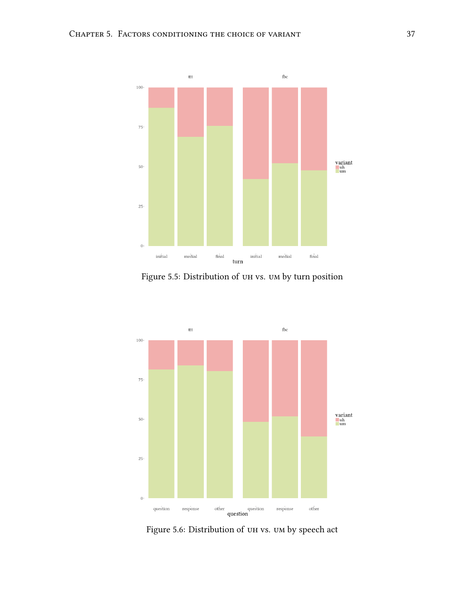<span id="page-49-0"></span>

Figure 5.5: Distribution of uh vs. um by turn position

<span id="page-49-1"></span>

Figure 5.6: Distribution of uh vs. um by speech act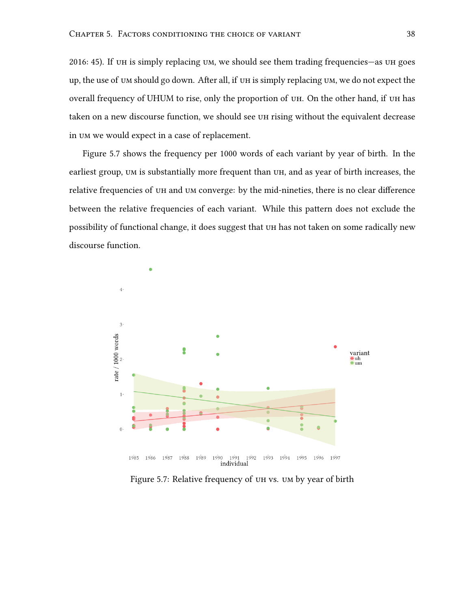[2016](#page-84-0): 45). If uh is simply replacing um, we should see them trading frequencies—as uh goes up, the use of um should go down. After all, if uh is simply replacing um, we do not expect the overall frequency of UHUM to rise, only the proportion of uh. On the other hand, if uh has taken on a new discourse function, we should see uh rising without the equivalent decrease in um we would expect in a case of replacement.

Figure [5.7](#page-50-0) shows the frequency per 1000 words of each variant by year of birth. In the earliest group, UM is substantially more frequent than UH, and as year of birth increases, the relative frequencies of uh and um converge: by the mid-nineties, there is no clear difference between the relative frequencies of each variant. While this pattern does not exclude the possibility of functional change, it does suggest that uh has not taken on some radically new discourse function.

<span id="page-50-0"></span>

Figure 5.7: Relative frequency of uh vs. um by year of birth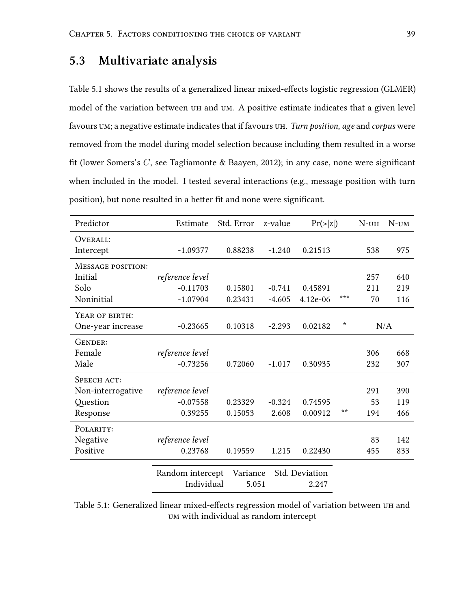# **5.3 Multivariate analysis**

Table [5.1](#page-51-0) shows the results of a generalized linear mixed-effects logistic regression (GLMER) model of the variation between uh and um. A positive estimate indicates that a given level favours um; a negative estimate indicates that if favours uh. *Turn position*, *age* and *corpus* were removed from the model during model selection because including them resulted in a worse fit (lower Somers's *C*, see Tagliamonte & Baayen, [2012\)](#page-86-1); in any case, none were significant when included in the model. I tested several interactions (e.g., message position with turn position), but none resulted in a better fit and none were significant.

<span id="page-51-0"></span>

| Estimate   | Std. Error                                                               | z-value                        |                   |                         | $N$ - $UH$    | $N$ -UM |
|------------|--------------------------------------------------------------------------|--------------------------------|-------------------|-------------------------|---------------|---------|
|            |                                                                          |                                |                   |                         |               |         |
| $-1.09377$ | 0.88238                                                                  | $-1.240$                       | 0.21513           |                         | 538           | 975     |
|            |                                                                          |                                |                   |                         |               |         |
|            |                                                                          |                                |                   |                         | 257           | 640     |
| $-0.11703$ | 0.15801                                                                  | $-0.741$                       | 0.45891           |                         | 211           | 219     |
| $-1.07904$ | 0.23431                                                                  | $-4.605$                       | $4.12e-06$        | ***                     | 70            | 116     |
|            |                                                                          |                                |                   |                         |               |         |
| $-0.23665$ | 0.10318                                                                  | $-2.293$                       | 0.02182           | $^\star$                |               | N/A     |
|            |                                                                          |                                |                   |                         |               |         |
|            |                                                                          |                                |                   |                         | 306           | 668     |
| $-0.73256$ | 0.72060                                                                  | $-1.017$                       | 0.30935           |                         | 232           | 307     |
|            |                                                                          |                                |                   |                         |               |         |
|            |                                                                          |                                |                   |                         | 291           | 390     |
| $-0.07558$ | 0.23329                                                                  | $-0.324$                       | 0.74595           |                         | 53            | 119     |
| 0.39255    | 0.15053                                                                  | 2.608                          | 0.00912           | $* *$                   | 194           | 466     |
|            |                                                                          |                                |                   |                         |               |         |
|            |                                                                          |                                |                   |                         | 83            | 142     |
| 0.23768    | 0.19559                                                                  | 1.215                          | 0.22430           |                         | 455           | 833     |
|            |                                                                          |                                |                   |                         |               |         |
|            |                                                                          |                                |                   |                         |               |         |
|            | reference level<br>reference level<br>reference level<br>reference level | Random intercept<br>Individual | Variance<br>5.051 | Std. Deviation<br>2.247 | $Pr(\ge  z )$ |         |

Table 5.1: Generalized linear mixed-effects regression model of variation between uh and um with individual as random intercept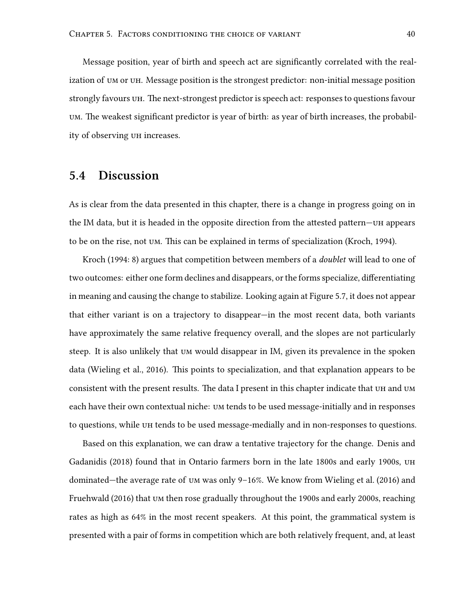Message position, year of birth and speech act are significantly correlated with the realization of um or uh. Message position is the strongest predictor: non-initial message position strongly favours uh. The next-strongest predictor is speech act: responses to questions favour um. The weakest significant predictor is year of birth: as year of birth increases, the probability of observing uh increases.

# **5.4 Discussion**

As is clear from the data presented in this chapter, there is a change in progress going on in the IM data, but it is headed in the opposite direction from the attested pattern—uh appears to be on the rise, not um. This can be explained in terms of specialization (Kroch, [1994\)](#page-84-1).

Kroch([1994:](#page-84-1) 8) argues that competition between members of a *doublet* will lead to one of two outcomes: either one form declines and disappears, or the forms specialize, differentiating in meaning and causing the change to stabilize. Looking again at Figure [5.7,](#page-50-0) it does not appear that either variant is on a trajectory to disappear—in the most recent data, both variants have approximately the same relative frequency overall, and the slopes are not particularly steep. It is also unlikely that um would disappear in IM, given its prevalence in the spoken data (Wieling et al., [2016\)](#page-87-0). This points to specialization, and that explanation appears to be consistent with the present results. The data I present in this chapter indicate that uh and um each have their own contextual niche: um tends to be used message-initially and in responses to questions, while uh tends to be used message-medially and in non-responses to questions.

Based on this explanation, we can draw a tentative trajectory for the change. Denis and Gadanidis [\(2018\)](#page-83-0) found that in Ontario farmers born in the late 1800s and early 1900s, uh dominated—the average rate of um was only 9–16%. We know from Wieling et al. [\(2016\)](#page-87-0) and Fruehwald [\(2016](#page-84-0)) that um then rose gradually throughout the 1900s and early 2000s, reaching rates as high as 64% in the most recent speakers. At this point, the grammatical system is presented with a pair of forms in competition which are both relatively frequent, and, at least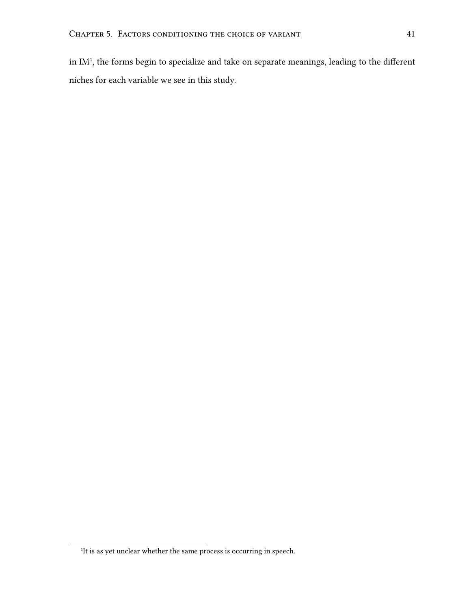in IM<sup>1</sup>, the forms begin to specialize and take on separate meanings, leading to the different niches for each variable we see in this study.

<sup>&</sup>lt;sup>1</sup>It is as yet unclear whether the same process is occurring in speech.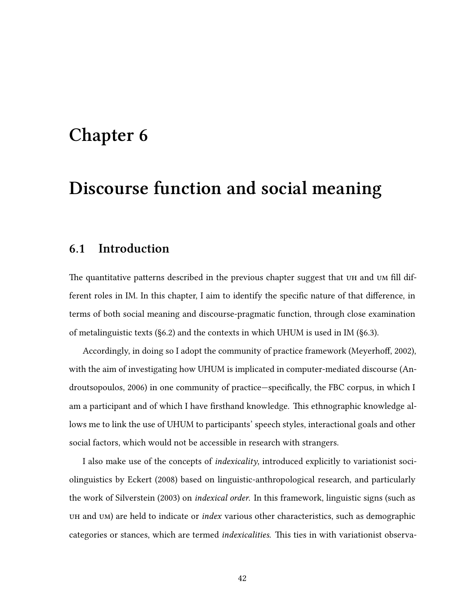# <span id="page-54-0"></span>**Chapter 6**

# **Discourse function and social meaning**

## <span id="page-54-1"></span>**6.1 Introduction**

The quantitative patterns described in the previous chapter suggest that un and um fill different roles in IM. In this chapter, I aim to identify the specific nature of that difference, in terms of both social meaning and discourse-pragmatic function, through close examination of metalinguistic texts (§[6.2](#page-55-0)) and the contexts in which UHUM is used in IM (§[6.3\)](#page-59-0).

Accordingly, in doing so I adopt the community of practice framework (Meyerhoff, [2002](#page-85-3)), with the aim of investigating how UHUM is implicated in computer-mediated discourse (Androutsopoulos, [2006\)](#page-83-1) in one community of practice—specifically, the FBC corpus, in which I am a participant and of which I have firsthand knowledge. This ethnographic knowledge allows me to link the use of UHUM to participants' speech styles, interactional goals and other social factors, which would not be accessible in research with strangers.

I also make use of the concepts of *indexicality*, introduced explicitly to variationist sociolinguistics by Eckert [\(2008](#page-84-2)) based on linguistic-anthropological research, and particularly the work of Silverstein [\(2003](#page-86-2)) on *indexical order*. In this framework, linguistic signs (such as uh and um) are held to indicate or *index* various other characteristics, such as demographic categories or stances, which are termed *indexicalities*. This ties in with variationist observa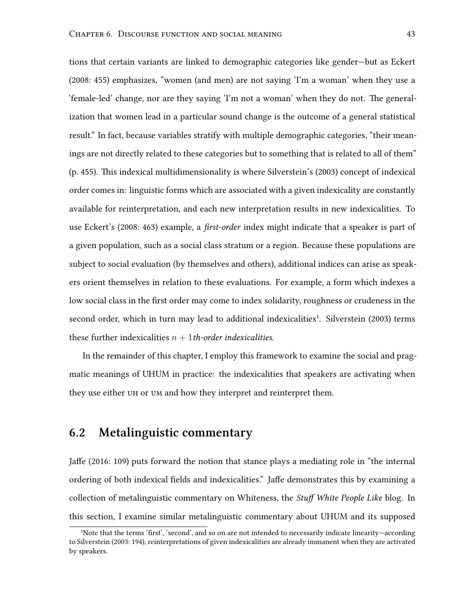tions that certain variants are linked to demographic categories like gender—but as Eckert [\(2008](#page-84-2): 455) emphasizes, "women (and men) are not saying 'I'm a woman' when they use a 'female-led' change, nor are they saying 'I'm not a woman' when they do not. The generalization that women lead in a particular sound change is the outcome of a general statistical result." In fact, because variables stratify with multiple demographic categories, "their meanings are not directly related to these categories but to something that is related to all of them" (p. 455). This indexical multidimensionality is where Silverstein's([2003\)](#page-86-2) concept of indexical order comes in: linguistic forms which are associated with a given indexicality are constantly available for reinterpretation, and each new interpretation results in new indexicalities. To use Eckert's [\(2008:](#page-84-2) 463) example, a *first-order* index might indicate that a speaker is part of a given population, such as a social class stratum or a region. Because these populations are subject to social evaluation (by themselves and others), additional indices can arise as speakers orient themselves in relation to these evaluations. For example, a form which indexes a low social class in the first order may come to index solidarity, roughness or crudeness in the secondorder, which in turn may lead to additional indexicalities<sup>1</sup>. Silverstein ([2003\)](#page-86-2) terms these further indexicalities *n* + 1*th-order indexicalities*.

In the remainder of this chapter, I employ this framework to examine the social and pragmatic meanings of UHUM in practice: the indexicalities that speakers are activating when they use either uh or um and how they interpret and reinterpret them.

## <span id="page-55-0"></span>**6.2 Metalinguistic commentary**

Jaffe([2016](#page-84-3): 109) puts forward the notion that stance plays a mediating role in "the internal ordering of both indexical fields and indexicalities." Jaffe demonstrates this by examining a collection of metalinguistic commentary on Whiteness, the *Stuff White People Like* blog. In this section, I examine similar metalinguistic commentary about UHUM and its supposed

<sup>&#</sup>x27;Note that the terms 'first', 'second', and so on are not intended to necessarily indicate linearity-according to Silverstein [\(2003:](#page-86-2) 194), reinterpretations of given indexicalities are already immanent when they are activated by speakers.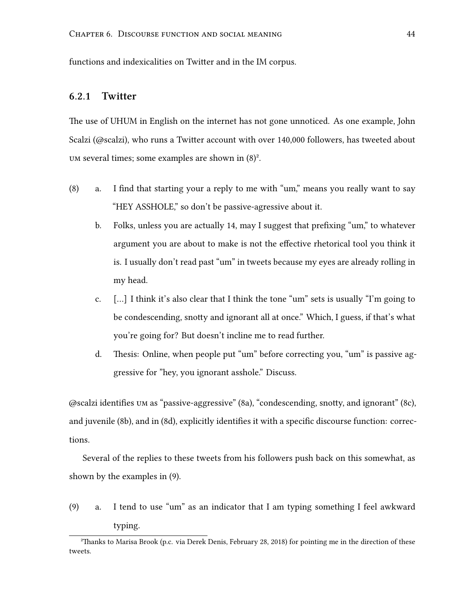functions and indexicalities on Twitter and in the IM corpus.

### **6.2.1 Twitter**

The use of UHUM in English on the internet has not gone unnoticed. As one example, John Scalzi([@scalzi\)](https://twitter.com/scalzi), who runs a Twitter account with over 140,000 followers, has tweeted about UM several times; some examples are shown in  $(8)^2$ .

- <span id="page-56-2"></span><span id="page-56-1"></span><span id="page-56-0"></span>(8) a. I find that starting your a reply to me with "um," means you really want to say "HEY ASSHOLE," so don't be passive-agressive about it.
	- b. Folks, unless you are actually 14, may I suggest that prefixing "um," to whatever argument you are about to make is not the effective rhetorical tool you think it is. I usually don't read past "um" in tweets because my eyes are already rolling in my head.
	- c. […] I think it's also clear that I think the tone "um" sets is usually "I'm going to be condescending, snotty and ignorant all at once." Which, I guess, if that's what you're going for? But doesn't incline me to read further.
	- d. Thesis: Online, when people put "um" before correcting you, "um" is passive aggressive for "hey, you ignorant asshole." Discuss.

<span id="page-56-3"></span>@scalzi identifies um as "passive-aggressive" [\(8a](#page-56-0)), "condescending, snotty, and ignorant" [\(8c](#page-56-1)), and juvenile([8b](#page-56-2)), and in([8d\)](#page-56-3), explicitly identifies it with a specific discourse function: corrections.

Several of the replies to these tweets from his followers push back on this somewhat, as shown by the examples in (9).

<span id="page-56-4"></span>(9) a. I tend to use "um" as an indicator that I am typing something I feel awkward typing.

²Thanks to Marisa Brook (p.c. via Derek Denis, February 28, 2018) for pointing me in the direction of these tweets.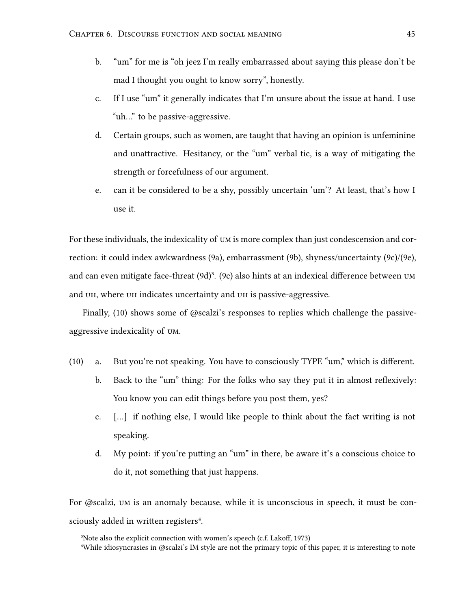- <span id="page-57-0"></span>b. "um" for me is "oh jeez I'm really embarrassed about saying this please don't be mad I thought you ought to know sorry", honestly.
- <span id="page-57-1"></span>c. If I use "um" it generally indicates that I'm unsure about the issue at hand. I use "uh…" to be passive-aggressive.
- <span id="page-57-3"></span>d. Certain groups, such as women, are taught that having an opinion is unfeminine and unattractive. Hesitancy, or the "um" verbal tic, is a way of mitigating the strength or forcefulness of our argument.
- <span id="page-57-2"></span>e. can it be considered to be a shy, possibly uncertain 'um'? At least, that's how I use it.

For these individuals, the indexicality of um is more complex than just condescension and correction: it could index awkwardness [\(9a](#page-56-4)), embarrassment [\(9b\)](#page-57-0), shyness/uncertainty([9c](#page-57-1))/[\(9e](#page-57-2)), andcan even mitigate face-threat  $(9d)^3$  $(9d)^3$  $(9d)^3$ .  $(9c)$  $(9c)$  $(9c)$  also hints at an indexical difference between  $UM$ and uh, where uh indicates uncertainty and uh is passive-aggressive.

Finally, (10) shows some of @scalzi's responses to replies which challenge the passiveaggressive indexicality of um.

- (10) a. But you're not speaking. You have to consciously TYPE "um," which is different.
	- b. Back to the "um" thing: For the folks who say they put it in almost reflexively: You know you can edit things before you post them, yes?
	- c. […] if nothing else, I would like people to think about the fact writing is not speaking.
	- d. My point: if you're putting an "um" in there, be aware it's a conscious choice to do it, not something that just happens.

For @scalzi, um is an anomaly because, while it is unconscious in speech, it must be consciously added in written registers<sup>4</sup>.

<sup>&</sup>lt;sup>3</sup>Note also the explicit connection with women's speech (c.f. Lakoff, [1973\)](#page-85-4)

⁴While idiosyncrasies in @scalzi's IM style are not the primary topic of this paper, it is interesting to note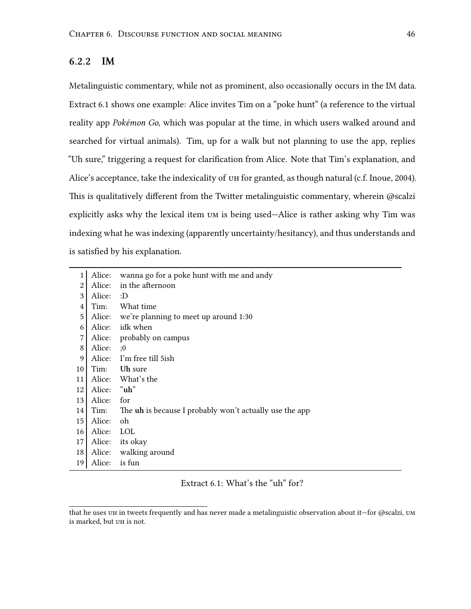#### **6.2.2 IM**

Metalinguistic commentary, while not as prominent, also occasionally occurs in the IM data. Extract [6.1](#page-58-0) shows one example: Alice invites Tim on a "poke hunt" (a reference to the virtual reality app *Pokémon Go*, which was popular at the time, in which users walked around and searched for virtual animals). Tim, up for a walk but not planning to use the app, replies "Uh sure," triggering a request for clarification from Alice. Note that Tim's explanation, and Alice's acceptance, take the indexicality of uh for granted, as though natural (c.f. Inoue, [2004\)](#page-84-4). This is qualitatively different from the Twitter metalinguistic commentary, wherein @scalzi explicitly asks why the lexical item um is being used—Alice is rather asking why Tim was indexing what he was indexing (apparently uncertainty/hesitancy), and thus understands and is satisfied by his explanation.

<span id="page-58-0"></span>

| 1              | Alice:      | wanna go for a poke hunt with me and andy               |
|----------------|-------------|---------------------------------------------------------|
| $\overline{2}$ | Alice:      | in the afternoon                                        |
| 3              | Alice:      | :D                                                      |
| $\overline{4}$ | Tim:        | What time                                               |
| 5              |             | Alice: we're planning to meet up around 1:30            |
| 6              | Alice:      | idk when                                                |
| $\overline{7}$ |             | Alice: probably on campus                               |
| $\,8\,$        | Alice:      | :0                                                      |
| 9              |             | Alice: I'm free till 5ish                               |
| 10             |             | Tim: Uh sure                                            |
| 11             |             | Alice: What's the                                       |
| 12             | Alice: "uh" |                                                         |
| 13             | Alice:      | for                                                     |
| 14             | Tim:        | The uh is because I probably won't actually use the app |
| 15             | Alice:      | oh                                                      |
| 16             | Alice:      | <b>LOL</b>                                              |
| 17             |             | Alice: its okay                                         |
| 18             |             | Alice: walking around                                   |
| 19             | Alice:      | is fun                                                  |

Extract 6.1: What's the "uh" for?

that he uses uh in tweets frequently and has never made a metalinguistic observation about it—for @scalzi, um is marked, but uh is not.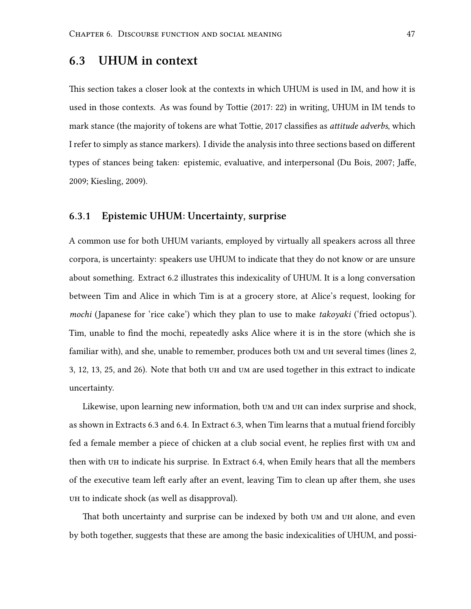## <span id="page-59-0"></span>**6.3 UHUM in context**

This section takes a closer look at the contexts in which UHUM is used in IM, and how it is used in those contexts. As was found by Tottie([2017:](#page-86-3) 22) in writing, UHUM in IM tends to mark stance (the majority of tokens are what Tottie, [2017](#page-86-3) classifies as *attitude adverbs*, which I refer to simply as stance markers). I divide the analysis into three sections based on different types of stances being taken: epistemic, evaluative, and interpersonal (Du Bois, [2007](#page-84-5); Jaffe, [2009](#page-84-6); Kiesling, [2009\)](#page-84-7).

#### <span id="page-59-1"></span>**6.3.1 Epistemic UHUM: Uncertainty, surprise**

A common use for both UHUM variants, employed by virtually all speakers across all three corpora, is uncertainty: speakers use UHUM to indicate that they do not know or are unsure about something. Extract [6.2](#page-60-0) illustrates this indexicality of UHUM. It is a long conversation between Tim and Alice in which Tim is at a grocery store, at Alice's request, looking for *mochi* (Japanese for 'rice cake') which they plan to use to make *takoyaki* ('fried octopus'). Tim, unable to find the mochi, repeatedly asks Alice where it is in the store (which she is familiar with), and she, unable to remember, produces both um and uh several times (lines 2, 3, 12, 13, 25, and 26). Note that both uh and um are used together in this extract to indicate uncertainty.

Likewise, upon learning new information, both um and uh can index surprise and shock, as shown in Extracts [6.3](#page-61-0) and [6.4](#page-61-1). In Extract [6.3,](#page-61-0) when Tim learns that a mutual friend forcibly fed a female member a piece of chicken at a club social event, he replies first with um and then with uh to indicate his surprise. In Extract [6.4,](#page-61-1) when Emily hears that all the members of the executive team left early after an event, leaving Tim to clean up after them, she uses uh to indicate shock (as well as disapproval).

That both uncertainty and surprise can be indexed by both  $U$  and  $U$  alone, and even by both together, suggests that these are among the basic indexicalities of UHUM, and possi-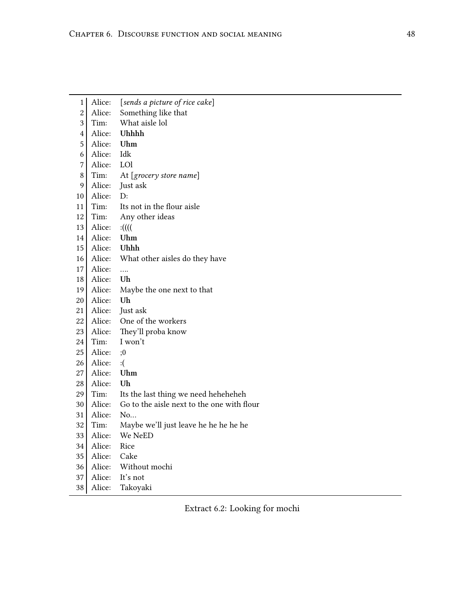<span id="page-60-0"></span>

| 1              | Alice: | [sends a picture of rice cake]             |
|----------------|--------|--------------------------------------------|
| 2              | Alice: | Something like that                        |
| 3              | Tim:   | What aisle lol                             |
| 4              | Alice: | Uhhhh                                      |
| 5              | Alice: | Uhm                                        |
| 6              | Alice: | Idk                                        |
| $\overline{7}$ | Alice: | LOI                                        |
| 8              | Tim:   | At [grocery store name]                    |
| 9              | Alice: | Just ask                                   |
| 10             | Alice: | D:                                         |
| 11             | Tim:   | Its not in the flour aisle                 |
| 12             | Tim:   | Any other ideas                            |
| 13             | Alice: | :(((                                       |
| 14             | Alice: | Uhm                                        |
| 15             | Alice: | Uhhh                                       |
| 16             | Alice: | What other aisles do they have             |
| 17             | Alice: | .                                          |
| 18             | Alice: | Uh                                         |
| 19             | Alice: | Maybe the one next to that                 |
| 20             | Alice: | Uh                                         |
| 21             | Alice: | Just ask                                   |
| 22             | Alice: | One of the workers                         |
| 23             | Alice: | They'll proba know                         |
| 24             |        |                                            |
|                | Tim:   | I won't                                    |
| 25             | Alice: | ;0                                         |
| 26             | Alice: | : (                                        |
| 27             | Alice: | Uhm                                        |
| 28             | Alice: | Uh                                         |
| 29             | Tim:   | Its the last thing we need heheheheh       |
| 30             | Alice: | Go to the aisle next to the one with flour |
| 31             | Alice: | No                                         |
| 32             | Tim:   | Maybe we'll just leave he he he he he      |
| 33             | Alice: | We NeED                                    |
| 34             | Alice: | Rice                                       |
| 35             | Alice: | Cake                                       |
| 36             | Alice: | Without mochi                              |
| 37             | Alice: | It's not                                   |

Extract 6.2: Looking for mochi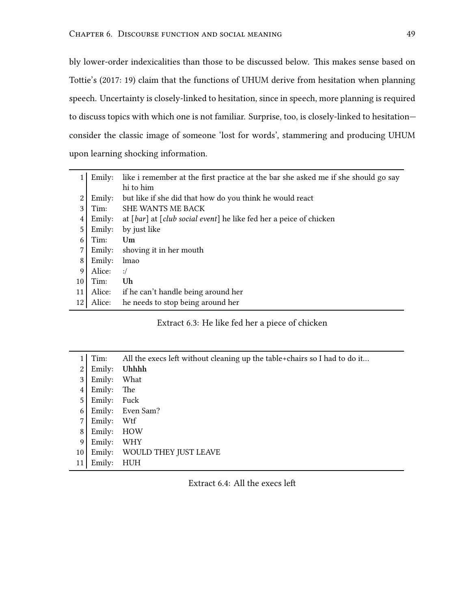bly lower-order indexicalities than those to be discussed below. This makes sense based on Tottie's [\(2017](#page-86-3): 19) claim that the functions of UHUM derive from hesitation when planning speech. Uncertainty is closely-linked to hesitation, since in speech, more planning is required to discuss topics with which one is not familiar. Surprise, too, is closely-linked to hesitation consider the classic image of someone 'lost for words', stammering and producing UHUM upon learning shocking information.

<span id="page-61-0"></span>

|    | Emily: | like i remember at the first practice at the bar she asked me if she should go say |
|----|--------|------------------------------------------------------------------------------------|
|    |        | hi to him                                                                          |
| 2  | Emily: | but like if she did that how do you think he would react                           |
| 3  | Tim:   | <b>SHE WANTS ME BACK</b>                                                           |
| 4  | Emily: | at [bar] at [club social event] he like fed her a peice of chicken                 |
| 5  | Emily: | by just like                                                                       |
| 6  | Tim:   | Um                                                                                 |
|    | Emily: | shoving it in her mouth                                                            |
| 8  | Emily: | lmao                                                                               |
| 9  | Alice: | $:$ /                                                                              |
| 10 | Tim:   | Uh                                                                                 |
| 11 | Alice: | if he can't handle being around her                                                |
| 12 | Alice: | he needs to stop being around her                                                  |

#### Extract 6.3: He like fed her a piece of chicken

<span id="page-61-1"></span>

|    | Tim:   | All the execs left without cleaning up the table+chairs so I had to do it |
|----|--------|---------------------------------------------------------------------------|
| 2  | Emily: | Uhhhh                                                                     |
| 3  | Emily: | What                                                                      |
| 4  | Emily: | The                                                                       |
| 5  | Emily: | Fuck                                                                      |
| 6  | Emily: | Even Sam?                                                                 |
| 7  | Emily: | Wtf                                                                       |
| 8  | Emily: | HOW                                                                       |
| 9  | Emily: | <b>WHY</b>                                                                |
| 10 | Emily: | WOULD THEY JUST LEAVE                                                     |
|    | Emily: | <b>HUH</b>                                                                |

Extract 6.4: All the execs left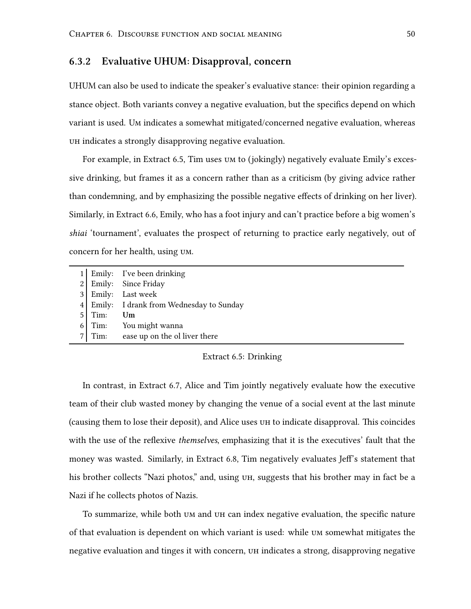#### **6.3.2 Evaluative UHUM: Disapproval, concern**

UHUM can also be used to indicate the speaker's evaluative stance: their opinion regarding a stance object. Both variants convey a negative evaluation, but the specifics depend on which variant is used. Um indicates a somewhat mitigated/concerned negative evaluation, whereas uh indicates a strongly disapproving negative evaluation.

For example, in Extract [6.5](#page-62-0), Tim uses um to (jokingly) negatively evaluate Emily's excessive drinking, but frames it as a concern rather than as a criticism (by giving advice rather than condemning, and by emphasizing the possible negative effects of drinking on her liver). Similarly, in Extract [6.6,](#page-63-0) Emily, who has a foot injury and can't practice before a big women's *shiai* 'tournament', evaluates the prospect of returning to practice early negatively, out of concern for her health, using um.

<span id="page-62-0"></span>

|          | 1 Emily: I've been drinking               |
|----------|-------------------------------------------|
|          | 2 Emily: Since Friday                     |
|          | 3 Emily: Last week                        |
|          | 4 Emily: I drank from Wednesday to Sunday |
| $5$ Tim: | Um                                        |
| $6$ Tim: | You might wanna                           |
| $7$ Tim: | ease up on the ol liver there             |

Extract 6.5: Drinking

In contrast, in Extract [6.7,](#page-63-1) Alice and Tim jointly negatively evaluate how the executive team of their club wasted money by changing the venue of a social event at the last minute (causing them to lose their deposit), and Alice uses uh to indicate disapproval. This coincides with the use of the reflexive *themselves*, emphasizing that it is the executives' fault that the money was wasted. Similarly, in Extract [6.8,](#page-63-2) Tim negatively evaluates Jeff's statement that his brother collects "Nazi photos," and, using UH, suggests that his brother may in fact be a Nazi if he collects photos of Nazis.

To summarize, while both um and uh can index negative evaluation, the specific nature of that evaluation is dependent on which variant is used: while um somewhat mitigates the negative evaluation and tinges it with concern, uh indicates a strong, disapproving negative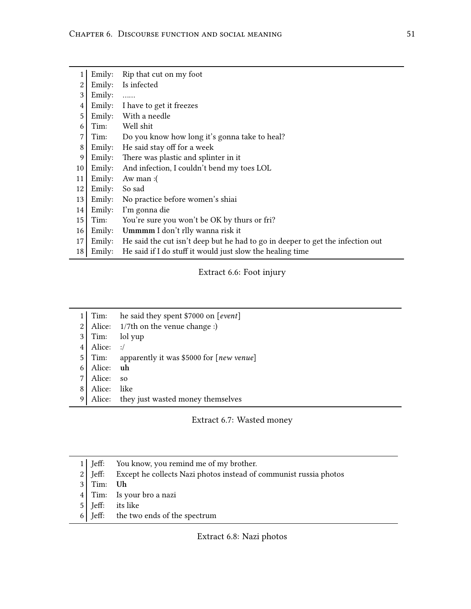<span id="page-63-0"></span>

|    | Emily: | Rip that cut on my foot                                                        |
|----|--------|--------------------------------------------------------------------------------|
| 2  | Emily: | Is infected                                                                    |
| 3  | Emily: | .                                                                              |
| 4  | Emily: | I have to get it freezes                                                       |
| 5  | Emily: | With a needle                                                                  |
| 6  | Tim:   | Well shit                                                                      |
| 7  | Tim:   | Do you know how long it's gonna take to heal?                                  |
| 8  | Emily: | He said stay off for a week                                                    |
| 9  | Emily: | There was plastic and splinter in it.                                          |
| 10 | Emily: | And infection, I couldn't bend my toes LOL                                     |
| 11 | Emily: | Aw man: $($                                                                    |
| 12 | Emily: | So sad                                                                         |
| 13 | Emily: | No practice before women's shiai                                               |
| 14 | Emily: | I'm gonna die                                                                  |
| 15 | Tim:   | You're sure you won't be OK by thurs or fri?                                   |
| 16 | Emily: | Ummmm I don't rlly wanna risk it                                               |
| 17 | Emily: | He said the cut isn't deep but he had to go in deeper to get the infection out |
| 18 | Emily: | He said if I do stuff it would just slow the healing time                      |
|    |        |                                                                                |

Extract 6.6: Foot injury

<span id="page-63-1"></span>

|   | Tim:      | he said they spent \$7000 on [event]     |
|---|-----------|------------------------------------------|
| 2 |           | Alice: 1/7th on the venue change :)      |
|   | Tim:      | lol yup                                  |
|   | Alice:    | $\cdot/$                                 |
| 5 | Tim:      | apparently it was \$5000 for [new venue] |
|   | Alice: uh |                                          |
|   | Alice:    | SO <sub>2</sub>                          |
|   | Alice:    | like                                     |
| 9 | Alice:    | they just wasted money themselves        |

## Extract 6.7: Wasted money

<span id="page-63-2"></span>

| $1$ Jeff:   | You know, you remind me of my brother.                            |
|-------------|-------------------------------------------------------------------|
| $2$ Jeff:   | Except he collects Nazi photos instead of communist russia photos |
| $3$ Tim: Uh |                                                                   |
|             | $4$ Tim: Is your bro a nazi                                       |
|             | 5 Jeff: its like                                                  |
|             | 6 Jeff: the two ends of the spectrum                              |
|             |                                                                   |

Extract 6.8: Nazi photos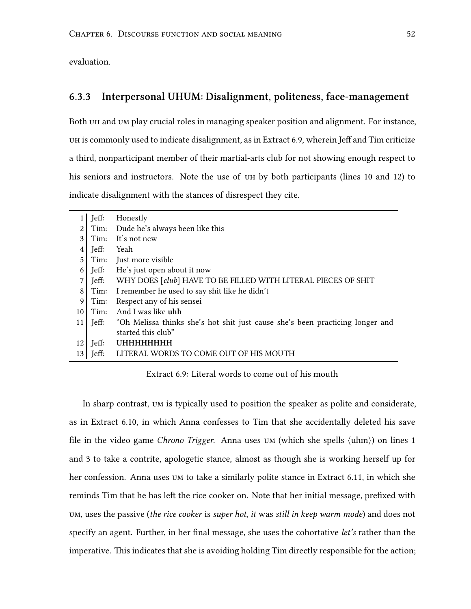evaluation.

#### **6.3.3 Interpersonal UHUM: Disalignment, politeness, face-management**

Both  $UH$  and  $UM$  play crucial roles in managing speaker position and alignment. For instance, uh is commonly used to indicate disalignment, as in Extract [6.9,](#page-64-0) wherein Jeff and Tim criticize a third, nonparticipant member of their martial-arts club for not showing enough respect to his seniors and instructors. Note the use of uh by both participants (lines 10 and 12) to indicate disalignment with the stances of disrespect they cite.

<span id="page-64-0"></span>

|                | Jeff:    | Honestly                                                                      |
|----------------|----------|-------------------------------------------------------------------------------|
| 2              |          | Tim: Dude he's always been like this                                          |
| 3              | Tim:     | It's not new                                                                  |
| 4              | Jeff:    | Yeah                                                                          |
| 5              | Tim:     | Just more visible                                                             |
| 6              |          | Jeff: He's just open about it now                                             |
| 7              |          | Jeff: WHY DOES [club] HAVE TO BE FILLED WITH LITERAL PIECES OF SHIT           |
| 8 <sup>1</sup> |          | Tim: I remember he used to say shit like he didn't                            |
| 9              | Tim:     | Respect any of his sensei                                                     |
| 10             | Tim:     | And I was like uhh                                                            |
| 11             | Jeff:    | "Oh Melissa thinks she's hot shit just cause she's been practicing longer and |
|                |          | started this club"                                                            |
| 12             | $J$ eff: | UHHHHHHHH                                                                     |
| 13             | Jeff:    | LITERAL WORDS TO COME OUT OF HIS MOUTH                                        |

Extract 6.9: Literal words to come out of his mouth

In sharp contrast, um is typically used to position the speaker as polite and considerate, as in Extract [6.10](#page-65-0), in which Anna confesses to Tim that she accidentally deleted his save file in the video game *Chrono Trigger*. Anna uses um (which she spells *⟨*uhm*⟩*) on lines 1 and 3 to take a contrite, apologetic stance, almost as though she is working herself up for her confession. Anna uses um to take a similarly polite stance in Extract [6.11,](#page-65-1) in which she reminds Tim that he has left the rice cooker on. Note that her initial message, prefixed with um, uses the passive (*the rice cooker* is *super hot*, *it* was *still in keep warm mode*) and does not specify an agent. Further, in her final message, she uses the cohortative *let's* rather than the imperative. This indicates that she is avoiding holding Tim directly responsible for the action;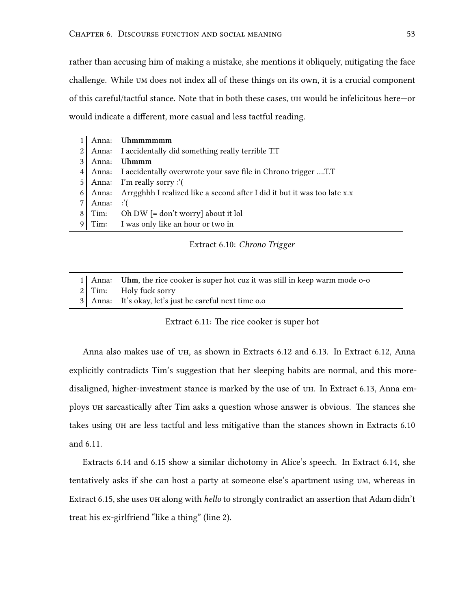rather than accusing him of making a mistake, she mentions it obliquely, mitigating the face challenge. While um does not index all of these things on its own, it is a crucial component of this careful/tactful stance. Note that in both these cases, uh would be infelicitous here—or would indicate a different, more casual and less tactful reading.

<span id="page-65-0"></span>

|   | Anna: | Uhmmmmmm                                                                 |
|---|-------|--------------------------------------------------------------------------|
|   | Anna: | I accidentally did something really terrible T.T                         |
|   | Anna: | <b>Uhmmm</b>                                                             |
|   |       | Anna: I accidentally overwrote your save file in Chrono trigger T.T      |
| 5 |       | Anna: I'm really sorry :'(                                               |
| 6 | Anna: | Arrgghhh I realized like a second after I did it but it was too late x.x |
|   | Anna: | ∴'                                                                       |
| 8 | Tim:  | Oh DW $[=$ don't worry] about it lol                                     |
|   |       | Tim: I was only like an hour or two in                                   |

Extract 6.10: *Chrono Trigger*

<span id="page-65-1"></span>

|  | 1 Anna: Uhm, the rice cooker is super hot cuz it was still in keep warm mode o-o |
|--|----------------------------------------------------------------------------------|
|  | 2 Tim: Holy fuck sorry                                                           |
|  | 3 Anna: It's okay, let's just be careful next time 0.0                           |

Extract 6.11: The rice cooker is super hot

Anna also makes use of uh, as shown in Extracts [6.12](#page-66-0) and [6.13.](#page-66-1) In Extract [6.12](#page-66-0), Anna explicitly contradicts Tim's suggestion that her sleeping habits are normal, and this moredisaligned, higher-investment stance is marked by the use of uh. In Extract [6.13,](#page-66-1) Anna employs uh sarcastically after Tim asks a question whose answer is obvious. The stances she takes using uh are less tactful and less mitigative than the stances shown in Extracts [6.10](#page-65-0) and [6.11](#page-65-1).

Extracts [6.14](#page-66-2) and [6.15](#page-66-3) show a similar dichotomy in Alice's speech. In Extract [6.14,](#page-66-2) she tentatively asks if she can host a party at someone else's apartment using um, whereas in Extract [6.15,](#page-66-3) she uses uh along with *hello* to strongly contradict an assertion that Adam didn't treat his ex-girlfriend "like a thing" (line 2).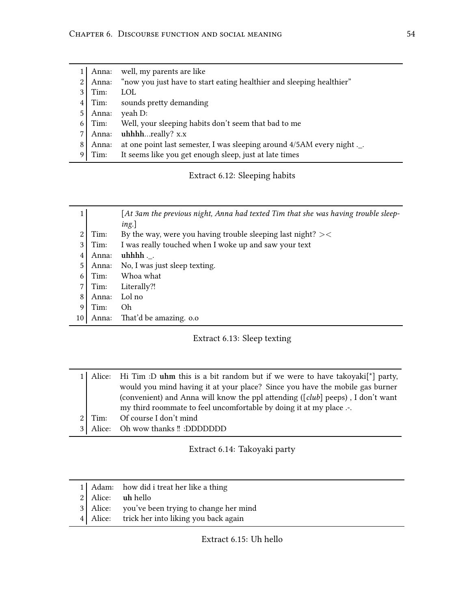<span id="page-66-0"></span>

|    |       | Anna: well, my parents are like                                      |  |
|----|-------|----------------------------------------------------------------------|--|
| 2  | Anna: | "now you just have to start eating healthier and sleeping healthier" |  |
| 3  | Tim:  | <b>LOL</b>                                                           |  |
| 41 | Tim:  | sounds pretty demanding                                              |  |
|    | Anna: | yeah D:                                                              |  |
| 6  | Tim:  | Well, your sleeping habits don't seem that bad to me                 |  |
|    | Anna: | uhhhhreally? x.x                                                     |  |
| 8  | Anna: | at one point last semester, I was sleeping around 4/5AM every night  |  |
|    | Tim:  | It seems like you get enough sleep, just at late times               |  |

Extract 6.12: Sleeping habits

<span id="page-66-1"></span>

|    |       | $[At 3am$ the previous night, Anna had texted Tim that she was having trouble sleep-<br>ing.] |
|----|-------|-----------------------------------------------------------------------------------------------|
|    | Tim:  | By the way, were you having trouble sleeping last night? $><$                                 |
| 3  | Tim:  | I was really touched when I woke up and saw your text                                         |
| 4  | Anna: | $uhhhh.$ .                                                                                    |
| 5  | Anna: | No, I was just sleep texting.                                                                 |
| 6  | Tim:  | Whoa what                                                                                     |
| 7  | Tim:  | Literally?!                                                                                   |
| 8  | Anna: | Lol no                                                                                        |
| 9  | Tim:  | Oh                                                                                            |
| 10 | Anna: | That'd be amazing. o.o                                                                        |
|    |       |                                                                                               |

## Extract 6.13: Sleep texting

<span id="page-66-2"></span>

|           | 1 Alice: Hi Tim :D uhm this is a bit random but if we were to have takoyaki <sup><math>\lceil \cdot \rceil</math></sup> party, |
|-----------|--------------------------------------------------------------------------------------------------------------------------------|
|           | would you mind having it at your place? Since you have the mobile gas burner                                                   |
|           | (convenient) and Anna will know the ppl attending ([club] peeps), I don't want                                                 |
|           | my third roommate to feel uncomfortable by doing it at my place .-.                                                            |
| $21$ Tim: | Of course I don't mind                                                                                                         |
|           | 3 Alice: Oh wow thanks !! :DDDDDDD                                                                                             |

## Extract 6.14: Takoyaki party

<span id="page-66-3"></span>

| 2 Alice: uh hello                             | 1 Adam: how did i treat her like a thing       |
|-----------------------------------------------|------------------------------------------------|
|                                               |                                                |
|                                               | 3 Alice: you've been trying to change her mind |
| 4 Alice: trick her into liking you back again |                                                |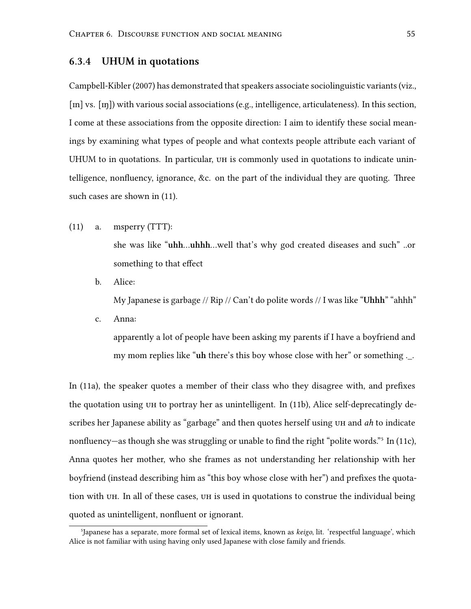#### **6.3.4 UHUM in quotations**

Campbell-Kibler [\(2007](#page-83-2)) has demonstrated that speakers associate sociolinguistic variants (viz., [m] vs. [n]) with various social associations (e.g., intelligence, articulateness). In this section, I come at these associations from the opposite direction: I aim to identify these social meanings by examining what types of people and what contexts people attribute each variant of UHUM to in quotations. In particular, uh is commonly used in quotations to indicate unintelligence, nonfluency, ignorance, &c. on the part of the individual they are quoting. Three such cases are shown in (11).

<span id="page-67-0"></span>(11) a. msperry (TTT):

she was like "**uhh**…**uhhh**…well that's why god created diseases and such" ..or something to that effect

<span id="page-67-1"></span>b. Alice:

My Japanese is garbage // Rip // Can't do polite words // I was like "**Uhhh**" "ahhh"

<span id="page-67-2"></span>c. Anna:

apparently a lot of people have been asking my parents if I have a boyfriend and my mom replies like "**uh** there's this boy whose close with her" or something .\_.

In([11a](#page-67-0)), the speaker quotes a member of their class who they disagree with, and prefixes the quotation using uh to portray her as unintelligent. In [\(11b](#page-67-1)), Alice self-deprecatingly describes her Japanese ability as "garbage" and then quotes herself using uh and *ah* to indicate nonfluency—asthough she was struggling or unable to find the right "polite words."<sup>5</sup> In ([11c](#page-67-2)), Anna quotes her mother, who she frames as not understanding her relationship with her boyfriend (instead describing him as "this boy whose close with her") and prefixes the quotation with uh. In all of these cases, uh is used in quotations to construe the individual being quoted as unintelligent, nonfluent or ignorant.

⁵Japanese has a separate, more formal set of lexical items, known as *keigo*, lit. 'respectful language', which Alice is not familiar with using having only used Japanese with close family and friends.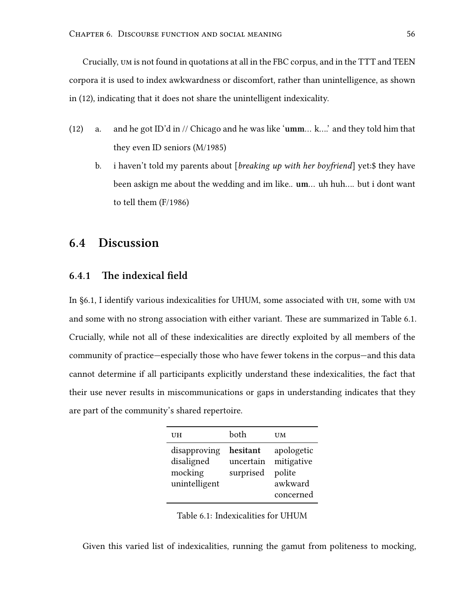Crucially, um is not found in quotations at all in the FBC corpus, and in the TTT and TEEN corpora it is used to index awkwardness or discomfort, rather than unintelligence, as shown in (12), indicating that it does not share the unintelligent indexicality.

- (12) a. and he got ID'd in // Chicago and he was like '**umm**… k….' and they told him that they even ID seniors (M/1985)
	- b. i haven't told my parents about [*breaking up with her boyfriend*] yet:\$ they have been askign me about the wedding and im like.. **um**… uh huh…. but i dont want to tell them (F/1986)

## **6.4 Discussion**

### **6.4.1 The indexical field**

In [§6.1,](#page-54-1) I identify various indexicalities for UHUM, some associated with uh, some with um and some with no strong association with either variant. These are summarized in Table [6.1](#page-68-0). Crucially, while not all of these indexicalities are directly exploited by all members of the community of practice—especially those who have fewer tokens in the corpus—and this data cannot determine if all participants explicitly understand these indexicalities, the fact that their use never results in miscommunications or gaps in understanding indicates that they are part of the community's shared repertoire.

<span id="page-68-0"></span>

| UH                                                     | both                               | UM                                                         |
|--------------------------------------------------------|------------------------------------|------------------------------------------------------------|
| disapproving<br>disaligned<br>mocking<br>unintelligent | hesitant<br>uncertain<br>surprised | apologetic<br>mitigative<br>polite<br>awkward<br>concerned |

Table 6.1: Indexicalities for UHUM

Given this varied list of indexicalities, running the gamut from politeness to mocking,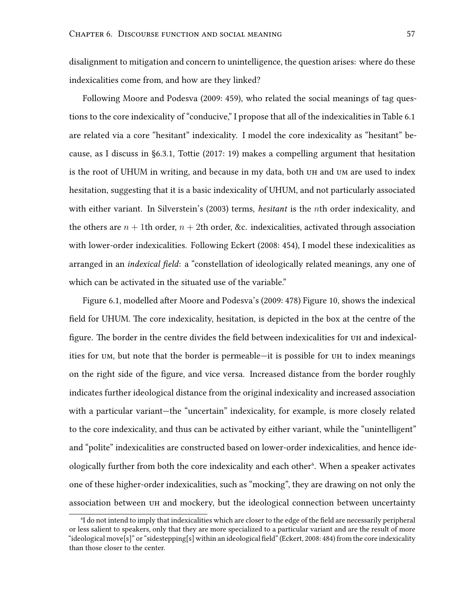disalignment to mitigation and concern to unintelligence, the question arises: where do these indexicalities come from, and how are they linked?

Following Moore and Podesva [\(2009:](#page-85-5) 459), who related the social meanings of tag questions to the core indexicality of "conducive," I propose that all of the indexicalities in Table [6.1](#page-68-0) are related via a core "hesitant" indexicality. I model the core indexicality as "hesitant" because, as I discuss in§[6.3.1,](#page-59-1) Tottie [\(2017](#page-86-3): 19) makes a compelling argument that hesitation is the root of UHUM in writing, and because in my data, both UH and UM are used to index hesitation, suggesting that it is a basic indexicality of UHUM, and not particularly associated with either variant. In Silverstein's([2003\)](#page-86-2) terms, *hesitant* is the *n*th order indexicality, and the others are  $n + 1$ th order,  $n + 2$ th order, &c. indexicalities, activated through association with lower-order indexicalities. Following Eckert([2008:](#page-84-2) 454), I model these indexicalities as arranged in an *indexical field*: a "constellation of ideologically related meanings, any one of which can be activated in the situated use of the variable."

Figure [6.1](#page-70-0), modelled after Moore and Podesva's [\(2009](#page-85-5): 478) Figure 10, shows the indexical field for UHUM. The core indexicality, hesitation, is depicted in the box at the centre of the figure. The border in the centre divides the field between indexicalities for uh and indexicalities for um, but note that the border is permeable—it is possible for uh to index meanings on the right side of the figure, and vice versa. Increased distance from the border roughly indicates further ideological distance from the original indexicality and increased association with a particular variant—the "uncertain" indexicality, for example, is more closely related to the core indexicality, and thus can be activated by either variant, while the "unintelligent" and "polite" indexicalities are constructed based on lower-order indexicalities, and hence ideologically further from both the core indexicality and each other<sup>6</sup>. When a speaker activates one of these higher-order indexicalities, such as "mocking", they are drawing on not only the association between uh and mockery, but the ideological connection between uncertainty

⁶I do not intend to imply that indexicalities which are closer to the edge of the field are necessarily peripheral or less salient to speakers, only that they are more specialized to a particular variant and are the result of more "ideological move[s]" or "sidestepping[s] within an ideological field" (Eckert, [2008](#page-84-2): 484) from the core indexicality than those closer to the center.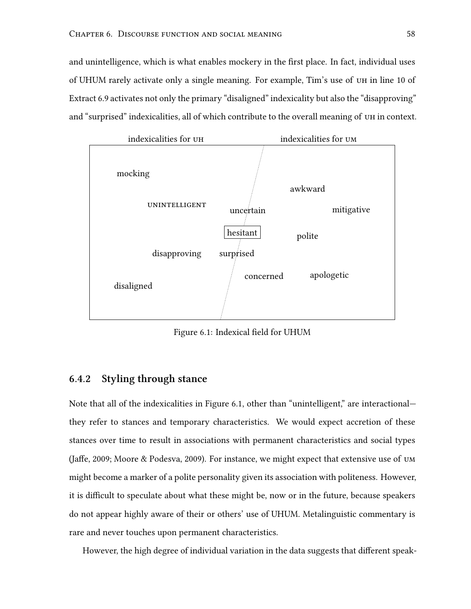and unintelligence, which is what enables mockery in the first place. In fact, individual uses of UHUM rarely activate only a single meaning. For example, Tim's use of uh in line 10 of Extract [6.9](#page-64-0) activates not only the primary "disaligned" indexicality but also the "disapproving" and "surprised" indexicalities, all of which contribute to the overall meaning of uh in context.

<span id="page-70-0"></span>

Figure 6.1: Indexical field for UHUM

## **6.4.2 Styling through stance**

Note that all of the indexicalities in Figure [6.1,](#page-70-0) other than "unintelligent," are interactional they refer to stances and temporary characteristics. We would expect accretion of these stances over time to result in associations with permanent characteristics and social types (Jaffe, [2009](#page-84-6); Moore & Podesva, [2009](#page-85-5)). For instance, we might expect that extensive use of um might become a marker of a polite personality given its association with politeness. However, it is difficult to speculate about what these might be, now or in the future, because speakers do not appear highly aware of their or others' use of UHUM. Metalinguistic commentary is rare and never touches upon permanent characteristics.

However, the high degree of individual variation in the data suggests that different speak-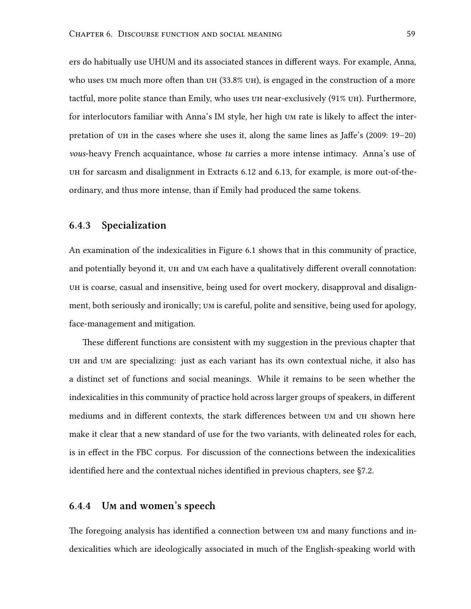ers do habitually use UHUM and its associated stances in different ways. For example, Anna, who uses um much more often than  $UH$  (33.8%  $UH$ ), is engaged in the construction of a more tactful, more polite stance than Emily, who uses uh near-exclusively (91% uh). Furthermore, for interlocutors familiar with Anna's IM style, her high um rate is likely to affect the interpretation of uh in the cases where she uses it, along the same lines as Jaffe's([2009:](#page-84-6) 19–20) *vous*-heavy French acquaintance, whose *tu* carries a more intense intimacy. Anna's use of uh for sarcasm and disalignment in Extracts [6.12](#page-66-0) and [6.13](#page-66-1), for example, is more out-of-theordinary, and thus more intense, than if Emily had produced the same tokens.

#### **6.4.3 Specialization**

An examination of the indexicalities in Figure [6.1](#page-70-0) shows that in this community of practice, and potentially beyond it, uh and um each have a qualitatively different overall connotation: uh is coarse, casual and insensitive, being used for overt mockery, disapproval and disalignment, both seriously and ironically; um is careful, polite and sensitive, being used for apology, face-management and mitigation.

These different functions are consistent with my suggestion in the previous chapter that uh and um are specializing: just as each variant has its own contextual niche, it also has a distinct set of functions and social meanings. While it remains to be seen whether the indexicalities in this community of practice hold across larger groups of speakers, in different mediums and in different contexts, the stark differences between um and uh shown here make it clear that a new standard of use for the two variants, with delineated roles for each, is in effect in the FBC corpus. For discussion of the connections between the indexicalities identified here and the contextual niches identified in previous chapters, see§[7.2.](#page-74-0)

#### **6.4.4 Um and women's speech**

The foregoing analysis has identified a connection between um and many functions and indexicalities which are ideologically associated in much of the English-speaking world with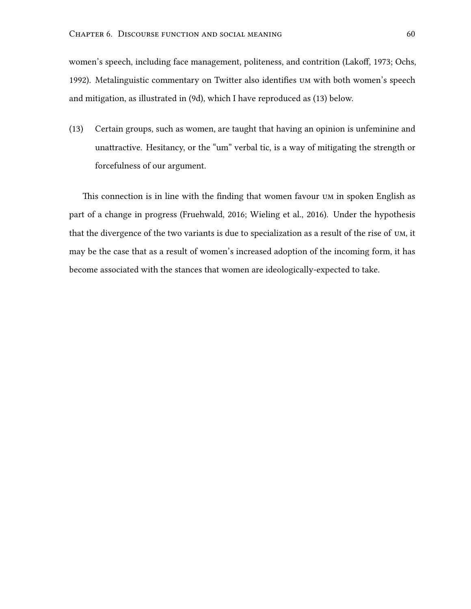women's speech, including face management, politeness, and contrition (Lakoff, [1973;](#page-85-0) Ochs, [1992](#page-85-1)). Metalinguistic commentary on Twitter also identifies um with both women's speech and mitigation, as illustrated in [\(9d\)](#page-57-0), which I have reproduced as (13) below.

(13) Certain groups, such as women, are taught that having an opinion is unfeminine and unattractive. Hesitancy, or the "um" verbal tic, is a way of mitigating the strength or forcefulness of our argument.

This connection is in line with the finding that women favour um in spoken English as part of a change in progress (Fruehwald, [2016](#page-84-0); Wieling et al., [2016](#page-87-0)). Under the hypothesis that the divergence of the two variants is due to specialization as a result of the rise of um, it may be the case that as a result of women's increased adoption of the incoming form, it has become associated with the stances that women are ideologically-expected to take.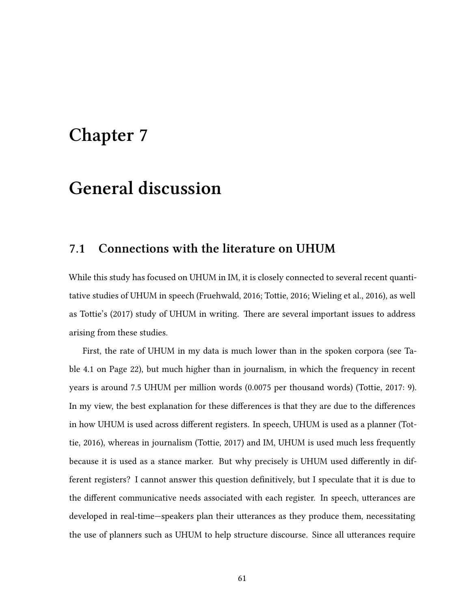## **Chapter 7**

## **General discussion**

### **7.1 Connections with the literature on UHUM**

While this study has focused on UHUM in IM, it is closely connected to several recent quantitative studies of UHUM in speech (Fruehwald, [2016](#page-84-0); Tottie, [2016;](#page-86-0) Wieling et al., [2016\)](#page-87-0), as well as Tottie's([2017](#page-86-1)) study of UHUM in writing. There are several important issues to address arising from these studies.

First, the rate of UHUM in my data is much lower than in the spoken corpora (see Table [4.1](#page-34-0) on Page [22](#page-34-0)), but much higher than in journalism, in which the frequency in recent years is around 7.5 UHUM per million words (0.0075 per thousand words) (Tottie, [2017](#page-86-1): 9). In my view, the best explanation for these differences is that they are due to the differences in how UHUM is used across different registers. In speech, UHUM is used as a planner (Tottie, [2016\)](#page-86-0), whereas in journalism (Tottie, [2017\)](#page-86-1) and IM, UHUM is used much less frequently because it is used as a stance marker. But why precisely is UHUM used differently in different registers? I cannot answer this question definitively, but I speculate that it is due to the different communicative needs associated with each register. In speech, utterances are developed in real-time—speakers plan their utterances as they produce them, necessitating the use of planners such as UHUM to help structure discourse. Since all utterances require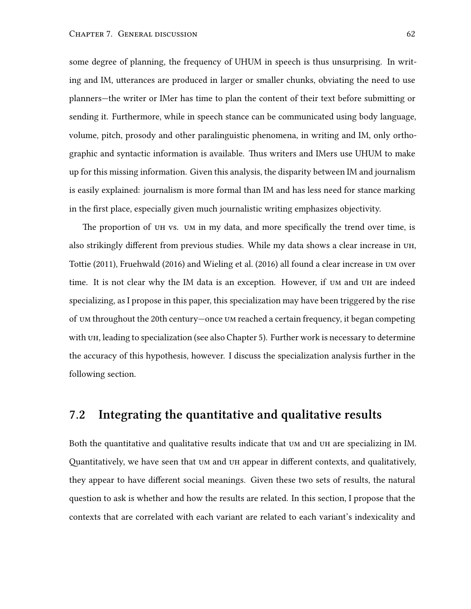some degree of planning, the frequency of UHUM in speech is thus unsurprising. In writing and IM, utterances are produced in larger or smaller chunks, obviating the need to use planners—the writer or IMer has time to plan the content of their text before submitting or sending it. Furthermore, while in speech stance can be communicated using body language, volume, pitch, prosody and other paralinguistic phenomena, in writing and IM, only orthographic and syntactic information is available. Thus writers and IMers use UHUM to make up for this missing information. Given this analysis, the disparity between IM and journalism is easily explained: journalism is more formal than IM and has less need for stance marking in the first place, especially given much journalistic writing emphasizes objectivity.

The proportion of uh vs. um in my data, and more specifically the trend over time, is also strikingly different from previous studies. While my data shows a clear increase in uh, Tottie([2011](#page-86-2)), Fruehwald([2016\)](#page-84-0) and Wieling et al.([2016\)](#page-87-0) all found a clear increase in um over time. It is not clear why the IM data is an exception. However, if um and uh are indeed specializing, as I propose in this paper, this specialization may have been triggered by the rise of um throughout the 20th century—once um reached a certain frequency, it began competing with UH, leading to specialization (see also Chapter [5\)](#page-43-0). Further work is necessary to determine the accuracy of this hypothesis, however. I discuss the specialization analysis further in the following section.

#### **7.2 Integrating the quantitative and qualitative results**

Both the quantitative and qualitative results indicate that um and uh are specializing in IM. Quantitatively, we have seen that um and uh appear in different contexts, and qualitatively, they appear to have different social meanings. Given these two sets of results, the natural question to ask is whether and how the results are related. In this section, I propose that the contexts that are correlated with each variant are related to each variant's indexicality and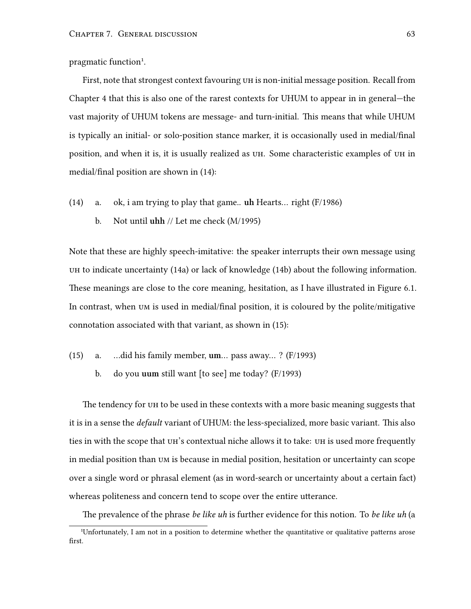pragmatic function<sup>1</sup>.

First, note that strongest context favouring uh is non-initial message position. Recall from Chapter [4](#page-31-0) that this is also one of the rarest contexts for UHUM to appear in in general—the vast majority of UHUM tokens are message- and turn-initial. This means that while UHUM is typically an initial- or solo-position stance marker, it is occasionally used in medial/final position, and when it is, it is usually realized as uh. Some characteristic examples of uh in medial/final position are shown in (14):

- (14) a. ok, i am trying to play that game.. **uh** Hearts… right (F/1986)
	- b. Not until **uhh** // Let me check (M/1995)

Note that these are highly speech-imitative: the speaker interrupts their own message using uh to indicate uncertainty (14a) or lack of knowledge (14b) about the following information. These meanings are close to the core meaning, hesitation, as I have illustrated in Figure [6.1](#page-70-0). In contrast, when um is used in medial/final position, it is coloured by the polite/mitigative connotation associated with that variant, as shown in (15):

- (15) a. …did his family member, **um**… pass away… ? (F/1993)
	- b. do you **uum** still want [to see] me today? (F/1993)

The tendency for uh to be used in these contexts with a more basic meaning suggests that it is in a sense the *default* variant of UHUM: the less-specialized, more basic variant. This also ties in with the scope that uh's contextual niche allows it to take: uh is used more frequently in medial position than um is because in medial position, hesitation or uncertainty can scope over a single word or phrasal element (as in word-search or uncertainty about a certain fact) whereas politeness and concern tend to scope over the entire utterance.

The prevalence of the phrase *be like uh* is further evidence for this notion. To *be like uh* (a

<sup>&</sup>lt;sup>1</sup>Unfortunately, I am not in a position to determine whether the quantitative or qualitative patterns arose first.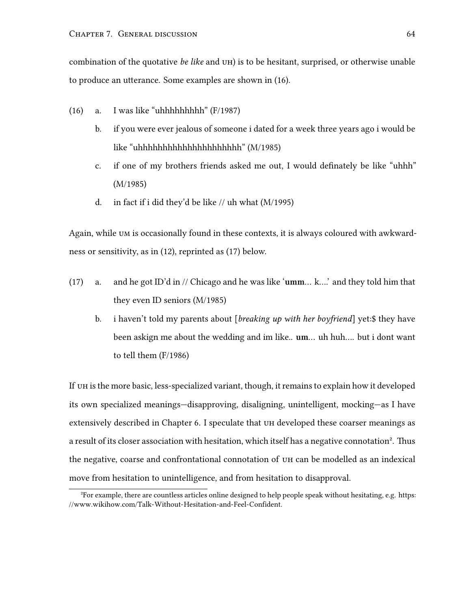combination of the quotative *be like* and uh) is to be hesitant, surprised, or otherwise unable to produce an utterance. Some examples are shown in (16).

- (16) a. I was like "uhhhhhhhhh" (F/1987)
	- b. if you were ever jealous of someone i dated for a week three years ago i would be like "uhhhhhhhhhhhhhhhhhhhhh" (M/1985)
	- c. if one of my brothers friends asked me out, I would definately be like "uhhh" (M/1985)
	- d. in fact if i did they'd be like  $//$  uh what  $(M/1995)$

Again, while um is occasionally found in these contexts, it is always coloured with awkwardness or sensitivity, as in [\(12\)](#page-68-0), reprinted as (17) below.

- (17) a. and he got ID'd in // Chicago and he was like '**umm**… k….' and they told him that they even ID seniors (M/1985)
	- b. i haven't told my parents about [*breaking up with her boyfriend*] yet:\$ they have been askign me about the wedding and im like.. **um**… uh huh…. but i dont want to tell them (F/1986)

If uh is the more basic, less-specialized variant, though, it remains to explain how it developed its own specialized meanings—disapproving, disaligning, unintelligent, mocking—as I have extensively described in Chapter [6](#page-54-0). I speculate that uh developed these coarser meanings as a result of its closer association with hesitation, which itself has a negative connotation<sup>2</sup>. Thus the negative, coarse and confrontational connotation of uh can be modelled as an indexical move from hesitation to unintelligence, and from hesitation to disapproval.

²For example, there are countless articles online designed to help people speak without hesitating, e.g. [https:](https://www.wikihow.com/Talk-Without-Hesitation-and-Feel-Confident) [//www.wikihow.com/Talk-Without-Hesitation-and-Feel-Confident](https://www.wikihow.com/Talk-Without-Hesitation-and-Feel-Confident).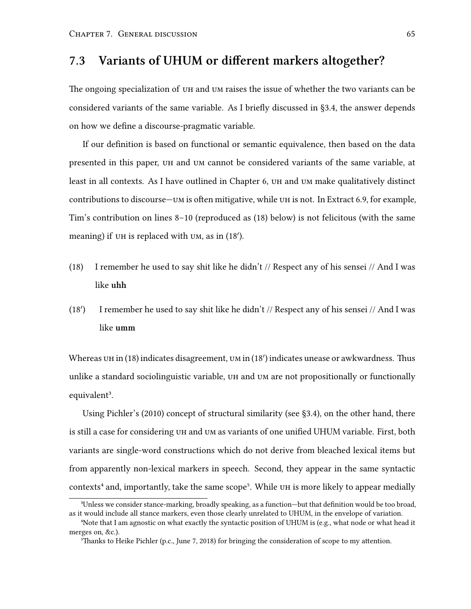### **7.3 Variants of UHUM or different markers altogether?**

The ongoing specialization of uh and um raises the issue of whether the two variants can be considered variants of the same variable. As I briefly discussed in [§3.4](#page-26-0), the answer depends on how we define a discourse-pragmatic variable.

If our definition is based on functional or semantic equivalence, then based on the data presented in this paper, uh and um cannot be considered variants of the same variable, at least in all contexts. As I have outlined in Chapter [6,](#page-54-0) uh and um make qualitatively distinct contributions to discourse—um is often mitigative, while uh is not. In Extract [6.9](#page-64-0), for example, Tim's contribution on lines 8–10 (reproduced as (18) below) is not felicitous (with the same meaning) if uh is replaced with um, as in (18*′* ).

- (18) I remember he used to say shit like he didn't // Respect any of his sensei // And I was like **uhh**
- (18*′* ) I remember he used to say shit like he didn't // Respect any of his sensei // And I was like **umm**

Whereas uh in (18) indicates disagreement, um in (18*′* ) indicates unease or awkwardness. Thus unlike a standard sociolinguistic variable, uh and um are not propositionally or functionally equivalent<sup>3</sup>.

Using Pichler's([2010\)](#page-85-2) concept of structural similarity (see [§3.4](#page-26-0)), on the other hand, there is still a case for considering uh and um as variants of one unified UHUM variable. First, both variants are single-word constructions which do not derive from bleached lexical items but from apparently non-lexical markers in speech. Second, they appear in the same syntactic contexts<sup>4</sup> and, importantly, take the same scope<sup>5</sup>. While  $UH$  is more likely to appear medially

³Unless we consider stance-marking, broadly speaking, as a function—but that definition would be too broad, as it would include all stance markers, even those clearly unrelated to UHUM, in the envelope of variation.

⁴Note that I am agnostic on what exactly the syntactic position of UHUM is (e.g., what node or what head it merges on, &c.).

 $^5$ Thanks to Heike Pichler (p.c., June 7, 2018) for bringing the consideration of scope to my attention.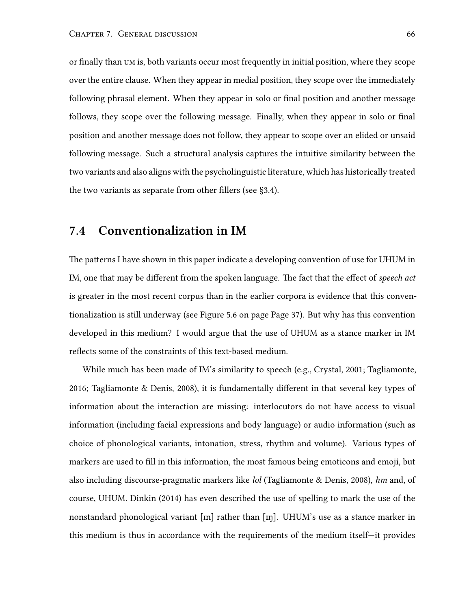or finally than um is, both variants occur most frequently in initial position, where they scope over the entire clause. When they appear in medial position, they scope over the immediately following phrasal element. When they appear in solo or final position and another message follows, they scope over the following message. Finally, when they appear in solo or final position and another message does not follow, they appear to scope over an elided or unsaid following message. Such a structural analysis captures the intuitive similarity between the two variants and also aligns with the psycholinguistic literature, which has historically treated the two variants as separate from other fillers (see§[3.4\)](#page-26-0).

#### <span id="page-78-0"></span>**7.4 Conventionalization in IM**

The patterns I have shown in this paper indicate a developing convention of use for UHUM in IM, one that may be different from the spoken language. The fact that the effect of *speech act* is greater in the most recent corpus than in the earlier corpora is evidence that this conventionalization is still underway (see Figure [5.6](#page-49-0) on page Page [37\)](#page-49-0). But why has this convention developed in this medium? I would argue that the use of UHUM as a stance marker in IM reflects some of the constraints of this text-based medium.

While much has been made of IM's similarity to speech (e.g., Crystal, [2001;](#page-83-0) Tagliamonte, [2016](#page-86-3); Tagliamonte & Denis, [2008\)](#page-86-4), it is fundamentally different in that several key types of information about the interaction are missing: interlocutors do not have access to visual information (including facial expressions and body language) or audio information (such as choice of phonological variants, intonation, stress, rhythm and volume). Various types of markers are used to fill in this information, the most famous being emoticons and emoji, but also including discourse-pragmatic markers like *lol* (Tagliamonte & Denis, [2008](#page-86-4)), *hm* and, of course, UHUM. Dinkin [\(2014](#page-84-1)) has even described the use of spelling to mark the use of the nonstandard phonological variant [ $m$ ] rather than [ $m$ ]. UHUM's use as a stance marker in this medium is thus in accordance with the requirements of the medium itself—it provides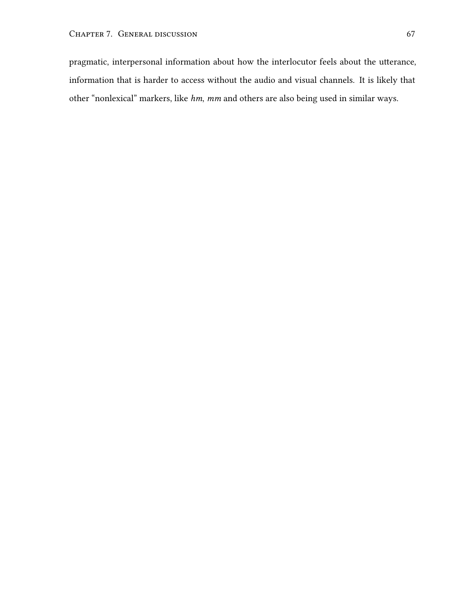pragmatic, interpersonal information about how the interlocutor feels about the utterance, information that is harder to access without the audio and visual channels. It is likely that other "nonlexical" markers, like *hm*, *mm* and others are also being used in similar ways.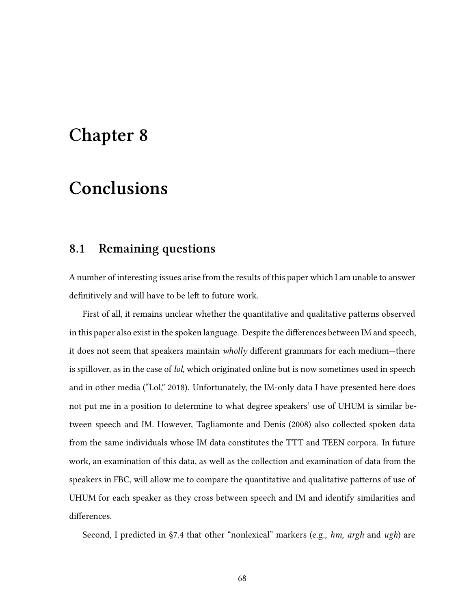## **Chapter 8**

## **Conclusions**

#### **8.1 Remaining questions**

A number of interesting issues arise from the results of this paper which I am unable to answer definitively and will have to be left to future work.

First of all, it remains unclear whether the quantitative and qualitative patterns observed in this paper also exist in the spoken language. Despite the differences between IM and speech, it does not seem that speakers maintain *wholly* different grammars for each medium—there is spillover, as in the case of *lol*, which originated online but is now sometimes used in speech and in other media ("Lol," [2018](#page-85-3)). Unfortunately, the IM-only data I have presented here does not put me in a position to determine to what degree speakers' use of UHUM is similar between speech and IM. However, Tagliamonte and Denis([2008](#page-86-4)) also collected spoken data from the same individuals whose IM data constitutes the TTT and TEEN corpora. In future work, an examination of this data, as well as the collection and examination of data from the speakers in FBC, will allow me to compare the quantitative and qualitative patterns of use of UHUM for each speaker as they cross between speech and IM and identify similarities and differences.

Second, I predicted in [§7.4](#page-78-0) that other "nonlexical" markers (e.g., *hm*, *argh* and *ugh*) are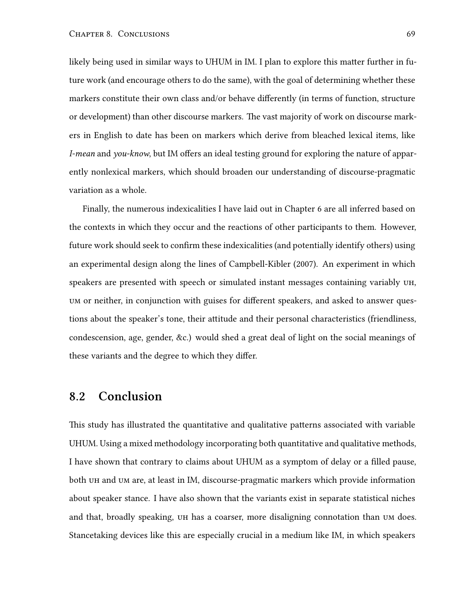likely being used in similar ways to UHUM in IM. I plan to explore this matter further in future work (and encourage others to do the same), with the goal of determining whether these markers constitute their own class and/or behave differently (in terms of function, structure or development) than other discourse markers. The vast majority of work on discourse markers in English to date has been on markers which derive from bleached lexical items, like *I-mean* and *you-know*, but IM offers an ideal testing ground for exploring the nature of apparently nonlexical markers, which should broaden our understanding of discourse-pragmatic variation as a whole.

Finally, the numerous indexicalities I have laid out in Chapter [6](#page-54-0) are all inferred based on the contexts in which they occur and the reactions of other participants to them. However, future work should seek to confirm these indexicalities (and potentially identify others) using an experimental design along the lines of Campbell-Kibler [\(2007](#page-83-1)). An experiment in which speakers are presented with speech or simulated instant messages containing variably uh, um or neither, in conjunction with guises for different speakers, and asked to answer questions about the speaker's tone, their attitude and their personal characteristics (friendliness, condescension, age, gender, &c.) would shed a great deal of light on the social meanings of these variants and the degree to which they differ.

### **8.2 Conclusion**

This study has illustrated the quantitative and qualitative patterns associated with variable UHUM. Using a mixed methodology incorporating both quantitative and qualitative methods, I have shown that contrary to claims about UHUM as a symptom of delay or a filled pause, both uh and um are, at least in IM, discourse-pragmatic markers which provide information about speaker stance. I have also shown that the variants exist in separate statistical niches and that, broadly speaking, uh has a coarser, more disaligning connotation than um does. Stancetaking devices like this are especially crucial in a medium like IM, in which speakers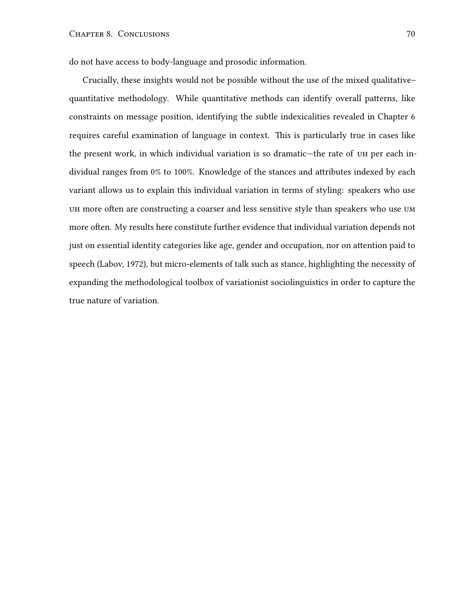do not have access to body-language and prosodic information.

Crucially, these insights would not be possible without the use of the mixed qualitative– quantitative methodology. While quantitative methods can identify overall patterns, like constraints on message position, identifying the subtle indexicalities revealed in Chapter [6](#page-54-0) requires careful examination of language in context. This is particularly true in cases like the present work, in which individual variation is so dramatic—the rate of uh per each individual ranges from 0% to 100%. Knowledge of the stances and attributes indexed by each variant allows us to explain this individual variation in terms of styling: speakers who use uh more often are constructing a coarser and less sensitive style than speakers who use um more often. My results here constitute further evidence that individual variation depends not just on essential identity categories like age, gender and occupation, nor on attention paid to speech (Labov, [1972](#page-85-4)), but micro-elements of talk such as stance, highlighting the necessity of expanding the methodological toolbox of variationist sociolinguistics in order to capture the true nature of variation.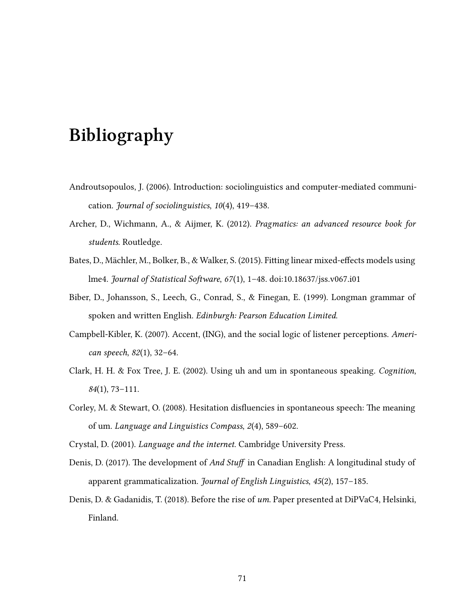# **Bibliography**

- Androutsopoulos, J. (2006). Introduction: sociolinguistics and computer-mediated communication. *Journal of sociolinguistics*, *10*(4), 419–438.
- Archer, D., Wichmann, A., & Aijmer, K. (2012). *Pragmatics: an advanced resource book for students*. Routledge.
- Bates, D., Mächler, M., Bolker, B., & Walker, S. (2015). Fitting linear mixed-effects models using lme4. *Journal of Statistical Software*, *67*(1), 1–48. doi:[10.18637/jss.v067.i01](https://dx.doi.org/10.18637/jss.v067.i01)
- Biber, D., Johansson, S., Leech, G., Conrad, S., & Finegan, E. (1999). Longman grammar of spoken and written English. *Edinburgh: Pearson Education Limited*.
- <span id="page-83-1"></span>Campbell-Kibler, K. (2007). Accent, (ING), and the social logic of listener perceptions. *American speech*, *82*(1), 32–64.
- Clark, H. H. & Fox Tree, J. E. (2002). Using uh and um in spontaneous speaking. *Cognition*, *84*(1), 73–111.
- Corley, M. & Stewart, O. (2008). Hesitation disfluencies in spontaneous speech: The meaning of um. *Language and Linguistics Compass*, *2*(4), 589–602.

<span id="page-83-0"></span>Crystal, D. (2001). *Language and the internet*. Cambridge University Press.

- Denis, D. (2017). The development of *And Stuff* in Canadian English: A longitudinal study of apparent grammaticalization. *Journal of English Linguistics*, *45*(2), 157–185.
- Denis, D. & Gadanidis, T. (2018). Before the rise of *um*. Paper presented at DiPVaC4, Helsinki, Finland.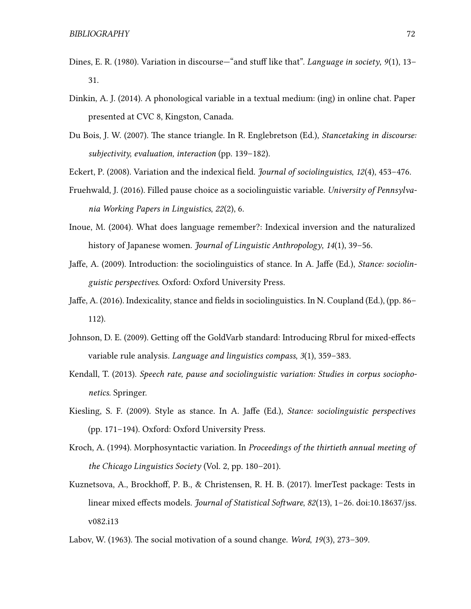- Dines, E. R. (1980). Variation in discourse—"and stuff like that". *Language in society*, *9*(1), 13– 31.
- <span id="page-84-1"></span>Dinkin, A. J. (2014). A phonological variable in a textual medium: (ing) in online chat. Paper presented at CVC 8, Kingston, Canada.
- Du Bois, J. W. (2007). The stance triangle. In R. Englebretson (Ed.), *Stancetaking in discourse: subjectivity, evaluation, interaction* (pp. 139–182).

<span id="page-84-0"></span>Eckert, P. (2008). Variation and the indexical field. *Journal of sociolinguistics*, *12*(4), 453–476.

- Fruehwald, J. (2016). Filled pause choice as a sociolinguistic variable. *University of Pennsylvania Working Papers in Linguistics*, *22*(2), 6.
- Inoue, M. (2004). What does language remember?: Indexical inversion and the naturalized history of Japanese women. *Journal of Linguistic Anthropology*, *14*(1), 39–56.
- Jaffe, A. (2009). Introduction: the sociolinguistics of stance. In A. Jaffe (Ed.), *Stance: sociolinguistic perspectives*. Oxford: Oxford University Press.
- Jaffe, A. (2016). Indexicality, stance and fields in sociolinguistics. In N. Coupland (Ed.), (pp. 86– 112).
- Johnson, D. E. (2009). Getting off the GoldVarb standard: Introducing Rbrul for mixed-effects variable rule analysis. *Language and linguistics compass*, *3*(1), 359–383.
- Kendall, T. (2013). *Speech rate, pause and sociolinguistic variation: Studies in corpus sociophonetics*. Springer.
- Kiesling, S. F. (2009). Style as stance. In A. Jaffe (Ed.), *Stance: sociolinguistic perspectives* (pp. 171–194). Oxford: Oxford University Press.
- Kroch, A. (1994). Morphosyntactic variation. In *Proceedings of the thirtieth annual meeting of the Chicago Linguistics Society* (Vol. 2, pp. 180–201).
- Kuznetsova, A., Brockhoff, P. B., & Christensen, R. H. B. (2017). lmerTest package: Tests in linear mixed effects models. *Journal of Statistical Software*, *82*(13), 1–26. doi[:10.18637/jss.](https://dx.doi.org/10.18637/jss.v082.i13) [v082.i13](https://dx.doi.org/10.18637/jss.v082.i13)
- Labov, W. (1963). The social motivation of a sound change. *Word*, *19*(3), 273–309.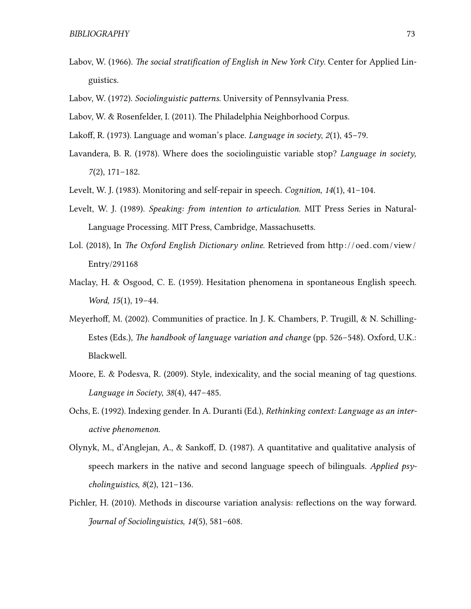- Labov, W. (1966). *The social stratification of English in New York City*. Center for Applied Linguistics.
- <span id="page-85-4"></span>Labov, W. (1972). *Sociolinguistic patterns*. University of Pennsylvania Press.
- <span id="page-85-0"></span>Labov, W. & Rosenfelder, I. (2011). The Philadelphia Neighborhood Corpus.
- Lakoff, R. (1973). Language and woman's place. *Language in society*, *2*(1), 45–79.
- Lavandera, B. R. (1978). Where does the sociolinguistic variable stop? *Language in society*, *7*(2), 171–182.
- Levelt, W. J. (1983). Monitoring and self-repair in speech. *Cognition*, *14*(1), 41–104.
- Levelt, W. J. (1989). *Speaking: from intention to articulation*. MIT Press Series in Natural-Language Processing. MIT Press, Cambridge, Massachusetts.
- <span id="page-85-3"></span>Lol. (2018), In *The Oxford English Dictionary online*. Retrieved from [http: / / oed . com /view /](http://oed.com/view/Entry/291168) [Entry/291168](http://oed.com/view/Entry/291168)
- Maclay, H. & Osgood, C. E. (1959). Hesitation phenomena in spontaneous English speech. *Word*, *15*(1), 19–44.
- Meyerhoff, M. (2002). Communities of practice. In J. K. Chambers, P. Trugill, & N. Schilling-Estes (Eds.), *The handbook of language variation and change* (pp. 526–548). Oxford, U.K.: Blackwell.
- Moore, E. & Podesva, R. (2009). Style, indexicality, and the social meaning of tag questions. *Language in Society*, *38*(4), 447–485.
- <span id="page-85-1"></span>Ochs, E. (1992). Indexing gender. In A. Duranti (Ed.), *Rethinking context: Language as an interactive phenomenon*.
- Olynyk, M., d'Anglejan, A., & Sankoff, D. (1987). A quantitative and qualitative analysis of speech markers in the native and second language speech of bilinguals. *Applied psycholinguistics*, *8*(2), 121–136.
- <span id="page-85-2"></span>Pichler, H. (2010). Methods in discourse variation analysis: reflections on the way forward. *Journal of Sociolinguistics*, *14*(5), 581–608.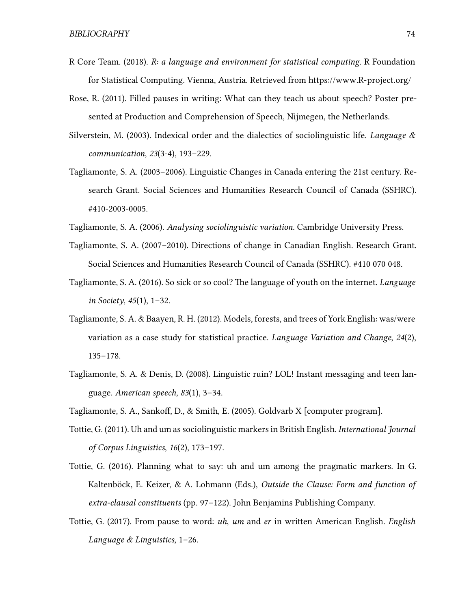- R Core Team. (2018). *R: a language and environment for statistical computing*. R Foundation for Statistical Computing. Vienna, Austria. Retrieved from <https://www.R-project.org/>
- Rose, R. (2011). Filled pauses in writing: What can they teach us about speech? Poster presented at Production and Comprehension of Speech, Nijmegen, the Netherlands.
- Silverstein, M. (2003). Indexical order and the dialectics of sociolinguistic life. *Language & communication*, *23*(3-4), 193–229.
- Tagliamonte, S. A. (2003–2006). Linguistic Changes in Canada entering the 21st century. Research Grant. Social Sciences and Humanities Research Council of Canada (SSHRC). #410-2003-0005.
- Tagliamonte, S. A. (2006). *Analysing sociolinguistic variation*. Cambridge University Press.
- Tagliamonte, S. A. (2007–2010). Directions of change in Canadian English. Research Grant. Social Sciences and Humanities Research Council of Canada (SSHRC). #410 070 048.
- <span id="page-86-3"></span>Tagliamonte, S. A. (2016). So sick or so cool? The language of youth on the internet. *Language in Society*, *45*(1), 1–32.
- Tagliamonte, S. A. & Baayen, R. H. (2012). Models, forests, and trees of York English: was/were variation as a case study for statistical practice. *Language Variation and Change*, *24*(2), 135–178.
- <span id="page-86-4"></span>Tagliamonte, S. A. & Denis, D. (2008). Linguistic ruin? LOL! Instant messaging and teen language. *American speech*, *83*(1), 3–34.
- <span id="page-86-2"></span>Tagliamonte, S. A., Sankoff, D., & Smith, E. (2005). Goldvarb X [computer program].
- Tottie, G. (2011). Uh and um as sociolinguistic markers in British English. *International Journal of Corpus Linguistics*, *16*(2), 173–197.
- <span id="page-86-0"></span>Tottie, G. (2016). Planning what to say: uh and um among the pragmatic markers. In G. Kaltenböck, E. Keizer, & A. Lohmann (Eds.), *Outside the Clause: Form and function of extra-clausal constituents* (pp. 97–122). John Benjamins Publishing Company.
- <span id="page-86-1"></span>Tottie, G. (2017). From pause to word: *uh*, *um* and *er* in written American English. *English Language & Linguistics*, 1–26.